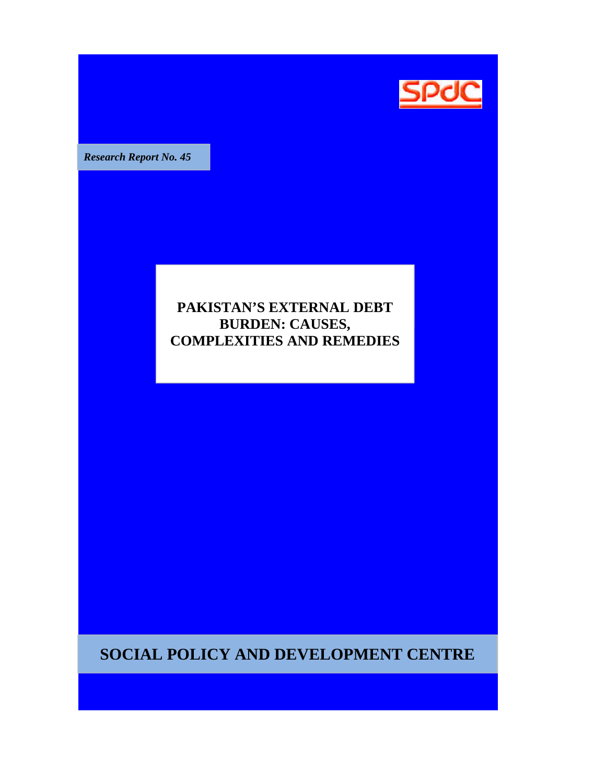

**Research Report No. 45** 

## **PAKISTAN'S EXTERNAL DEBT BURDEN: CAUSES, BURDEN: CAUSES, COMPLEXITIES AND REMEDIES**

**SOCIAL POLICY AND DEVELOPMENT CENTRE**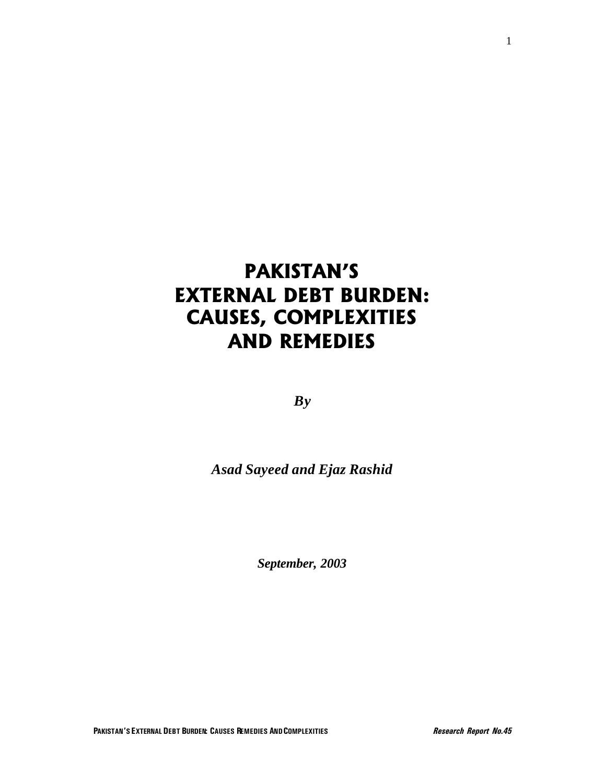# **PAKISTAN'S EXTERNAL DEBT BURDEN: CAUSES, COMPLEXITIES AND REMEDIES**

*By*

*Asad Sayeed and Ejaz Rashid*

*September, 2003*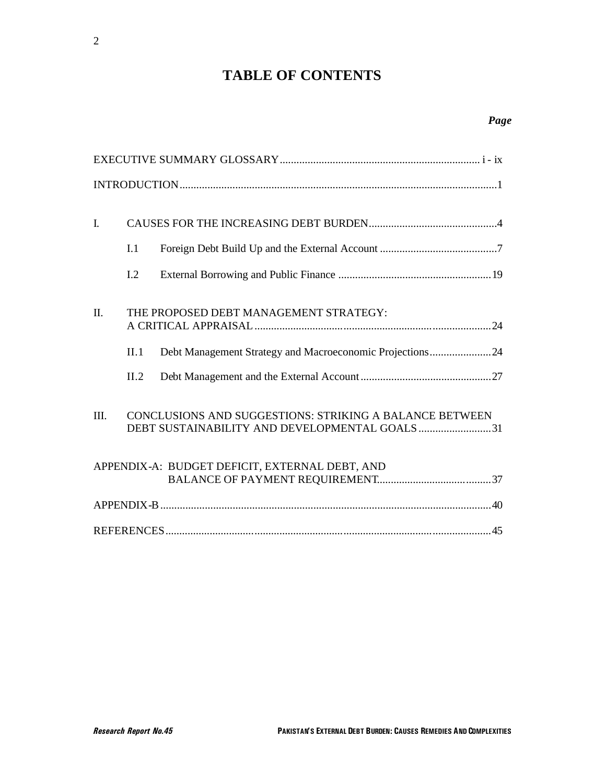# **TABLE OF CONTENTS**

| $\mathbf{I}$ . | I.1<br>I.2   |                                                                                                          |
|----------------|--------------|----------------------------------------------------------------------------------------------------------|
| $\Pi$ .        | II.1<br>II.2 | THE PROPOSED DEBT MANAGEMENT STRATEGY:<br>Debt Management Strategy and Macroeconomic Projections24       |
| III.           |              | CONCLUSIONS AND SUGGESTIONS: STRIKING A BALANCE BETWEEN<br>DEBT SUSTAINABILITY AND DEVELOPMENTAL GOALS31 |
|                |              | APPENDIX-A: BUDGET DEFICIT, EXTERNAL DEBT, AND                                                           |
|                |              |                                                                                                          |
|                |              |                                                                                                          |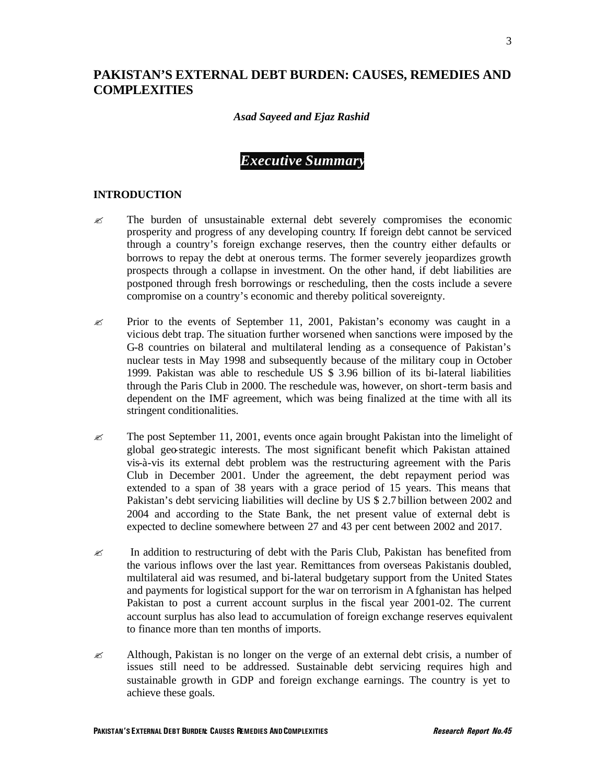### **PAKISTAN'S EXTERNAL DEBT BURDEN: CAUSES, REMEDIES AND COMPLEXITIES**

### *Asad Sayeed and Ejaz Rashid*

### *Executive Summary*

### **INTRODUCTION**

- $\mathscr{\mathscr{E}}$  The burden of unsustainable external debt severely compromises the economic prosperity and progress of any developing country. If foreign debt cannot be serviced through a country's foreign exchange reserves, then the country either defaults or borrows to repay the debt at onerous terms. The former severely jeopardizes growth prospects through a collapse in investment. On the other hand, if debt liabilities are postponed through fresh borrowings or rescheduling, then the costs include a severe compromise on a country's economic and thereby political sovereignty.
- $\approx$  Prior to the events of September 11, 2001, Pakistan's economy was caught in a vicious debt trap. The situation further worsened when sanctions were imposed by the G-8 countries on bilateral and multilateral lending as a consequence of Pakistan's nuclear tests in May 1998 and subsequently because of the military coup in October 1999. Pakistan was able to reschedule US \$ 3.96 billion of its bi-lateral liabilities through the Paris Club in 2000. The reschedule was, however, on short-term basis and dependent on the IMF agreement, which was being finalized at the time with all its stringent conditionalities.
- $\approx$  The post September 11, 2001, events once again brought Pakistan into the limelight of global geo-strategic interests. The most significant benefit which Pakistan attained vis-à-vis its external debt problem was the restructuring agreement with the Paris Club in December 2001. Under the agreement, the debt repayment period was extended to a span of 38 years with a grace period of 15 years. This means that Pakistan's debt servicing liabilities will decline by US \$ 2.7 billion between 2002 and 2004 and according to the State Bank, the net present value of external debt is expected to decline somewhere between 27 and 43 per cent between 2002 and 2017.
- $\approx$  In addition to restructuring of debt with the Paris Club, Pakistan has benefited from the various inflows over the last year. Remittances from overseas Pakistanis doubled, multilateral aid was resumed, and bi-lateral budgetary support from the United States and payments for logistical support for the war on terrorism in Afghanistan has helped Pakistan to post a current account surplus in the fiscal year 2001-02. The current account surplus has also lead to accumulation of foreign exchange reserves equivalent to finance more than ten months of imports.
- $\approx$  Although, Pakistan is no longer on the verge of an external debt crisis, a number of issues still need to be addressed. Sustainable debt servicing requires high and sustainable growth in GDP and foreign exchange earnings. The country is yet to achieve these goals.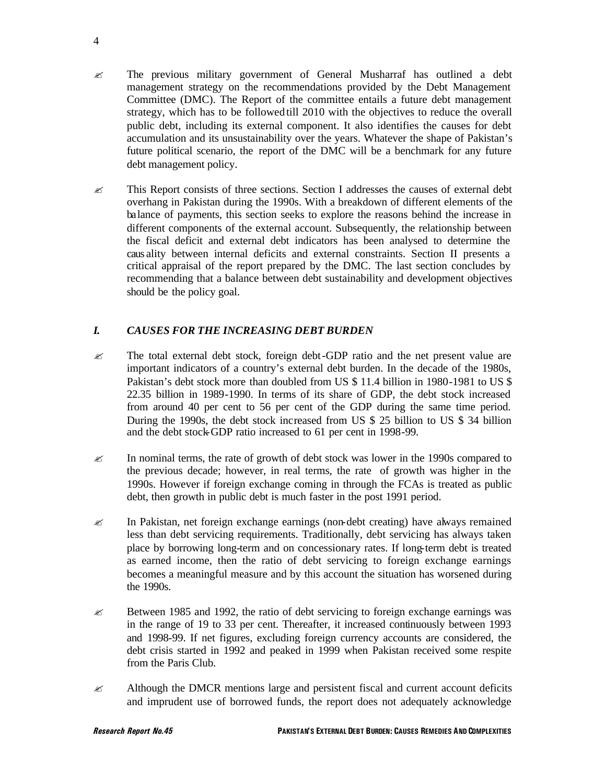- $\mathscr{\mathscr{E}}$  The previous military government of General Musharraf has outlined a debt management strategy on the recommendations provided by the Debt Management Committee (DMC). The Report of the committee entails a future debt management strategy, which has to be followed till 2010 with the objectives to reduce the overall public debt, including its external component. It also identifies the causes for debt accumulation and its unsustainability over the years. Whatever the shape of Pakistan's future political scenario, the report of the DMC will be a benchmark for any future debt management policy.
- $\approx$  This Report consists of three sections. Section I addresses the causes of external debt overhang in Pakistan during the 1990s. With a breakdown of different elements of the balance of payments, this section seeks to explore the reasons behind the increase in different components of the external account. Subsequently, the relationship between the fiscal deficit and external debt indicators has been analysed to determine the caus ality between internal deficits and external constraints. Section II presents a critical appraisal of the report prepared by the DMC. The last section concludes by recommending that a balance between debt sustainability and development objectives should be the policy goal.

### *I. CAUSES FOR THE INCREASING DEBT BURDEN*

- $\approx$  The total external debt stock, foreign debt-GDP ratio and the net present value are important indicators of a country's external debt burden. In the decade of the 1980s, Pakistan's debt stock more than doubled from US \$ 11.4 billion in 1980-1981 to US \$ 22.35 billion in 1989-1990. In terms of its share of GDP, the debt stock increased from around 40 per cent to 56 per cent of the GDP during the same time period. During the 1990s, the debt stock increased from US \$ 25 billion to US \$ 34 billion and the debt stock-GDP ratio increased to 61 per cent in 1998-99.
- $\approx$  In nominal terms, the rate of growth of debt stock was lower in the 1990s compared to the previous decade; however, in real terms, the rate of growth was higher in the 1990s. However if foreign exchange coming in through the FCAs is treated as public debt, then growth in public debt is much faster in the post 1991 period.
- $\mathscr{\mathscr{L}}$  In Pakistan, net foreign exchange earnings (non-debt creating) have always remained less than debt servicing requirements. Traditionally, debt servicing has always taken place by borrowing long-term and on concessionary rates. If long-term debt is treated as earned income, then the ratio of debt servicing to foreign exchange earnings becomes a meaningful measure and by this account the situation has worsened during the 1990s.
- $\approx$  Between 1985 and 1992, the ratio of debt servicing to foreign exchange earnings was in the range of 19 to 33 per cent. Thereafter, it increased continuously between 1993 and 1998-99. If net figures, excluding foreign currency accounts are considered, the debt crisis started in 1992 and peaked in 1999 when Pakistan received some respite from the Paris Club.
- $\approx$  Although the DMCR mentions large and persistent fiscal and current account deficits and imprudent use of borrowed funds, the report does not adequately acknowledge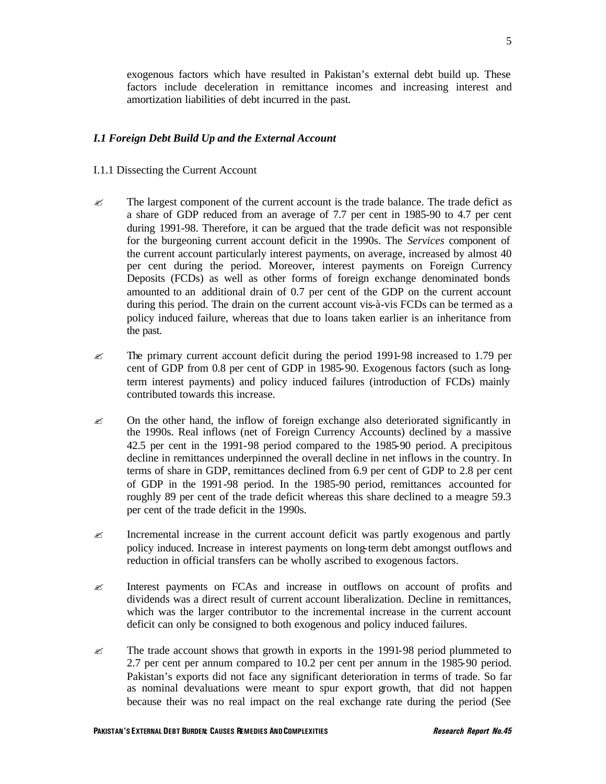exogenous factors which have resulted in Pakistan's external debt build up. These factors include deceleration in remittance incomes and increasing interest and amortization liabilities of debt incurred in the past.

### *I.1 Foreign Debt Build Up and the External Account*

#### I.1.1 Dissecting the Current Account

- $\mathscr{\mathscr{L}}$  The largest component of the current account is the trade balance. The trade deficit as a share of GDP reduced from an average of 7.7 per cent in 1985-90 to 4.7 per cent during 1991-98. Therefore, it can be argued that the trade deficit was not responsible for the burgeoning current account deficit in the 1990s. The *Services* component of the current account particularly interest payments, on average, increased by almost 40 per cent during the period. Moreover, interest payments on Foreign Currency Deposits (FCDs) as well as other forms of foreign exchange denominated bonds amounted to an additional drain of 0.7 per cent of the GDP on the current account during this period. The drain on the current account vis-à-vis FCDs can be termed as a policy induced failure, whereas that due to loans taken earlier is an inheritance from the past.
- $\approx$  The primary current account deficit during the period 1991-98 increased to 1.79 per cent of GDP from 0.8 per cent of GDP in 1985-90. Exogenous factors (such as longterm interest payments) and policy induced failures (introduction of FCDs) mainly contributed towards this increase.
- $\mathscr{\mathscr{L}}$  On the other hand, the inflow of foreign exchange also deteriorated significantly in the 1990s. Real inflows (net of Foreign Currency Accounts) declined by a massive 42.5 per cent in the 1991-98 period compared to the 1985-90 period. A precipitous decline in remittances underpinned the overall decline in net inflows in the country. In terms of share in GDP, remittances declined from 6.9 per cent of GDP to 2.8 per cent of GDP in the 1991-98 period. In the 1985-90 period, remittances accounted for roughly 89 per cent of the trade deficit whereas this share declined to a meagre 59.3 per cent of the trade deficit in the 1990s.
- $\approx$  Incremental increase in the current account deficit was partly exogenous and partly policy induced. Increase in interest payments on long-term debt amongst outflows and reduction in official transfers can be wholly ascribed to exogenous factors.
- $\approx$  Interest payments on FCAs and increase in outflows on account of profits and dividends was a direct result of current account liberalization. Decline in remittances, which was the larger contributor to the incremental increase in the current account deficit can only be consigned to both exogenous and policy induced failures.
- $\approx$  The trade account shows that growth in exports in the 1991-98 period plummeted to 2.7 per cent per annum compared to 10.2 per cent per annum in the 1985-90 period. Pakistan's exports did not face any significant deterioration in terms of trade. So far as nominal devaluations were meant to spur export growth, that did not happen because their was no real impact on the real exchange rate during the period (See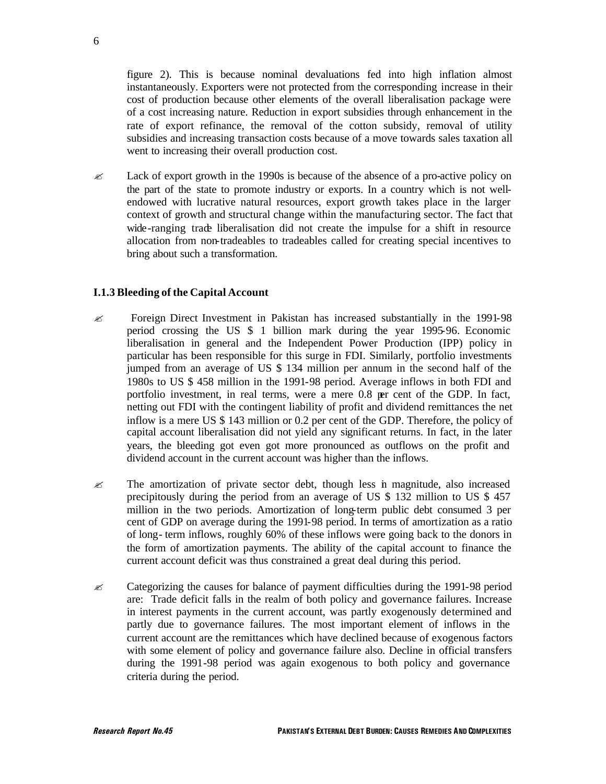figure 2). This is because nominal devaluations fed into high inflation almost instantaneously. Exporters were not protected from the corresponding increase in their cost of production because other elements of the overall liberalisation package were of a cost increasing nature. Reduction in export subsidies through enhancement in the rate of export refinance, the removal of the cotton subsidy, removal of utility subsidies and increasing transaction costs because of a move towards sales taxation all went to increasing their overall production cost.

 $\approx$  Lack of export growth in the 1990s is because of the absence of a pro-active policy on the part of the state to promote industry or exports. In a country which is not wellendowed with lucrative natural resources, export growth takes place in the larger context of growth and structural change within the manufacturing sector. The fact that wide-ranging trade liberalisation did not create the impulse for a shift in resource allocation from non-tradeables to tradeables called for creating special incentives to bring about such a transformation.

### **I.1.3 Bleeding of the Capital Account**

- $\approx$  Foreign Direct Investment in Pakistan has increased substantially in the 1991-98 period crossing the US \$ 1 billion mark during the year 1995-96. Economic liberalisation in general and the Independent Power Production (IPP) policy in particular has been responsible for this surge in FDI. Similarly, portfolio investments jumped from an average of US \$ 134 million per annum in the second half of the 1980s to US \$ 458 million in the 1991-98 period. Average inflows in both FDI and portfolio investment, in real terms, were a mere 0.8 per cent of the GDP. In fact, netting out FDI with the contingent liability of profit and dividend remittances the net inflow is a mere US \$ 143 million or 0.2 per cent of the GDP. Therefore, the policy of capital account liberalisation did not yield any significant returns. In fact, in the later years, the bleeding got even got more pronounced as outflows on the profit and dividend account in the current account was higher than the inflows.
- $\mathscr{L}$  The amortization of private sector debt, though less in magnitude, also increased precipitously during the period from an average of US \$ 132 million to US \$ 457 million in the two periods. Amortization of long-term public debt consumed 3 per cent of GDP on average during the 1991-98 period. In terms of amortization as a ratio of long- term inflows, roughly 60% of these inflows were going back to the donors in the form of amortization payments. The ability of the capital account to finance the current account deficit was thus constrained a great deal during this period.
- $\approx$  Categorizing the causes for balance of payment difficulties during the 1991-98 period are: Trade deficit falls in the realm of both policy and governance failures. Increase in interest payments in the current account, was partly exogenously determined and partly due to governance failures. The most important element of inflows in the current account are the remittances which have declined because of exogenous factors with some element of policy and governance failure also. Decline in official transfers during the 1991-98 period was again exogenous to both policy and governance criteria during the period.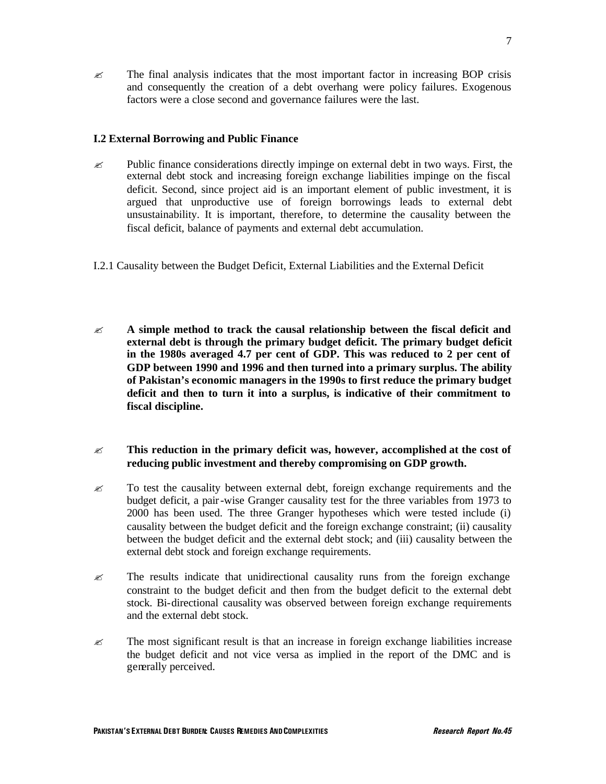$\approx$  The final analysis indicates that the most important factor in increasing BOP crisis and consequently the creation of a debt overhang were policy failures. Exogenous factors were a close second and governance failures were the last.

### **I.2 External Borrowing and Public Finance**

- $\approx$  Public finance considerations directly impinge on external debt in two ways. First, the external debt stock and increasing foreign exchange liabilities impinge on the fiscal deficit. Second, since project aid is an important element of public investment, it is argued that unproductive use of foreign borrowings leads to external debt unsustainability. It is important, therefore, to determine the causality between the fiscal deficit, balance of payments and external debt accumulation.
- I.2.1 Causality between the Budget Deficit, External Liabilities and the External Deficit
- ? **A simple method to track the causal relationship between the fiscal deficit and external debt is through the primary budget deficit. The primary budget deficit in the 1980s averaged 4.7 per cent of GDP. This was reduced to 2 per cent of GDP between 1990 and 1996 and then turned into a primary surplus. The ability of Pakistan's economic managers in the 1990s to first reduce the primary budget deficit and then to turn it into a surplus, is indicative of their commitment to fiscal discipline.**
- ? **This reduction in the primary deficit was, however, accomplished at the cost of reducing public investment and thereby compromising on GDP growth.**
- $\mathscr{\mathscr{E}}$  To test the causality between external debt, foreign exchange requirements and the budget deficit, a pair-wise Granger causality test for the three variables from 1973 to 2000 has been used. The three Granger hypotheses which were tested include (i) causality between the budget deficit and the foreign exchange constraint; (ii) causality between the budget deficit and the external debt stock; and (iii) causality between the external debt stock and foreign exchange requirements.
- $\approx$  The results indicate that unidirectional causality runs from the foreign exchange constraint to the budget deficit and then from the budget deficit to the external debt stock. Bi-directional causality was observed between foreign exchange requirements and the external debt stock.
- $\approx$  The most significant result is that an increase in foreign exchange liabilities increase the budget deficit and not vice versa as implied in the report of the DMC and is generally perceived.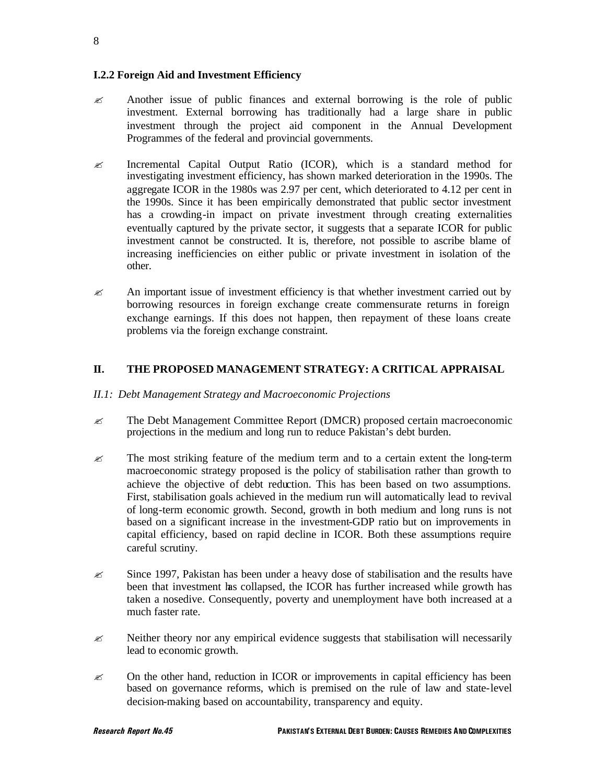### **I.2.2 Foreign Aid and Investment Efficiency**

- $\approx$  Another issue of public finances and external borrowing is the role of public investment. External borrowing has traditionally had a large share in public investment through the project aid component in the Annual Development Programmes of the federal and provincial governments.
- $\mathscr{\mathscr{E}}$  Incremental Capital Output Ratio (ICOR), which is a standard method for investigating investment efficiency, has shown marked deterioration in the 1990s. The aggregate ICOR in the 1980s was 2.97 per cent, which deteriorated to 4.12 per cent in the 1990s. Since it has been empirically demonstrated that public sector investment has a crowding-in impact on private investment through creating externalities eventually captured by the private sector, it suggests that a separate ICOR for public investment cannot be constructed. It is, therefore, not possible to ascribe blame of increasing inefficiencies on either public or private investment in isolation of the other.
- $\approx$  An important issue of investment efficiency is that whether investment carried out by borrowing resources in foreign exchange create commensurate returns in foreign exchange earnings. If this does not happen, then repayment of these loans create problems via the foreign exchange constraint.

### **II. THE PROPOSED MANAGEMENT STRATEGY: A CRITICAL APPRAISAL**

### *II.1: Debt Management Strategy and Macroeconomic Projections*

- $\approx$  The Debt Management Committee Report (DMCR) proposed certain macroeconomic projections in the medium and long run to reduce Pakistan's debt burden.
- $\approx$  The most striking feature of the medium term and to a certain extent the long-term macroeconomic strategy proposed is the policy of stabilisation rather than growth to achieve the objective of debt reduction. This has been based on two assumptions. First, stabilisation goals achieved in the medium run will automatically lead to revival of long-term economic growth. Second, growth in both medium and long runs is not based on a significant increase in the investment-GDP ratio but on improvements in capital efficiency, based on rapid decline in ICOR. Both these assumptions require careful scrutiny.
- $\approx$  Since 1997, Pakistan has been under a heavy dose of stabilisation and the results have been that investment has collapsed, the ICOR has further increased while growth has taken a nosedive. Consequently, poverty and unemployment have both increased at a much faster rate.
- $\approx$  Neither theory nor any empirical evidence suggests that stabilisation will necessarily lead to economic growth.
- $\approx$  On the other hand, reduction in ICOR or improvements in capital efficiency has been based on governance reforms, which is premised on the rule of law and state-level decision-making based on accountability, transparency and equity.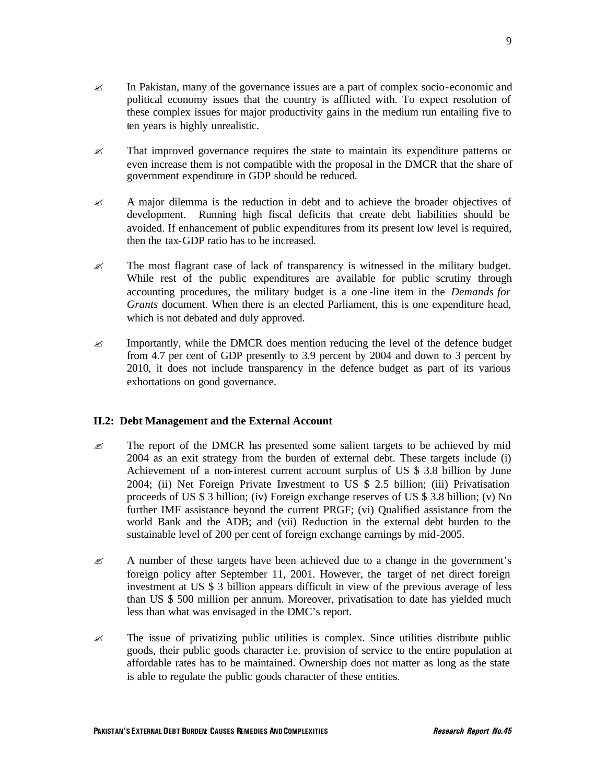- $\mathscr{\mathscr{E}}$  In Pakistan, many of the governance issues are a part of complex socio-economic and political economy issues that the country is afflicted with. To expect resolution of these complex issues for major productivity gains in the medium run entailing five to ten years is highly unrealistic.
- $\mathscr{\mathscr{E}}$  That improved governance requires the state to maintain its expenditure patterns or even increase them is not compatible with the proposal in the DMCR that the share of government expenditure in GDP should be reduced.
- $\approx$  A major dilemma is the reduction in debt and to achieve the broader objectives of development. Running high fiscal deficits that create debt liabilities should be avoided. If enhancement of public expenditures from its present low level is required, then the tax-GDP ratio has to be increased.
- $\approx$  The most flagrant case of lack of transparency is witnessed in the military budget. While rest of the public expenditures are available for public scrutiny through accounting procedures, the military budget is a one -line item in the *Demands for Grants* document. When there is an elected Parliament, this is one expenditure head, which is not debated and duly approved.
- $\mathcal{L}$  Importantly, while the DMCR does mention reducing the level of the defence budget from 4.7 per cent of GDP presently to 3.9 percent by 2004 and down to 3 percent by 2010, it does not include transparency in the defence budget as part of its various exhortations on good governance.

### **II.2: Debt Management and the External Account**

- $\mathscr{\mathscr{E}}$  The report of the DMCR has presented some salient targets to be achieved by mid 2004 as an exit strategy from the burden of external debt. These targets include (i) Achievement of a non-interest current account surplus of US \$ 3.8 billion by June 2004; (ii) Net Foreign Private Investment to US \$ 2.5 billion; (iii) Privatisation proceeds of US \$ 3 billion; (iv) Foreign exchange reserves of US \$ 3.8 billion; (v) No further IMF assistance beyond the current PRGF; (vi) Qualified assistance from the world Bank and the ADB; and (vii) Reduction in the external debt burden to the sustainable level of 200 per cent of foreign exchange earnings by mid-2005.
- $\approx$  A number of these targets have been achieved due to a change in the government's foreign policy after September 11, 2001. However, the target of net direct foreign investment at US \$ 3 billion appears difficult in view of the previous average of less than US \$ 500 million per annum. Moreover, privatisation to date has yielded much less than what was envisaged in the DMC's report.
- $\approx$  The issue of privatizing public utilities is complex. Since utilities distribute public goods, their public goods character i.e. provision of service to the entire population at affordable rates has to be maintained. Ownership does not matter as long as the state is able to regulate the public goods character of these entities.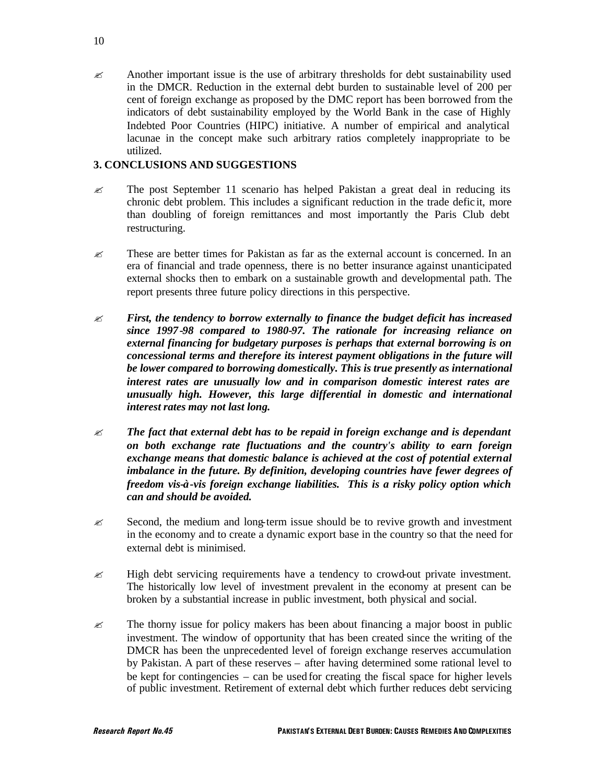$\approx$  Another important issue is the use of arbitrary thresholds for debt sustainability used in the DMCR. Reduction in the external debt burden to sustainable level of 200 per cent of foreign exchange as proposed by the DMC report has been borrowed from the indicators of debt sustainability employed by the World Bank in the case of Highly Indebted Poor Countries (HIPC) initiative. A number of empirical and analytical lacunae in the concept make such arbitrary ratios completely inappropriate to be utilized.

### **3. CONCLUSIONS AND SUGGESTIONS**

- $\approx$  The post September 11 scenario has helped Pakistan a great deal in reducing its chronic debt problem. This includes a significant reduction in the trade defic it, more than doubling of foreign remittances and most importantly the Paris Club debt restructuring.
- $\approx$  These are better times for Pakistan as far as the external account is concerned. In an era of financial and trade openness, there is no better insurance against unanticipated external shocks then to embark on a sustainable growth and developmental path. The report presents three future policy directions in this perspective.
- ? *First, the tendency to borrow externally to finance the budget deficit has increased since 1997-98 compared to 1980-97. The rationale for increasing reliance on external financing for budgetary purposes is perhaps that external borrowing is on concessional terms and therefore its interest payment obligations in the future will be lower compared to borrowing domestically. This is true presently as international interest rates are unusually low and in comparison domestic interest rates are unusually high. However, this large differential in domestic and international interest rates may not last long.*
- $\mathscr{L}$  **The fact that external debt has to be repaid in foreign exchange and is dependant** *on both exchange rate fluctuations and the country's ability to earn foreign exchange means that domestic balance is achieved at the cost of potential external imbalance in the future. By definition, developing countries have fewer degrees of freedom vis-à-vis foreign exchange liabilities. This is a risky policy option which can and should be avoided.*
- $\approx$  Second, the medium and long-term issue should be to revive growth and investment in the economy and to create a dynamic export base in the country so that the need for external debt is minimised.
- $\approx$  High debt servicing requirements have a tendency to crowd-out private investment. The historically low level of investment prevalent in the economy at present can be broken by a substantial increase in public investment, both physical and social.
- $\mathscr{\mathscr{E}}$  The thorny issue for policy makers has been about financing a major boost in public investment. The window of opportunity that has been created since the writing of the DMCR has been the unprecedented level of foreign exchange reserves accumulation by Pakistan. A part of these reserves – after having determined some rational level to be kept for contingencies – can be used for creating the fiscal space for higher levels of public investment. Retirement of external debt which further reduces debt servicing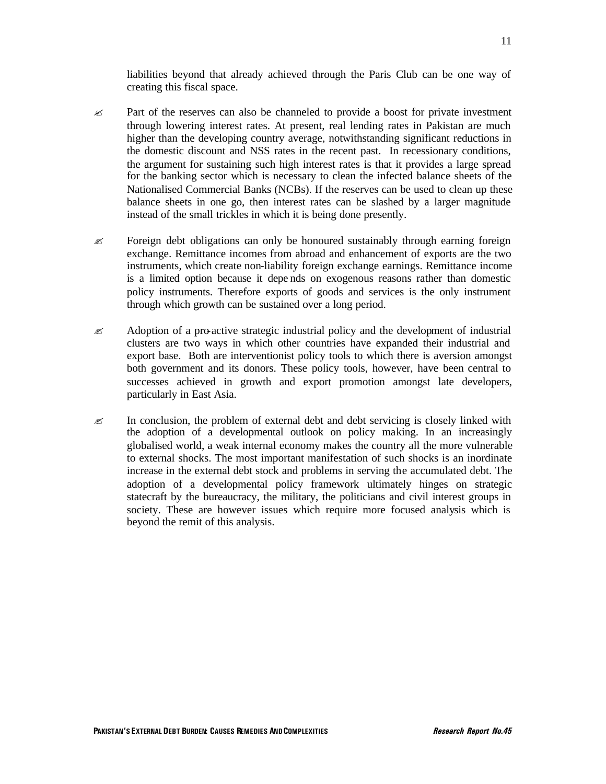liabilities beyond that already achieved through the Paris Club can be one way of creating this fiscal space.

- $\approx$  Part of the reserves can also be channeled to provide a boost for private investment through lowering interest rates. At present, real lending rates in Pakistan are much higher than the developing country average, notwithstanding significant reductions in the domestic discount and NSS rates in the recent past. In recessionary conditions, the argument for sustaining such high interest rates is that it provides a large spread for the banking sector which is necessary to clean the infected balance sheets of the Nationalised Commercial Banks (NCBs). If the reserves can be used to clean up these balance sheets in one go, then interest rates can be slashed by a larger magnitude instead of the small trickles in which it is being done presently.
- $\approx$  Foreign debt obligations can only be honoured sustainably through earning foreign exchange. Remittance incomes from abroad and enhancement of exports are the two instruments, which create non-liability foreign exchange earnings. Remittance income is a limited option because it depe nds on exogenous reasons rather than domestic policy instruments. Therefore exports of goods and services is the only instrument through which growth can be sustained over a long period.
- $\approx$  Adoption of a pro-active strategic industrial policy and the development of industrial clusters are two ways in which other countries have expanded their industrial and export base. Both are interventionist policy tools to which there is aversion amongst both government and its donors. These policy tools, however, have been central to successes achieved in growth and export promotion amongst late developers, particularly in East Asia.
- $\approx$  In conclusion, the problem of external debt and debt servicing is closely linked with the adoption of a developmental outlook on policy making. In an increasingly globalised world, a weak internal economy makes the country all the more vulnerable to external shocks. The most important manifestation of such shocks is an inordinate increase in the external debt stock and problems in serving the accumulated debt. The adoption of a developmental policy framework ultimately hinges on strategic statecraft by the bureaucracy, the military, the politicians and civil interest groups in society. These are however issues which require more focused analysis which is beyond the remit of this analysis.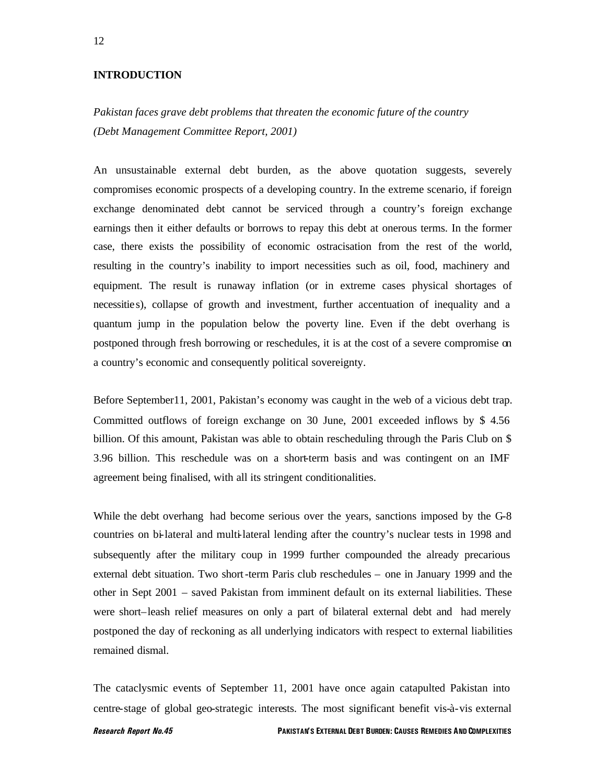#### **INTRODUCTION**

### *Pakistan faces grave debt problems that threaten the economic future of the country (Debt Management Committee Report, 2001)*

An unsustainable external debt burden, as the above quotation suggests, severely compromises economic prospects of a developing country. In the extreme scenario, if foreign exchange denominated debt cannot be serviced through a country's foreign exchange earnings then it either defaults or borrows to repay this debt at onerous terms. In the former case, there exists the possibility of economic ostracisation from the rest of the world, resulting in the country's inability to import necessities such as oil, food, machinery and equipment. The result is runaway inflation (or in extreme cases physical shortages of necessitie s), collapse of growth and investment, further accentuation of inequality and a quantum jump in the population below the poverty line. Even if the debt overhang is postponed through fresh borrowing or reschedules, it is at the cost of a severe compromise on a country's economic and consequently political sovereignty.

Before September11, 2001, Pakistan's economy was caught in the web of a vicious debt trap. Committed outflows of foreign exchange on 30 June, 2001 exceeded inflows by \$ 4.56 billion. Of this amount, Pakistan was able to obtain rescheduling through the Paris Club on \$ 3.96 billion. This reschedule was on a short-term basis and was contingent on an IMF agreement being finalised, with all its stringent conditionalities.

While the debt overhang had become serious over the years, sanctions imposed by the G-8 countries on bi-lateral and multi-lateral lending after the country's nuclear tests in 1998 and subsequently after the military coup in 1999 further compounded the already precarious external debt situation. Two short-term Paris club reschedules – one in January 1999 and the other in Sept 2001 – saved Pakistan from imminent default on its external liabilities. These were short–leash relief measures on only a part of bilateral external debt and had merely postponed the day of reckoning as all underlying indicators with respect to external liabilities remained dismal.

The cataclysmic events of September 11, 2001 have once again catapulted Pakistan into centre-stage of global geo-strategic interests. The most significant benefit vis-à-vis external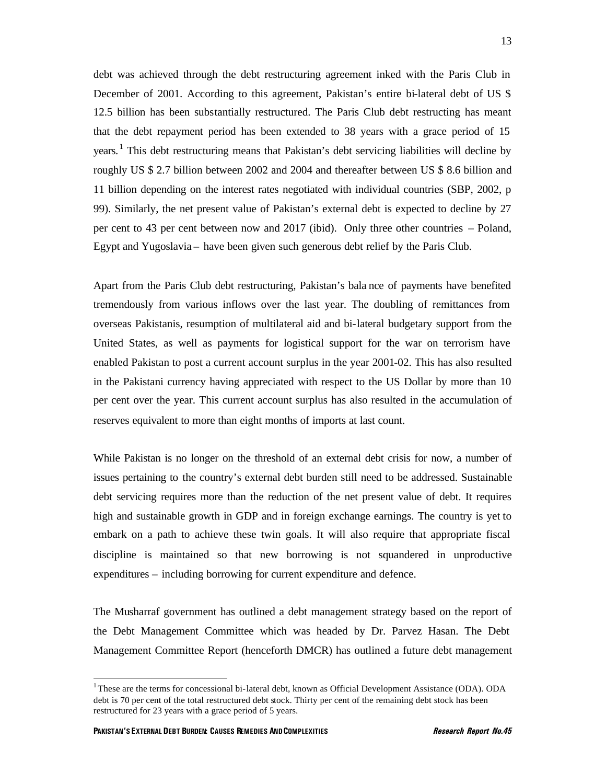debt was achieved through the debt restructuring agreement inked with the Paris Club in December of 2001. According to this agreement, Pakistan's entire bi-lateral debt of US \$ 12.5 billion has been substantially restructured. The Paris Club debt restructing has meant that the debt repayment period has been extended to 38 years with a grace period of 15 years.<sup>1</sup> This debt restructuring means that Pakistan's debt servicing liabilities will decline by roughly US \$ 2.7 billion between 2002 and 2004 and thereafter between US \$ 8.6 billion and 11 billion depending on the interest rates negotiated with individual countries (SBP, 2002, p 99). Similarly, the net present value of Pakistan's external debt is expected to decline by 27 per cent to 43 per cent between now and 2017 (ibid). Only three other countries – Poland, Egypt and Yugoslavia – have been given such generous debt relief by the Paris Club.

Apart from the Paris Club debt restructuring, Pakistan's bala nce of payments have benefited tremendously from various inflows over the last year. The doubling of remittances from overseas Pakistanis, resumption of multilateral aid and bi-lateral budgetary support from the United States, as well as payments for logistical support for the war on terrorism have enabled Pakistan to post a current account surplus in the year 2001-02. This has also resulted in the Pakistani currency having appreciated with respect to the US Dollar by more than 10 per cent over the year. This current account surplus has also resulted in the accumulation of reserves equivalent to more than eight months of imports at last count.

While Pakistan is no longer on the threshold of an external debt crisis for now, a number of issues pertaining to the country's external debt burden still need to be addressed. Sustainable debt servicing requires more than the reduction of the net present value of debt. It requires high and sustainable growth in GDP and in foreign exchange earnings. The country is yet to embark on a path to achieve these twin goals. It will also require that appropriate fiscal discipline is maintained so that new borrowing is not squandered in unproductive expenditures – including borrowing for current expenditure and defence.

The Musharraf government has outlined a debt management strategy based on the report of the Debt Management Committee which was headed by Dr. Parvez Hasan. The Debt Management Committee Report (henceforth DMCR) has outlined a future debt management

<sup>&</sup>lt;sup>1</sup>These are the terms for concessional bi-lateral debt, known as Official Development Assistance (ODA). ODA debt is 70 per cent of the total restructured debt stock. Thirty per cent of the remaining debt stock has been restructured for 23 years with a grace period of 5 years.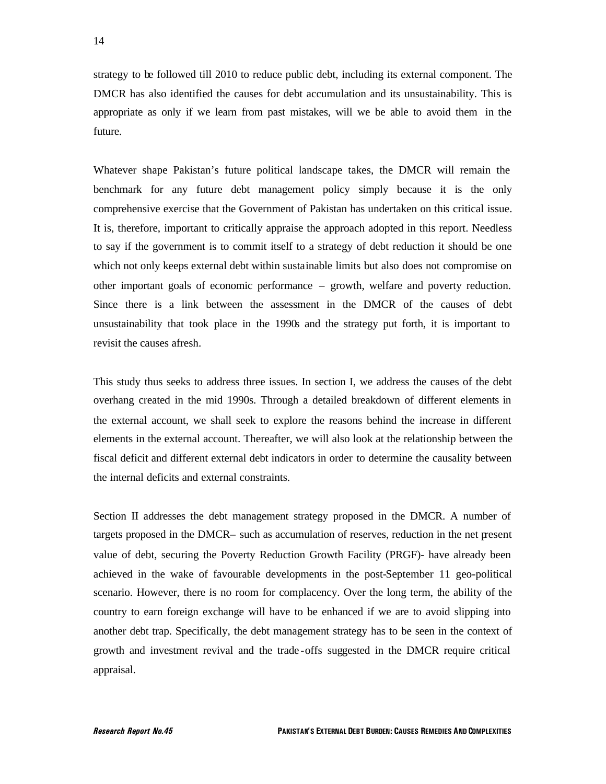strategy to be followed till 2010 to reduce public debt, including its external component. The DMCR has also identified the causes for debt accumulation and its unsustainability. This is appropriate as only if we learn from past mistakes, will we be able to avoid them in the future.

Whatever shape Pakistan's future political landscape takes, the DMCR will remain the benchmark for any future debt management policy simply because it is the only comprehensive exercise that the Government of Pakistan has undertaken on this critical issue. It is, therefore, important to critically appraise the approach adopted in this report. Needless to say if the government is to commit itself to a strategy of debt reduction it should be one which not only keeps external debt within sustainable limits but also does not compromise on other important goals of economic performance – growth, welfare and poverty reduction. Since there is a link between the assessment in the DMCR of the causes of debt unsustainability that took place in the 1990s and the strategy put forth, it is important to revisit the causes afresh.

This study thus seeks to address three issues. In section I, we address the causes of the debt overhang created in the mid 1990s. Through a detailed breakdown of different elements in the external account, we shall seek to explore the reasons behind the increase in different elements in the external account. Thereafter, we will also look at the relationship between the fiscal deficit and different external debt indicators in order to determine the causality between the internal deficits and external constraints.

Section II addresses the debt management strategy proposed in the DMCR. A number of targets proposed in the DMCR– such as accumulation of reserves, reduction in the net present value of debt, securing the Poverty Reduction Growth Facility (PRGF)- have already been achieved in the wake of favourable developments in the post-September 11 geo-political scenario. However, there is no room for complacency. Over the long term, the ability of the country to earn foreign exchange will have to be enhanced if we are to avoid slipping into another debt trap. Specifically, the debt management strategy has to be seen in the context of growth and investment revival and the trade -offs suggested in the DMCR require critical appraisal.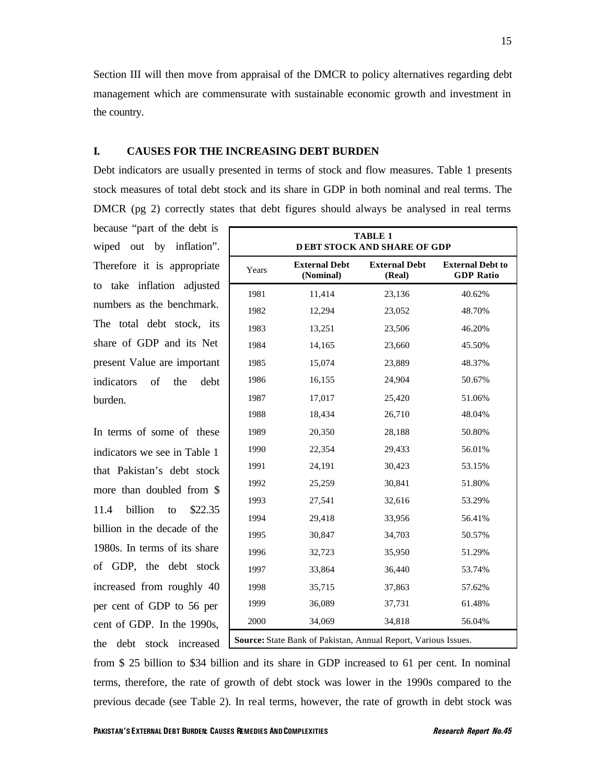Section III will then move from appraisal of the DMCR to policy alternatives regarding debt management which are commensurate with sustainable economic growth and investment in the country.

### **I. CAUSES FOR THE INCREASING DEBT BURDEN**

Debt indicators are usually presented in terms of stock and flow measures. Table 1 presents stock measures of total debt stock and its share in GDP in both nominal and real terms. The DMCR (pg 2) correctly states that debt figures should always be analysed in real terms

because "part of the debt is wiped out by inflation". Therefore it is appropriate to take inflation adjusted numbers as the benchmark. The total debt stock, its share of GDP and its Net present Value are important indicators of the debt burden.

In terms of some of these indicators we see in Table 1 that Pakistan's debt stock more than doubled from \$ 11.4 billion to \$22.35 billion in the decade of the 1980s. In terms of its share of GDP, the debt stock increased from roughly 40 per cent of GDP to 56 per cent of GDP. In the 1990s, the debt stock increased

|                                                                |                                   | <b>TABLE 1</b><br><b>DEBT STOCK AND SHARE OF GDP</b> |                                             |  |  |  |
|----------------------------------------------------------------|-----------------------------------|------------------------------------------------------|---------------------------------------------|--|--|--|
| Years                                                          | <b>External Debt</b><br>(Nominal) | <b>External Debt</b><br>(Real)                       | <b>External Debt to</b><br><b>GDP Ratio</b> |  |  |  |
| 1981                                                           | 11,414                            | 23,136                                               | 40.62%                                      |  |  |  |
| 1982                                                           | 12,294                            | 23,052                                               | 48.70%                                      |  |  |  |
| 1983                                                           | 13,251                            | 23,506                                               | 46.20%                                      |  |  |  |
| 1984                                                           | 14,165                            | 23,660                                               | 45.50%                                      |  |  |  |
| 1985                                                           | 15,074                            | 23,889                                               | 48.37%                                      |  |  |  |
| 1986                                                           | 16,155                            | 24,904                                               | 50.67%                                      |  |  |  |
| 1987                                                           | 17,017                            | 25,420                                               | 51.06%                                      |  |  |  |
| 1988                                                           | 18,434                            | 26,710                                               | 48.04%                                      |  |  |  |
| 1989                                                           | 20,350                            | 28,188                                               | 50.80%                                      |  |  |  |
| 1990                                                           | 22,354                            | 29,433                                               | 56.01%                                      |  |  |  |
| 1991                                                           | 24,191                            | 30,423                                               | 53.15%                                      |  |  |  |
| 1992                                                           | 25,259                            | 30,841                                               | 51.80%                                      |  |  |  |
| 1993                                                           | 27,541                            | 32,616                                               | 53.29%                                      |  |  |  |
| 1994                                                           | 29,418                            | 33,956                                               | 56.41%                                      |  |  |  |
| 1995                                                           | 30,847                            | 34,703                                               | 50.57%                                      |  |  |  |
| 1996                                                           | 32,723                            | 35,950                                               | 51.29%                                      |  |  |  |
| 1997                                                           | 33,864                            | 36,440                                               | 53.74%                                      |  |  |  |
| 1998                                                           | 35,715                            | 37,863                                               | 57.62%                                      |  |  |  |
| 1999                                                           | 36,089                            | 37,731                                               | 61.48%                                      |  |  |  |
| 2000                                                           | 34,069                            | 34,818                                               | 56.04%                                      |  |  |  |
| Source: State Bank of Pakistan, Annual Report, Various Issues. |                                   |                                                      |                                             |  |  |  |

from \$ 25 billion to \$34 billion and its share in GDP increased to 61 per cent. In nominal terms, therefore, the rate of growth of debt stock was lower in the 1990s compared to the previous decade (see Table 2). In real terms, however, the rate of growth in debt stock was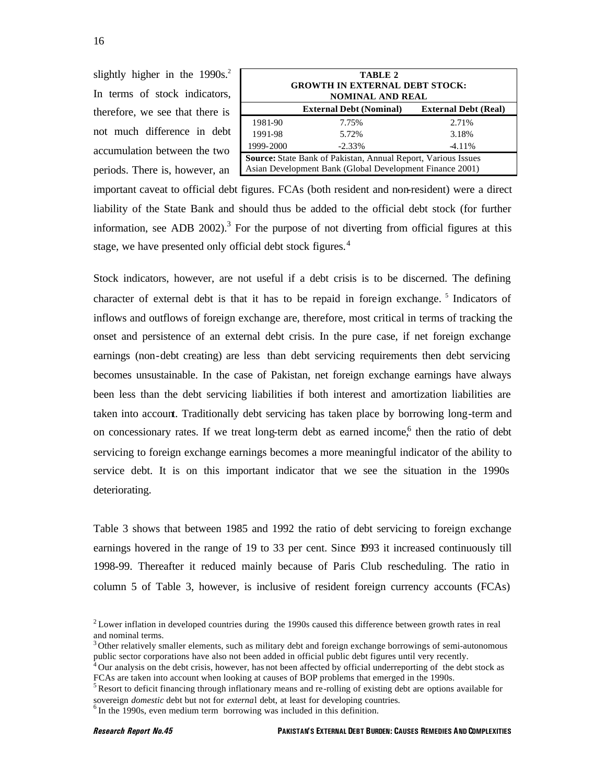slightly higher in the  $1990s<sup>2</sup>$ . In terms of stock indicators, therefore, we see that there is not much difference in debt accumulation between the two periods. There is, however, an

| TABLE 2<br><b>GROWTH IN EXTERNAL DEBT STOCK:</b><br>NOMINAL AND REAL |                                                                                                                           |       |  |  |  |  |
|----------------------------------------------------------------------|---------------------------------------------------------------------------------------------------------------------------|-------|--|--|--|--|
| <b>External Debt (Nominal)</b><br><b>External Debt (Real)</b>        |                                                                                                                           |       |  |  |  |  |
| 1981-90                                                              | 7.75%                                                                                                                     | 2.71% |  |  |  |  |
| 1991-98                                                              | 5.72%                                                                                                                     | 3.18% |  |  |  |  |
| 1999-2000                                                            | $-2.33\%$<br>$-4.11%$                                                                                                     |       |  |  |  |  |
|                                                                      | Source: State Bank of Pakistan, Annual Report, Various Issues<br>Asian Development Bank (Global Development Finance 2001) |       |  |  |  |  |

important caveat to official debt figures. FCAs (both resident and non-resident) were a direct liability of the State Bank and should thus be added to the official debt stock (for further information, see ADB 2002).<sup>3</sup> For the purpose of not diverting from official figures at this stage, we have presented only official debt stock figures.<sup>4</sup>

Stock indicators, however, are not useful if a debt crisis is to be discerned. The defining character of external debt is that it has to be repaid in foreign exchange.<sup>5</sup> Indicators of inflows and outflows of foreign exchange are, therefore, most critical in terms of tracking the onset and persistence of an external debt crisis. In the pure case, if net foreign exchange earnings (non-debt creating) are less than debt servicing requirements then debt servicing becomes unsustainable. In the case of Pakistan, net foreign exchange earnings have always been less than the debt servicing liabilities if both interest and amortization liabilities are taken into account. Traditionally debt servicing has taken place by borrowing long-term and on concessionary rates. If we treat long-term debt as earned income,<sup>6</sup> then the ratio of debt servicing to foreign exchange earnings becomes a more meaningful indicator of the ability to service debt. It is on this important indicator that we see the situation in the 1990s deteriorating.

Table 3 shows that between 1985 and 1992 the ratio of debt servicing to foreign exchange earnings hovered in the range of 19 to 33 per cent. Since 1993 it increased continuously till 1998-99. Thereafter it reduced mainly because of Paris Club rescheduling. The ratio in column 5 of Table 3, however, is inclusive of resident foreign currency accounts (FCAs)

 $6$  In the 1990s, even medium term borrowing was included in this definition.

 $2^2$  Lower inflation in developed countries during the 1990s caused this difference between growth rates in real and nominal terms.

<sup>&</sup>lt;sup>3</sup> Other relatively smaller elements, such as military debt and foreign exchange borrowings of semi-autonomous public sector corporations have also not been added in official public debt figures until very recently.

<sup>&</sup>lt;sup>4</sup>Our analysis on the debt crisis, however, has not been affected by official underreporting of the debt stock as FCAs are taken into account when looking at causes of BOP problems that emerged in the 1990s.

<sup>&</sup>lt;sup>5</sup> Resort to deficit financing through inflationary means and re-rolling of existing debt are options available for sovereign *domestic* debt but not for *externa*l debt, at least for developing countries.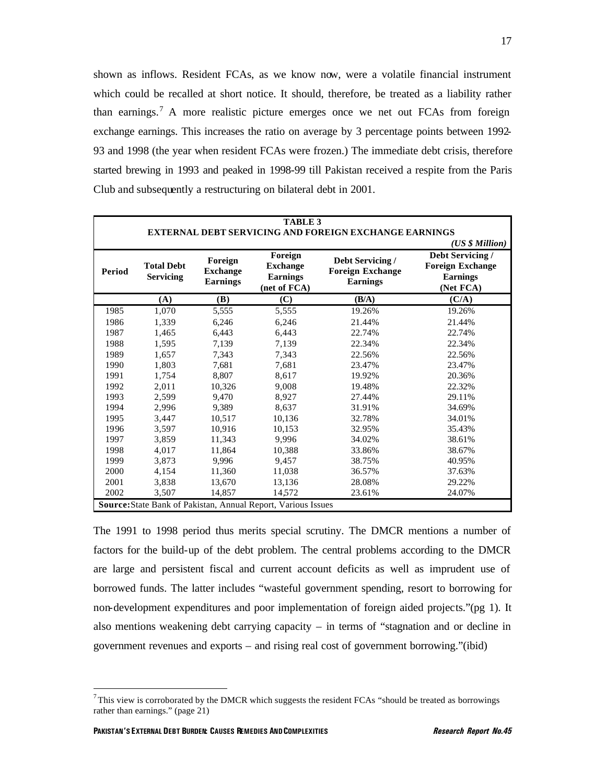shown as inflows. Resident FCAs, as we know now, were a volatile financial instrument which could be recalled at short notice. It should, therefore, be treated as a liability rather than earnings.<sup>7</sup> A more realistic picture emerges once we net out FCAs from foreign exchange earnings. This increases the ratio on average by 3 percentage points between 1992- 93 and 1998 (the year when resident FCAs were frozen.) The immediate debt crisis, therefore started brewing in 1993 and peaked in 1998-99 till Pakistan received a respite from the Paris Club and subsequently a restructuring on bilateral debt in 2001.

|        |                                       |                                               |                                                                                                              | <b>TABLE 3</b>                                               |                                                                             |  |  |  |  |  |
|--------|---------------------------------------|-----------------------------------------------|--------------------------------------------------------------------------------------------------------------|--------------------------------------------------------------|-----------------------------------------------------------------------------|--|--|--|--|--|
|        |                                       |                                               |                                                                                                              | <b>EXTERNAL DEBT SERVICING AND FOREIGN EXCHANGE EARNINGS</b> |                                                                             |  |  |  |  |  |
|        |                                       |                                               |                                                                                                              |                                                              | (US \$ Million)                                                             |  |  |  |  |  |
| Period | <b>Total Debt</b><br><b>Servicing</b> | Foreign<br><b>Exchange</b><br><b>Earnings</b> | Foreign<br>Debt Servicing /<br><b>Exchange</b><br><b>Foreign Exchange</b><br><b>Earnings</b><br>(net of FCA) |                                                              | Debt Servicing /<br><b>Foreign Exchange</b><br><b>Earnings</b><br>(Net FCA) |  |  |  |  |  |
|        | (A)                                   | <b>(B)</b>                                    | (C)                                                                                                          | (B/A)                                                        | (C/A)                                                                       |  |  |  |  |  |
| 1985   | 1,070                                 | 5,555                                         | 5,555                                                                                                        | 19.26%                                                       | 19.26%                                                                      |  |  |  |  |  |
| 1986   | 1,339                                 | 6,246                                         | 6,246                                                                                                        | 21.44%                                                       | 21.44%                                                                      |  |  |  |  |  |
| 1987   | 1,465                                 | 6,443                                         | 6,443                                                                                                        | 22.74%                                                       | 22.74%                                                                      |  |  |  |  |  |
| 1988   | 1,595                                 | 7,139                                         | 7,139                                                                                                        | 22.34%                                                       | 22.34%                                                                      |  |  |  |  |  |
| 1989   | 1.657                                 | 7,343                                         | 7,343                                                                                                        | 22.56%                                                       | 22.56%                                                                      |  |  |  |  |  |
| 1990   | 1,803                                 | 7,681                                         | 7,681                                                                                                        | 23.47%                                                       | 23.47%                                                                      |  |  |  |  |  |
| 1991   | 1,754                                 | 8,807                                         | 8,617                                                                                                        | 19.92%                                                       | 20.36%                                                                      |  |  |  |  |  |
| 1992   | 2,011                                 | 10.326                                        | 9,008                                                                                                        | 19.48%                                                       | 22.32%                                                                      |  |  |  |  |  |
| 1993   | 2,599                                 | 9,470                                         | 8,927                                                                                                        | 27.44%                                                       | 29.11%                                                                      |  |  |  |  |  |
| 1994   | 2,996                                 | 9,389                                         | 8,637                                                                                                        | 31.91%                                                       | 34.69%                                                                      |  |  |  |  |  |
| 1995   | 3,447                                 | 10.517                                        | 10,136                                                                                                       | 32.78%                                                       | 34.01%                                                                      |  |  |  |  |  |
| 1996   | 3,597                                 | 10,916                                        | 10,153                                                                                                       | 32.95%                                                       | 35.43%                                                                      |  |  |  |  |  |
| 1997   | 3,859                                 | 11,343                                        | 9.996                                                                                                        | 34.02%                                                       | 38.61%                                                                      |  |  |  |  |  |
| 1998   | 4,017                                 | 11,864                                        | 10,388                                                                                                       | 33.86%                                                       | 38.67%                                                                      |  |  |  |  |  |
| 1999   | 3,873                                 | 9,996                                         | 9,457                                                                                                        | 38.75%                                                       | 40.95%                                                                      |  |  |  |  |  |
| 2000   | 4,154                                 | 11,360                                        | 11,038                                                                                                       | 36.57%                                                       | 37.63%                                                                      |  |  |  |  |  |
| 2001   | 3,838                                 | 13,670                                        | 13,136                                                                                                       | 28.08%                                                       | 29.22%                                                                      |  |  |  |  |  |
| 2002   | 3.507                                 | 14.857                                        | 14572                                                                                                        | 23.61%                                                       | 24.07%                                                                      |  |  |  |  |  |
|        |                                       |                                               | Source: State Bank of Pakistan, Annual Report, Various Issues                                                |                                                              |                                                                             |  |  |  |  |  |

The 1991 to 1998 period thus merits special scrutiny. The DMCR mentions a number of factors for the build-up of the debt problem. The central problems according to the DMCR are large and persistent fiscal and current account deficits as well as imprudent use of borrowed funds. The latter includes "wasteful government spending, resort to borrowing for non-development expenditures and poor implementation of foreign aided projects."(pg 1). It also mentions weakening debt carrying capacity – in terms of "stagnation and or decline in government revenues and exports – and rising real cost of government borrowing."(ibid)

 $7$ This view is corroborated by the DMCR which suggests the resident FCAs "should be treated as borrowings rather than earnings." (page 21)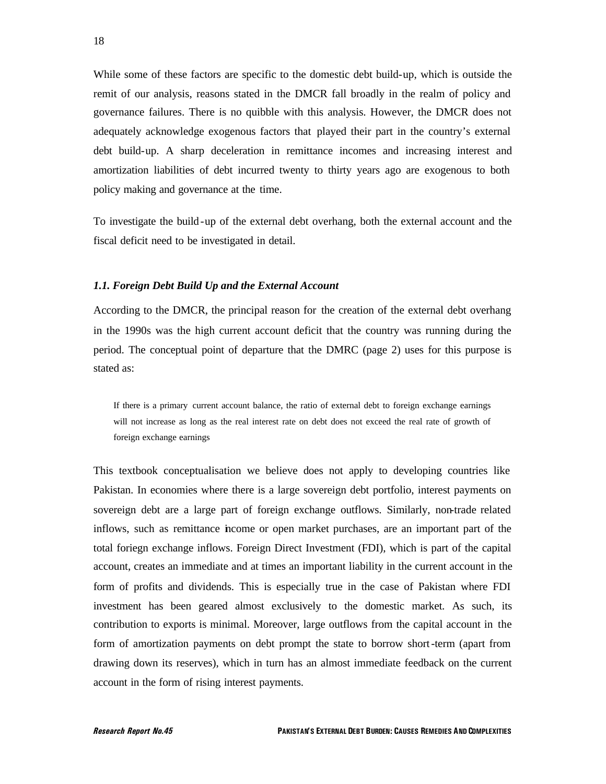While some of these factors are specific to the domestic debt build-up, which is outside the remit of our analysis, reasons stated in the DMCR fall broadly in the realm of policy and governance failures. There is no quibble with this analysis. However, the DMCR does not adequately acknowledge exogenous factors that played their part in the country's external debt build-up. A sharp deceleration in remittance incomes and increasing interest and amortization liabilities of debt incurred twenty to thirty years ago are exogenous to both policy making and governance at the time.

To investigate the build-up of the external debt overhang, both the external account and the fiscal deficit need to be investigated in detail.

#### *1.1. Foreign Debt Build Up and the External Account*

According to the DMCR, the principal reason for the creation of the external debt overhang in the 1990s was the high current account deficit that the country was running during the period. The conceptual point of departure that the DMRC (page 2) uses for this purpose is stated as:

If there is a primary current account balance, the ratio of external debt to foreign exchange earnings will not increase as long as the real interest rate on debt does not exceed the real rate of growth of foreign exchange earnings

This textbook conceptualisation we believe does not apply to developing countries like Pakistan. In economies where there is a large sovereign debt portfolio, interest payments on sovereign debt are a large part of foreign exchange outflows. Similarly, non-trade related inflows, such as remittance income or open market purchases, are an important part of the total foriegn exchange inflows. Foreign Direct Investment (FDI), which is part of the capital account, creates an immediate and at times an important liability in the current account in the form of profits and dividends. This is especially true in the case of Pakistan where FDI investment has been geared almost exclusively to the domestic market. As such, its contribution to exports is minimal. Moreover, large outflows from the capital account in the form of amortization payments on debt prompt the state to borrow short-term (apart from drawing down its reserves), which in turn has an almost immediate feedback on the current account in the form of rising interest payments.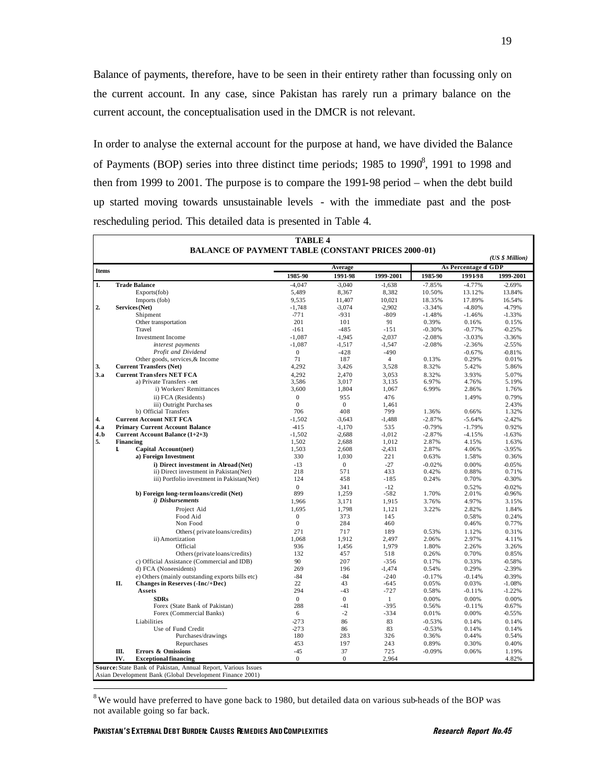Balance of payments, therefore, have to be seen in their entirety rather than focussing only on the current account. In any case, since Pakistan has rarely run a primary balance on the current account, the conceptualisation used in the DMCR is not relevant.

In order to analyse the external account for the purpose at hand, we have divided the Balance of Payments (BOP) series into three distinct time periods; 1985 to 1990 $\delta$ , 1991 to 1998 and then from 1999 to 2001. The purpose is to compare the 1991-98 period – when the debt build up started moving towards unsustainable levels - with the immediate past and the postrescheduling period. This detailed data is presented in Table 4.

|              |                  | <b>BALANCE OF PAYMENT TABLE (CONSTANT PRICES 2000-01)</b> |                  |                |                |                      |          | (US \$ Million) |
|--------------|------------------|-----------------------------------------------------------|------------------|----------------|----------------|----------------------|----------|-----------------|
| <b>Items</b> |                  |                                                           | Average          |                |                | As Percentage of GDP |          |                 |
|              |                  |                                                           | 1985-90          | 1991-98        | 1999-2001      | 1985-90              | 1991-98  | 1999-2001       |
| 1.           |                  | <b>Trade Balance</b>                                      | $-4,047$         | $-3,040$       | $-1,638$       | $-7.85%$             | $-4.77%$ | $-2.69%$        |
|              |                  | Exports(fob)                                              | 5,489            | 8,367          | 8,382          | 10.50%               | 13.12%   | 13.84%          |
|              |                  | Imports (fob)                                             | 9,535            | 11,407         | 10.021         | 18.35%               | 17.89%   | 16.54%          |
| 2.           |                  | Services (Net)                                            | $-1,748$         | $-3.074$       | $-2.902$       | $-3.34%$             | $-4.80%$ | 4.79%           |
|              |                  | Shipment                                                  | $-771$           | $-931$         | $-809$         | $-1.48%$             | $-1.46%$ | $-1.33%$        |
|              |                  | Other transportation                                      | 201              | 101            | 91             | 0.39%                | 0.16%    | 0.15%           |
|              |                  | Travel                                                    | $-161$           | $-485$         | $-151$         | $-0.30%$             | $-0.77%$ | $-0.25%$        |
|              |                  | <b>Investment</b> Income                                  | $-1.087$         | $-1.945$       | $-2.037$       | $-2.08%$             | $-3.03%$ | $-3.36%$        |
|              |                  | interest payments                                         | $-1,087$         | $-1,517$       | $-1,547$       | $-2.08%$             | $-2.36%$ | $-2.55%$        |
|              |                  | Profit and Dividend                                       | $\theta$         | $-428$         | $-490$         |                      | $-0.67%$ | $-0.81%$        |
|              |                  | Other goods, services, & Income                           | 71               | 187            | $\overline{4}$ | 0.13%                | 0.29%    | 0.01%           |
| 3.           |                  | <b>Current Transfers (Net)</b>                            | 4,292            | 3,426          | 3,528          | 8.32%                | 5.42%    | 5.86%           |
| 3.a          |                  | <b>Current Transfers NET FCA</b>                          | 4.292            | 2.470          | 3.053          | 8.32%                | 3.93%    | 5.07%           |
|              |                  | a) Private Transfers - net                                | 3,586            | 3,017          | 3,135          | 6.97%                | 4.76%    | 5.19%           |
|              |                  | i) Workers' Remittances                                   | 3,600            | 1,804          | 1,067          | 6.99%                | 2.86%    | 1.76%           |
|              |                  | ii) FCA (Residents)                                       | $\Omega$         | 955            | 476            |                      | 1.49%    | 0.79%           |
|              |                  | iii) Outright Purchases                                   | $\Omega$         | $\Omega$       | 1.461          |                      |          | 2.43%           |
|              |                  | b) Official Transfers                                     | 706              | 408            | 799            | 1.36%                | 0.66%    | 1.32%           |
| 4.           |                  | <b>Current Account NET FCA</b>                            | $-1.502$         | $-3.643$       | $-1,488$       | $-2.87%$             | $-5.64%$ | $-2.42%$        |
| 4.a          |                  | <b>Primary Current Account Balance</b>                    | $-415$           | $-1,170$       | 535            | $-0.79%$             | $-1.79%$ | 0.92%           |
| 4.b          |                  | Current Account Balance (1+2+3)                           | $-1.502$         | $-2,688$       | $-1.012$       | $-2.87%$             | $-4.15%$ | $-1.63%$        |
| 5.           | <b>Financing</b> |                                                           | 1.502            | 2.688          | 1.012          | 2.87%                | 4.15%    | 1.63%           |
|              | I                | Capital Account(net)                                      | 1.503            | 2.608          | $-2.431$       | 2.87%                | 4.06%    | $-3.95%$        |
|              |                  | a) Foreign Investment                                     | 330              | 1,030          | 221            | 0.63%                | 1.58%    | 0.36%           |
|              |                  | i) Direct investment in Abroad (Net)                      | $-13$            | $\overline{0}$ | $-27$          | $-0.02%$             | 0.00%    | $-0.05%$        |
|              |                  | ii) Direct investment in Pakistan(Net)                    | 218              | 571            | 433            | 0.42%                | 0.88%    | 0.71%           |
|              |                  | iii) Portfolio investment in Pakistan(Net)                | 124              | 458            | $-185$         | 0.24%                | 0.70%    | $-0.30%$        |
|              |                  |                                                           | $\Omega$         | 341            | $-12$          |                      | 0.52%    | $-0.02%$        |
|              |                  | b) Foreign long-term loans/credit (Net)                   | 899              | 1.259          | $-582$         | 1.70%                | 2.01%    | $-0.96%$        |
|              |                  | i) Disbursements                                          | 1,966            | 3,171          | 1,915          | 3.76%                | 4.97%    | 3.15%           |
|              |                  | Project Aid                                               | 1,695            | 1.798          | 1,121          | 3.22%                | 2.82%    | 1.84%           |
|              |                  | Food Aid                                                  | $\overline{0}$   | 373            | 145            |                      | 0.58%    | 0.24%           |
|              |                  | Non Food                                                  | $\boldsymbol{0}$ | 284            | 460            |                      | 0.46%    | 0.77%           |
|              |                  | Others (private loans/credits)                            | 271              | 717            | 189            | 0.53%                | 1.12%    | 0.31%           |
|              |                  | ii) Amortization                                          | 1.068            | 1.912          | 2.497          | 2.06%                | 2.97%    | 4.11%           |
|              |                  | Official                                                  | 936              | 1,456          | 1,979          | 1.80%                | 2.26%    | 3.26%           |
|              |                  | Others (private loans/credits)                            | 132              | 457            | 518            | 0.26%                | 0.70%    | 0.85%           |
|              |                  | c) Official Assistance (Commercial and IDB)               | 90               | 207            | $-356$         | 0.17%                | 0.33%    | $-0.58%$        |
|              |                  | d) FCA (Non-residents)                                    | 269              | 196            | $-1,474$       | 0.54%                | 0.29%    | $-2.39%$        |
|              |                  | e) Others (mainly outstanding exports bills etc)          | $-84$            | $-84$          | $-240$         | $-0.17%$             | $-0.14%$ | $-0.39%$        |
|              | II.              | <b>Changes in Reserves (-Inc/+Dec)</b>                    | 22               | 43             | $-645$         | 0.05%                | 0.03%    | $-1.08%$        |
|              |                  | Assets                                                    | 294              | $-43$          | $-727$         | 0.58%                | $-0.11%$ | $-1.22%$        |
|              |                  | <b>SDRs</b>                                               | $\overline{0}$   | $\mathbf{0}$   | 1              | 0.00%                | 0.00%    | 0.00%           |
|              |                  | Forex (State Bank of Pakistan)                            | 288              | $-41$          | $-395$         | 0.56%                | $-0.11%$ | $-0.67%$        |
|              |                  | Forex (Commercial Banks)                                  | 6                | $-2$           | $-334$         | 0.01%                | 0.00%    | $-0.55%$        |
|              |                  | Liabilities                                               | $-273$           | 86             | 83             | $-0.53%$             | 0.14%    | 0.14%           |
|              |                  | Use of Fund Credit                                        | $-273$           | 86             | 83             | $-0.53%$             | 0.14%    | 0.14%           |
|              |                  | Purchases/drawings                                        | 180              | 283            | 326            | 0.36%                | 0.44%    | 0.54%           |
|              |                  | Repurchases                                               | 453              | 197            | 243            | 0.89%                | 0.30%    | 0.40%           |
|              | Ш.               | Errors & Omissions                                        | $-45$            | 37             | 725            | $-0.09%$             | 0.06%    | 1.19%           |
|              | IV.              | <b>Exceptional financing</b>                              | $\mathbf{0}$     | $\mathbf{0}$   | 2,964          |                      |          | 4.82%           |
|              |                  |                                                           |                  |                |                |                      |          |                 |

 $8$ We would have preferred to have gone back to 1980, but detailed data on various sub-heads of the BOP was not available going so far back.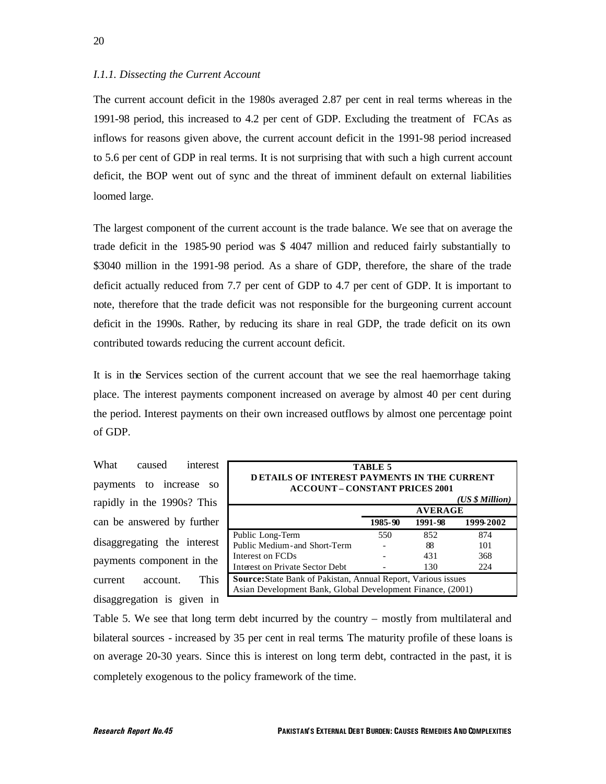#### *I.1.1. Dissecting the Current Account*

The current account deficit in the 1980s averaged 2.87 per cent in real terms whereas in the 1991-98 period, this increased to 4.2 per cent of GDP. Excluding the treatment of FCAs as inflows for reasons given above, the current account deficit in the 1991-98 period increased to 5.6 per cent of GDP in real terms. It is not surprising that with such a high current account deficit, the BOP went out of sync and the threat of imminent default on external liabilities loomed large.

The largest component of the current account is the trade balance. We see that on average the trade deficit in the 1985-90 period was \$ 4047 million and reduced fairly substantially to \$3040 million in the 1991-98 period. As a share of GDP, therefore, the share of the trade deficit actually reduced from 7.7 per cent of GDP to 4.7 per cent of GDP. It is important to note, therefore that the trade deficit was not responsible for the burgeoning current account deficit in the 1990s. Rather, by reducing its share in real GDP, the trade deficit on its own contributed towards reducing the current account deficit.

It is in the Services section of the current account that we see the real haemorrhage taking place. The interest payments component increased on average by almost 40 per cent during the period. Interest payments on their own increased outflows by almost one percentage point of GDP.

What caused interest payments to increase so rapidly in the 1990s? This can be answered by further disaggregating the interest payments component in the current account. This disaggregation is given in

| TABLE 5<br><b>DETAILS OF INTEREST PAYMENTS IN THE CURRENT</b><br><b>ACCOUNT – CONSTANT PRICES 2001</b>                             |     |     |     |  |  |  |
|------------------------------------------------------------------------------------------------------------------------------------|-----|-----|-----|--|--|--|
| (US \$ Million)                                                                                                                    |     |     |     |  |  |  |
| <b>AVERAGE</b>                                                                                                                     |     |     |     |  |  |  |
| 1999-2002<br>1985-90<br>1991-98                                                                                                    |     |     |     |  |  |  |
| Public Long-Term                                                                                                                   | 550 | 852 | 874 |  |  |  |
| Public Medium-and Short-Term                                                                                                       |     | 88  | 101 |  |  |  |
| Interest on FCDs                                                                                                                   |     | 431 | 368 |  |  |  |
| Interest on Private Sector Debt<br>130<br>224                                                                                      |     |     |     |  |  |  |
| <b>Source:</b> State Bank of Pakistan, Annual Report, Various issues<br>Asian Development Bank, Global Development Finance, (2001) |     |     |     |  |  |  |

Table 5. We see that long term debt incurred by the country – mostly from multilateral and bilateral sources - increased by 35 per cent in real terms. The maturity profile of these loans is on average 20-30 years. Since this is interest on long term debt, contracted in the past, it is completely exogenous to the policy framework of the time.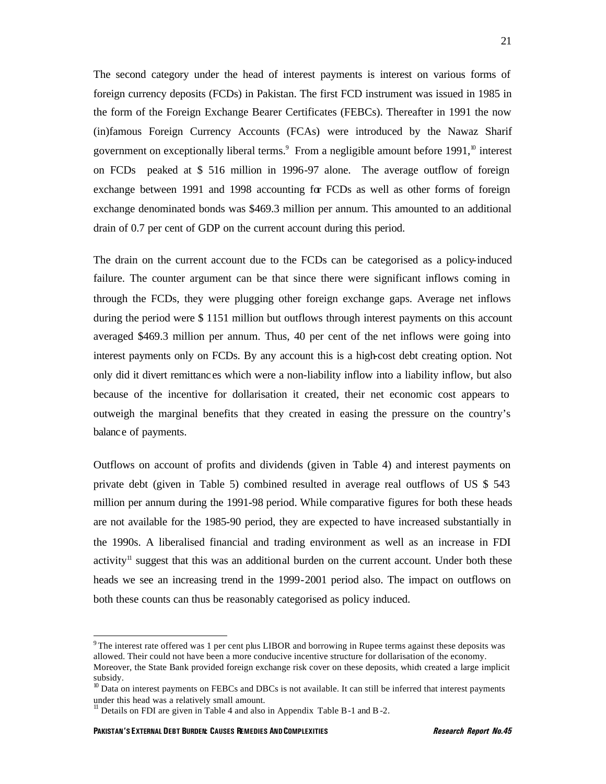The second category under the head of interest payments is interest on various forms of foreign currency deposits (FCDs) in Pakistan. The first FCD instrument was issued in 1985 in the form of the Foreign Exchange Bearer Certificates (FEBCs). Thereafter in 1991 the now (in)famous Foreign Currency Accounts (FCAs) were introduced by the Nawaz Sharif government on exceptionally liberal terms. $\degree$  From a negligible amount before 1991, $\degree$  interest on FCDs peaked at \$ 516 million in 1996-97 alone. The average outflow of foreign exchange between 1991 and 1998 accounting for FCDs as well as other forms of foreign exchange denominated bonds was \$469.3 million per annum. This amounted to an additional drain of 0.7 per cent of GDP on the current account during this period.

The drain on the current account due to the FCDs can be categorised as a policy-induced failure. The counter argument can be that since there were significant inflows coming in through the FCDs, they were plugging other foreign exchange gaps. Average net inflows during the period were \$ 1151 million but outflows through interest payments on this account averaged \$469.3 million per annum. Thus, 40 per cent of the net inflows were going into interest payments only on FCDs. By any account this is a high-cost debt creating option. Not only did it divert remittanc es which were a non-liability inflow into a liability inflow, but also because of the incentive for dollarisation it created, their net economic cost appears to outweigh the marginal benefits that they created in easing the pressure on the country's balance of payments.

Outflows on account of profits and dividends (given in Table 4) and interest payments on private debt (given in Table 5) combined resulted in average real outflows of US \$ 543 million per annum during the 1991-98 period. While comparative figures for both these heads are not available for the 1985-90 period, they are expected to have increased substantially in the 1990s. A liberalised financial and trading environment as well as an increase in FDI activity<sup>11</sup> suggest that this was an additional burden on the current account. Under both these heads we see an increasing trend in the 1999-2001 period also. The impact on outflows on both these counts can thus be reasonably categorised as policy induced.

<sup>&</sup>lt;sup>9</sup>The interest rate offered was 1 per cent plus LIBOR and borrowing in Rupee terms against these deposits was allowed. Their could not have been a more conducive incentive structure for dollarisation of the economy. Moreover, the State Bank provided foreign exchange risk cover on these deposits, which created a large implicit

subsidy.  $10$  Data on interest payments on FEBCs and DBCs is not available. It can still be inferred that interest payments under this head was a relatively small amount.

 $11$  Details on FDI are given in Table 4 and also in Appendix Table B-1 and B-2.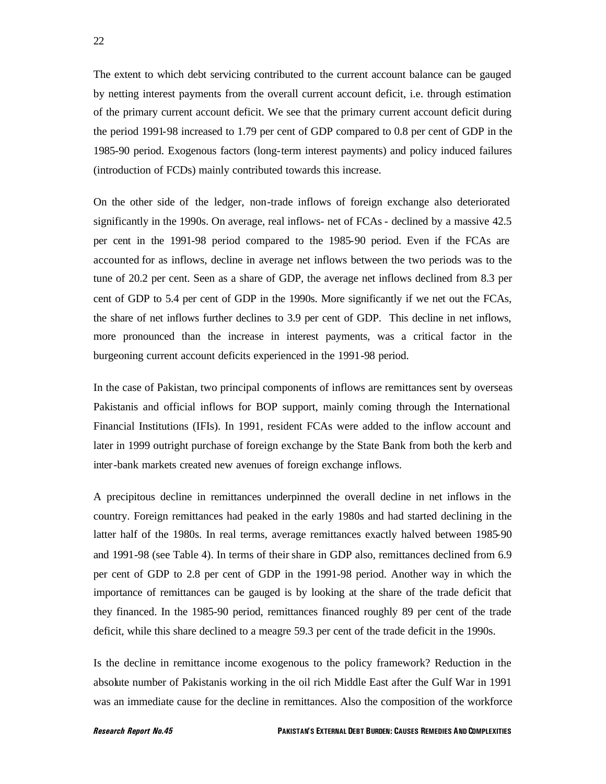The extent to which debt servicing contributed to the current account balance can be gauged by netting interest payments from the overall current account deficit, i.e. through estimation of the primary current account deficit. We see that the primary current account deficit during the period 1991-98 increased to 1.79 per cent of GDP compared to 0.8 per cent of GDP in the 1985-90 period. Exogenous factors (long-term interest payments) and policy induced failures (introduction of FCDs) mainly contributed towards this increase.

On the other side of the ledger, non-trade inflows of foreign exchange also deteriorated significantly in the 1990s. On average, real inflows- net of FCAs - declined by a massive 42.5 per cent in the 1991-98 period compared to the 1985-90 period. Even if the FCAs are accounted for as inflows, decline in average net inflows between the two periods was to the tune of 20.2 per cent. Seen as a share of GDP, the average net inflows declined from 8.3 per cent of GDP to 5.4 per cent of GDP in the 1990s. More significantly if we net out the FCAs, the share of net inflows further declines to 3.9 per cent of GDP. This decline in net inflows, more pronounced than the increase in interest payments, was a critical factor in the burgeoning current account deficits experienced in the 1991-98 period.

In the case of Pakistan, two principal components of inflows are remittances sent by overseas Pakistanis and official inflows for BOP support, mainly coming through the International Financial Institutions (IFIs). In 1991, resident FCAs were added to the inflow account and later in 1999 outright purchase of foreign exchange by the State Bank from both the kerb and inter-bank markets created new avenues of foreign exchange inflows.

A precipitous decline in remittances underpinned the overall decline in net inflows in the country. Foreign remittances had peaked in the early 1980s and had started declining in the latter half of the 1980s. In real terms, average remittances exactly halved between 1985-90 and 1991-98 (see Table 4). In terms of their share in GDP also, remittances declined from 6.9 per cent of GDP to 2.8 per cent of GDP in the 1991-98 period. Another way in which the importance of remittances can be gauged is by looking at the share of the trade deficit that they financed. In the 1985-90 period, remittances financed roughly 89 per cent of the trade deficit, while this share declined to a meagre 59.3 per cent of the trade deficit in the 1990s.

Is the decline in remittance income exogenous to the policy framework? Reduction in the absolute number of Pakistanis working in the oil rich Middle East after the Gulf War in 1991 was an immediate cause for the decline in remittances. Also the composition of the workforce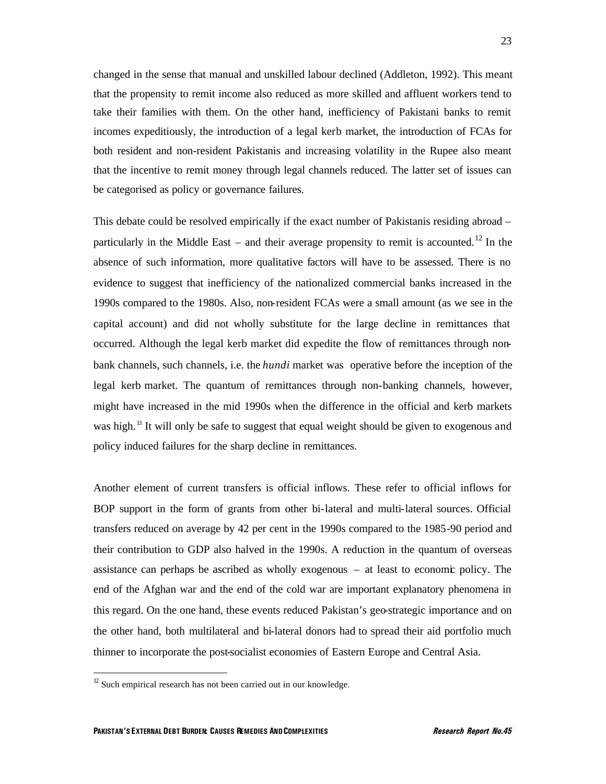changed in the sense that manual and unskilled labour declined (Addleton, 1992). This meant that the propensity to remit income also reduced as more skilled and affluent workers tend to take their families with them. On the other hand, inefficiency of Pakistani banks to remit incomes expeditiously, the introduction of a legal kerb market, the introduction of FCAs for both resident and non-resident Pakistanis and increasing volatility in the Rupee also meant that the incentive to remit money through legal channels reduced. The latter set of issues can be categorised as policy or governance failures.

This debate could be resolved empirically if the exact number of Pakistanis residing abroad – particularly in the Middle East – and their average propensity to remit is accounted.<sup>12</sup> In the absence of such information, more qualitative factors will have to be assessed. There is no evidence to suggest that inefficiency of the nationalized commercial banks increased in the 1990s compared to the 1980s. Also, non-resident FCAs were a small amount (as we see in the capital account) and did not wholly substitute for the large decline in remittances that occurred. Although the legal kerb market did expedite the flow of remittances through nonbank channels, such channels, i.e. the *hundi* market was operative before the inception of the legal kerb market. The quantum of remittances through non-banking channels, however, might have increased in the mid 1990s when the difference in the official and kerb markets was high.<sup>13</sup> It will only be safe to suggest that equal weight should be given to exogenous and policy induced failures for the sharp decline in remittances.

Another element of current transfers is official inflows. These refer to official inflows for BOP support in the form of grants from other bi-lateral and multi-lateral sources. Official transfers reduced on average by 42 per cent in the 1990s compared to the 1985-90 period and their contribution to GDP also halved in the 1990s. A reduction in the quantum of overseas assistance can perhaps be ascribed as wholly exogenous – at least to economic policy. The end of the Afghan war and the end of the cold war are important explanatory phenomena in this regard. On the one hand, these events reduced Pakistan's geo-strategic importance and on the other hand, both multilateral and bi-lateral donors had to spread their aid portfolio much thinner to incorporate the post-socialist economies of Eastern Europe and Central Asia.

 $12$  Such empirical research has not been carried out in our knowledge.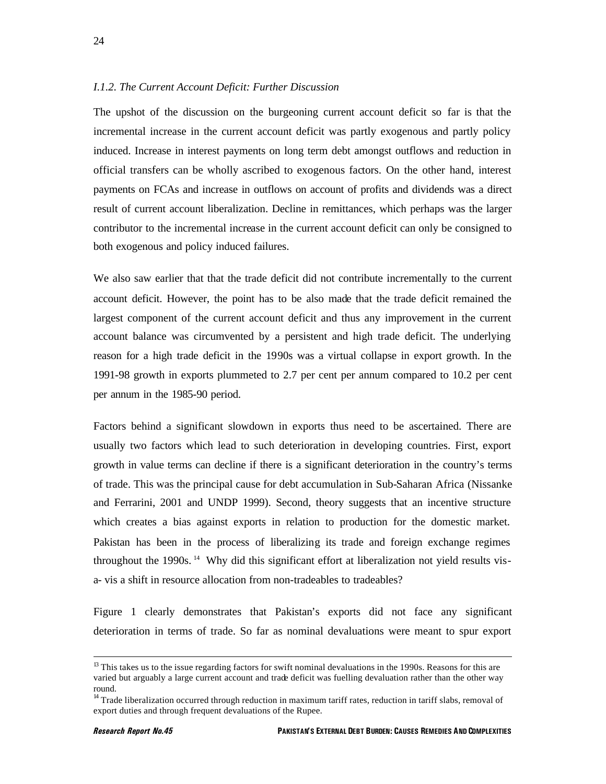### *I.1.2. The Current Account Deficit: Further Discussion*

The upshot of the discussion on the burgeoning current account deficit so far is that the incremental increase in the current account deficit was partly exogenous and partly policy induced. Increase in interest payments on long term debt amongst outflows and reduction in official transfers can be wholly ascribed to exogenous factors. On the other hand, interest payments on FCAs and increase in outflows on account of profits and dividends was a direct result of current account liberalization. Decline in remittances, which perhaps was the larger contributor to the incremental increase in the current account deficit can only be consigned to both exogenous and policy induced failures.

We also saw earlier that that the trade deficit did not contribute incrementally to the current account deficit. However, the point has to be also made that the trade deficit remained the largest component of the current account deficit and thus any improvement in the current account balance was circumvented by a persistent and high trade deficit. The underlying reason for a high trade deficit in the 1990s was a virtual collapse in export growth. In the 1991-98 growth in exports plummeted to 2.7 per cent per annum compared to 10.2 per cent per annum in the 1985-90 period.

Factors behind a significant slowdown in exports thus need to be ascertained. There are usually two factors which lead to such deterioration in developing countries. First, export growth in value terms can decline if there is a significant deterioration in the country's terms of trade. This was the principal cause for debt accumulation in Sub-Saharan Africa (Nissanke and Ferrarini, 2001 and UNDP 1999). Second, theory suggests that an incentive structure which creates a bias against exports in relation to production for the domestic market. Pakistan has been in the process of liberalizing its trade and foreign exchange regimes throughout the 1990s.<sup>14</sup> Why did this significant effort at liberalization not yield results visa- vis a shift in resource allocation from non-tradeables to tradeables?

Figure 1 clearly demonstrates that Pakistan's exports did not face any significant deterioration in terms of trade. So far as nominal devaluations were meant to spur export

<sup>&</sup>lt;sup>13</sup> This takes us to the issue regarding factors for swift nominal devaluations in the 1990s. Reasons for this are varied but arguably a large current account and trade deficit was fuelling devaluation rather than the other way round.

<sup>&</sup>lt;sup>14</sup> Trade liberalization occurred through reduction in maximum tariff rates, reduction in tariff slabs, removal of export duties and through frequent devaluations of the Rupee.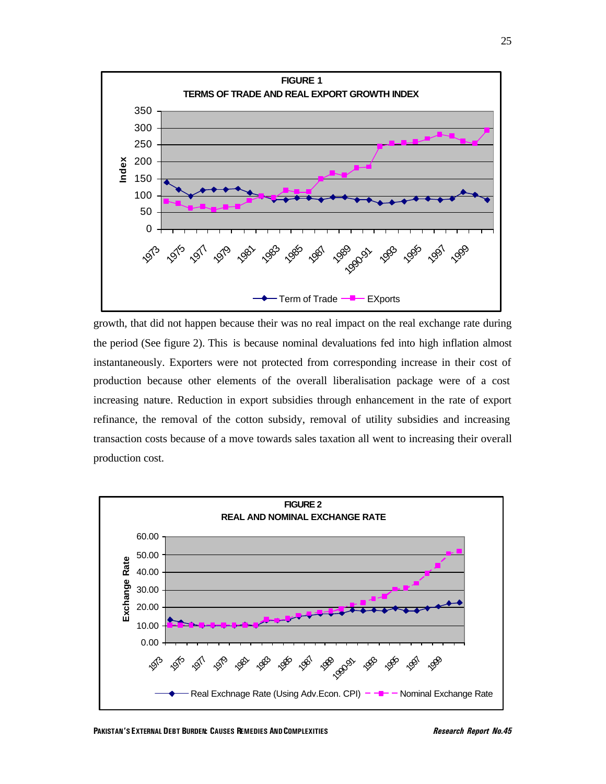

growth, that did not happen because their was no real impact on the real exchange rate during the period (See figure 2). This is because nominal devaluations fed into high inflation almost instantaneously. Exporters were not protected from corresponding increase in their cost of production because other elements of the overall liberalisation package were of a cost increasing nature. Reduction in export subsidies through enhancement in the rate of export refinance, the removal of the cotton subsidy, removal of utility subsidies and increasing transaction costs because of a move towards sales taxation all went to increasing their overall production cost.

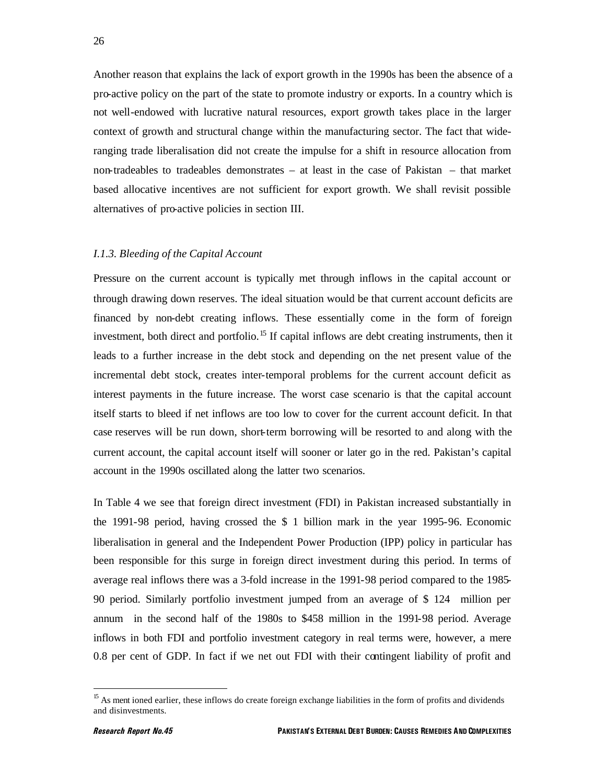Another reason that explains the lack of export growth in the 1990s has been the absence of a pro-active policy on the part of the state to promote industry or exports. In a country which is not well-endowed with lucrative natural resources, export growth takes place in the larger context of growth and structural change within the manufacturing sector. The fact that wideranging trade liberalisation did not create the impulse for a shift in resource allocation from non-tradeables to tradeables demonstrates – at least in the case of Pakistan – that market based allocative incentives are not sufficient for export growth. We shall revisit possible alternatives of pro-active policies in section III.

#### *I.1.3. Bleeding of the Capital Account*

Pressure on the current account is typically met through inflows in the capital account or through drawing down reserves. The ideal situation would be that current account deficits are financed by non-debt creating inflows. These essentially come in the form of foreign investment, both direct and portfolio.<sup>15</sup> If capital inflows are debt creating instruments, then it leads to a further increase in the debt stock and depending on the net present value of the incremental debt stock, creates inter-temporal problems for the current account deficit as interest payments in the future increase. The worst case scenario is that the capital account itself starts to bleed if net inflows are too low to cover for the current account deficit. In that case reserves will be run down, short-term borrowing will be resorted to and along with the current account, the capital account itself will sooner or later go in the red. Pakistan's capital account in the 1990s oscillated along the latter two scenarios.

In Table 4 we see that foreign direct investment (FDI) in Pakistan increased substantially in the 1991-98 period, having crossed the \$ 1 billion mark in the year 1995-96. Economic liberalisation in general and the Independent Power Production (IPP) policy in particular has been responsible for this surge in foreign direct investment during this period. In terms of average real inflows there was a 3-fold increase in the 1991-98 period compared to the 1985- 90 period. Similarly portfolio investment jumped from an average of \$ 124 million per annum in the second half of the 1980s to \$458 million in the 1991-98 period. Average inflows in both FDI and portfolio investment category in real terms were, however, a mere 0.8 per cent of GDP. In fact if we net out FDI with their contingent liability of profit and

<sup>&</sup>lt;sup>15</sup> As ment ioned earlier, these inflows do create foreign exchange liabilities in the form of profits and dividends and disinvestments.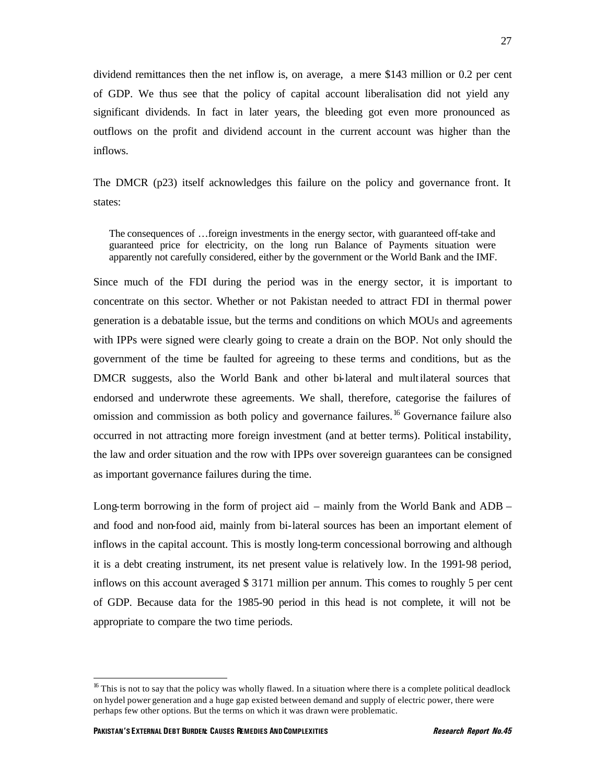dividend remittances then the net inflow is, on average, a mere \$143 million or 0.2 per cent of GDP. We thus see that the policy of capital account liberalisation did not yield any significant dividends. In fact in later years, the bleeding got even more pronounced as outflows on the profit and dividend account in the current account was higher than the inflows.

The DMCR (p23) itself acknowledges this failure on the policy and governance front. It states:

The consequences of …foreign investments in the energy sector, with guaranteed off-take and guaranteed price for electricity, on the long run Balance of Payments situation were apparently not carefully considered, either by the government or the World Bank and the IMF.

Since much of the FDI during the period was in the energy sector, it is important to concentrate on this sector. Whether or not Pakistan needed to attract FDI in thermal power generation is a debatable issue, but the terms and conditions on which MOUs and agreements with IPPs were signed were clearly going to create a drain on the BOP. Not only should the government of the time be faulted for agreeing to these terms and conditions, but as the DMCR suggests, also the World Bank and other bi-lateral and multilateral sources that endorsed and underwrote these agreements. We shall, therefore, categorise the failures of omission and commission as both policy and governance failures.<sup>16</sup> Governance failure also occurred in not attracting more foreign investment (and at better terms). Political instability, the law and order situation and the row with IPPs over sovereign guarantees can be consigned as important governance failures during the time.

Long-term borrowing in the form of project aid – mainly from the World Bank and ADB – and food and non-food aid, mainly from bi-lateral sources has been an important element of inflows in the capital account. This is mostly long-term concessional borrowing and although it is a debt creating instrument, its net present value is relatively low. In the 1991-98 period, inflows on this account averaged \$ 3171 million per annum. This comes to roughly 5 per cent of GDP. Because data for the 1985-90 period in this head is not complete, it will not be appropriate to compare the two time periods.

<sup>&</sup>lt;sup>16</sup> This is not to say that the policy was wholly flawed. In a situation where there is a complete political deadlock on hydel power generation and a huge gap existed between demand and supply of electric power, there were perhaps few other options. But the terms on which it was drawn were problematic.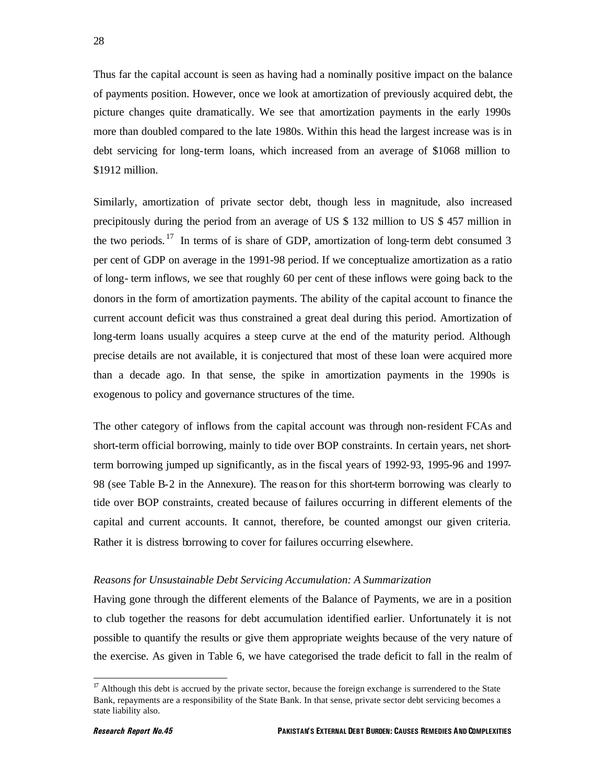Thus far the capital account is seen as having had a nominally positive impact on the balance of payments position. However, once we look at amortization of previously acquired debt, the picture changes quite dramatically. We see that amortization payments in the early 1990s more than doubled compared to the late 1980s. Within this head the largest increase was is in debt servicing for long-term loans, which increased from an average of \$1068 million to \$1912 million.

Similarly, amortization of private sector debt, though less in magnitude, also increased precipitously during the period from an average of US \$ 132 million to US \$ 457 million in the two periods.  $17$  In terms of is share of GDP, amortization of long-term debt consumed 3 per cent of GDP on average in the 1991-98 period. If we conceptualize amortization as a ratio of long- term inflows, we see that roughly 60 per cent of these inflows were going back to the donors in the form of amortization payments. The ability of the capital account to finance the current account deficit was thus constrained a great deal during this period. Amortization of long-term loans usually acquires a steep curve at the end of the maturity period. Although precise details are not available, it is conjectured that most of these loan were acquired more than a decade ago. In that sense, the spike in amortization payments in the 1990s is exogenous to policy and governance structures of the time.

The other category of inflows from the capital account was through non-resident FCAs and short-term official borrowing, mainly to tide over BOP constraints. In certain years, net shortterm borrowing jumped up significantly, as in the fiscal years of 1992-93, 1995-96 and 1997- 98 (see Table B-2 in the Annexure). The reason for this short-term borrowing was clearly to tide over BOP constraints, created because of failures occurring in different elements of the capital and current accounts. It cannot, therefore, be counted amongst our given criteria. Rather it is distress borrowing to cover for failures occurring elsewhere.

#### *Reasons for Unsustainable Debt Servicing Accumulation: A Summarization*

Having gone through the different elements of the Balance of Payments, we are in a position to club together the reasons for debt accumulation identified earlier. Unfortunately it is not possible to quantify the results or give them appropriate weights because of the very nature of the exercise. As given in Table 6, we have categorised the trade deficit to fall in the realm of

 $17$  Although this debt is accrued by the private sector, because the foreign exchange is surrendered to the State Bank, repayments are a responsibility of the State Bank. In that sense, private sector debt servicing becomes a state liability also.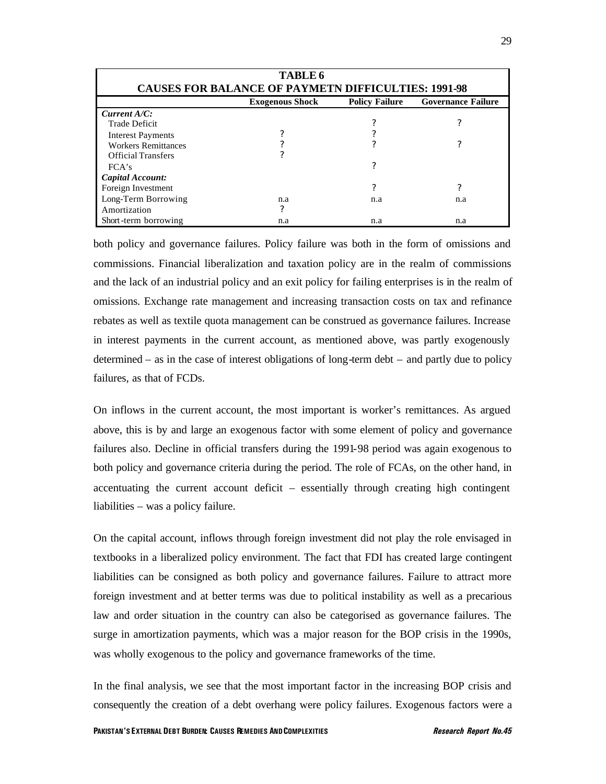| <b>TABLE 6</b><br><b>CAUSES FOR BALANCE OF PAYMETN DIFFICULTIES: 1991-98</b> |                                                                              |     |     |  |  |  |  |  |
|------------------------------------------------------------------------------|------------------------------------------------------------------------------|-----|-----|--|--|--|--|--|
|                                                                              | <b>Governance Failure</b><br><b>Exogenous Shock</b><br><b>Policy Failure</b> |     |     |  |  |  |  |  |
| Current A/C:                                                                 |                                                                              |     |     |  |  |  |  |  |
| <b>Trade Deficit</b>                                                         |                                                                              |     | 7   |  |  |  |  |  |
| <b>Interest Payments</b>                                                     |                                                                              |     |     |  |  |  |  |  |
| <b>Workers Remittances</b>                                                   |                                                                              | 7   | 7   |  |  |  |  |  |
| <b>Official Transfers</b>                                                    |                                                                              |     |     |  |  |  |  |  |
| FCA's                                                                        |                                                                              | ?   |     |  |  |  |  |  |
| Capital Account:                                                             |                                                                              |     |     |  |  |  |  |  |
| Foreign Investment                                                           |                                                                              | 7   | 7   |  |  |  |  |  |
| Long-Term Borrowing                                                          | n.a                                                                          | n.a | n.a |  |  |  |  |  |
| Amortization                                                                 | ?                                                                            |     |     |  |  |  |  |  |
| Short-term borrowing                                                         | n.a                                                                          | n.a | n.a |  |  |  |  |  |

both policy and governance failures. Policy failure was both in the form of omissions and commissions. Financial liberalization and taxation policy are in the realm of commissions and the lack of an industrial policy and an exit policy for failing enterprises is in the realm of omissions. Exchange rate management and increasing transaction costs on tax and refinance rebates as well as textile quota management can be construed as governance failures. Increase in interest payments in the current account, as mentioned above, was partly exogenously determined – as in the case of interest obligations of long-term debt – and partly due to policy failures, as that of FCDs.

On inflows in the current account, the most important is worker's remittances. As argued above, this is by and large an exogenous factor with some element of policy and governance failures also. Decline in official transfers during the 1991-98 period was again exogenous to both policy and governance criteria during the period. The role of FCAs, on the other hand, in accentuating the current account deficit – essentially through creating high contingent liabilities – was a policy failure.

On the capital account, inflows through foreign investment did not play the role envisaged in textbooks in a liberalized policy environment. The fact that FDI has created large contingent liabilities can be consigned as both policy and governance failures. Failure to attract more foreign investment and at better terms was due to political instability as well as a precarious law and order situation in the country can also be categorised as governance failures. The surge in amortization payments, which was a major reason for the BOP crisis in the 1990s, was wholly exogenous to the policy and governance frameworks of the time.

In the final analysis, we see that the most important factor in the increasing BOP crisis and consequently the creation of a debt overhang were policy failures. Exogenous factors were a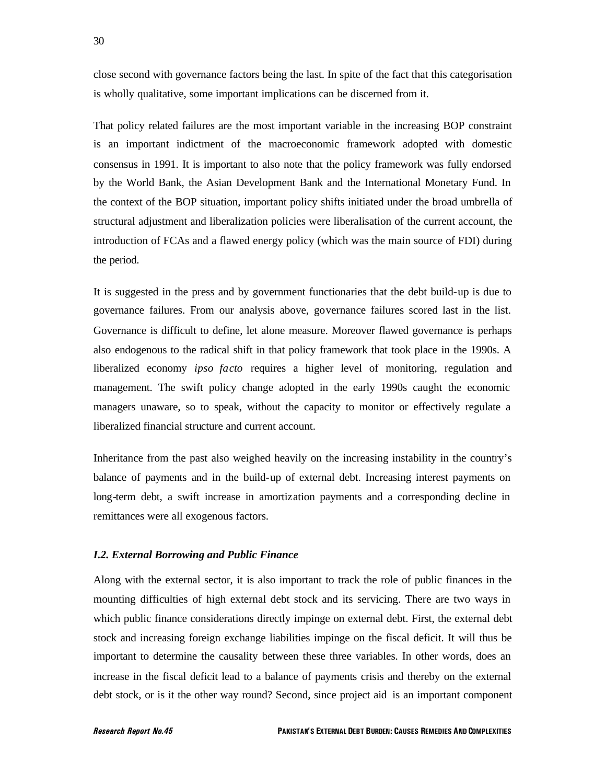close second with governance factors being the last. In spite of the fact that this categorisation is wholly qualitative, some important implications can be discerned from it.

That policy related failures are the most important variable in the increasing BOP constraint is an important indictment of the macroeconomic framework adopted with domestic consensus in 1991. It is important to also note that the policy framework was fully endorsed by the World Bank, the Asian Development Bank and the International Monetary Fund. In the context of the BOP situation, important policy shifts initiated under the broad umbrella of structural adjustment and liberalization policies were liberalisation of the current account, the introduction of FCAs and a flawed energy policy (which was the main source of FDI) during the period.

It is suggested in the press and by government functionaries that the debt build-up is due to governance failures. From our analysis above, governance failures scored last in the list. Governance is difficult to define, let alone measure. Moreover flawed governance is perhaps also endogenous to the radical shift in that policy framework that took place in the 1990s. A liberalized economy *ipso facto* requires a higher level of monitoring, regulation and management. The swift policy change adopted in the early 1990s caught the economic managers unaware, so to speak, without the capacity to monitor or effectively regulate a liberalized financial structure and current account.

Inheritance from the past also weighed heavily on the increasing instability in the country's balance of payments and in the build-up of external debt. Increasing interest payments on long-term debt, a swift increase in amortization payments and a corresponding decline in remittances were all exogenous factors.

### *I.2. External Borrowing and Public Finance*

Along with the external sector, it is also important to track the role of public finances in the mounting difficulties of high external debt stock and its servicing. There are two ways in which public finance considerations directly impinge on external debt. First, the external debt stock and increasing foreign exchange liabilities impinge on the fiscal deficit. It will thus be important to determine the causality between these three variables. In other words, does an increase in the fiscal deficit lead to a balance of payments crisis and thereby on the external debt stock, or is it the other way round? Second, since project aid is an important component

30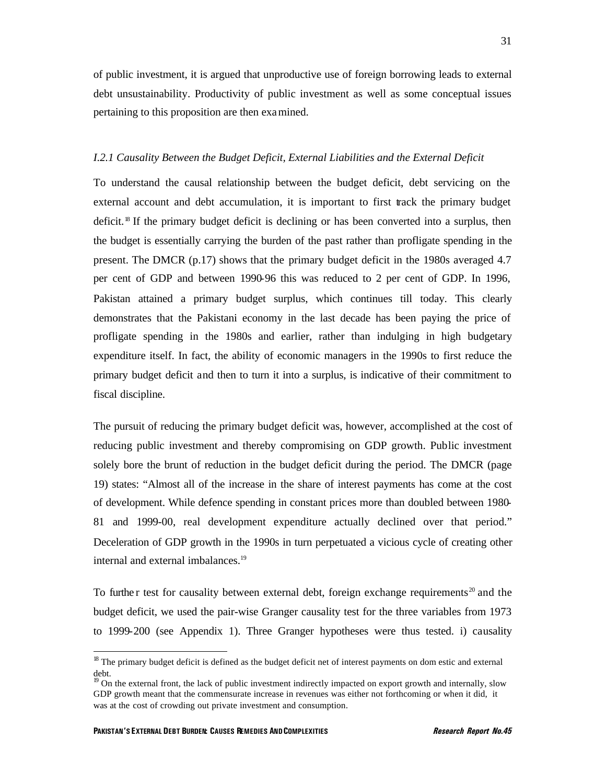of public investment, it is argued that unproductive use of foreign borrowing leads to external debt unsustainability. Productivity of public investment as well as some conceptual issues pertaining to this proposition are then examined.

### *I.2.1 Causality Between the Budget Deficit, External Liabilities and the External Deficit*

To understand the causal relationship between the budget deficit, debt servicing on the external account and debt accumulation, it is important to first track the primary budget deficit.<sup>18</sup> If the primary budget deficit is declining or has been converted into a surplus, then the budget is essentially carrying the burden of the past rather than profligate spending in the present. The DMCR (p.17) shows that the primary budget deficit in the 1980s averaged 4.7 per cent of GDP and between 1990-96 this was reduced to 2 per cent of GDP. In 1996, Pakistan attained a primary budget surplus, which continues till today. This clearly demonstrates that the Pakistani economy in the last decade has been paying the price of profligate spending in the 1980s and earlier, rather than indulging in high budgetary expenditure itself. In fact, the ability of economic managers in the 1990s to first reduce the primary budget deficit and then to turn it into a surplus, is indicative of their commitment to fiscal discipline.

The pursuit of reducing the primary budget deficit was, however, accomplished at the cost of reducing public investment and thereby compromising on GDP growth. Public investment solely bore the brunt of reduction in the budget deficit during the period. The DMCR (page 19) states: "Almost all of the increase in the share of interest payments has come at the cost of development. While defence spending in constant prices more than doubled between 1980- 81 and 1999-00, real development expenditure actually declined over that period." Deceleration of GDP growth in the 1990s in turn perpetuated a vicious cycle of creating other internal and external imbalances.<sup>19</sup>

To furthe r test for causality between external debt, foreign exchange requirements<sup>20</sup> and the budget deficit, we used the pair-wise Granger causality test for the three variables from 1973 to 1999-200 (see Appendix 1). Three Granger hypotheses were thus tested. i) causality

<sup>&</sup>lt;sup>18</sup> The primary budget deficit is defined as the budget deficit net of interest payments on dom estic and external debt.

<sup>&</sup>lt;sup>19</sup> On the external front, the lack of public investment indirectly impacted on export growth and internally, slow GDP growth meant that the commensurate increase in revenues was either not forthcoming or when it did, it was at the cost of crowding out private investment and consumption.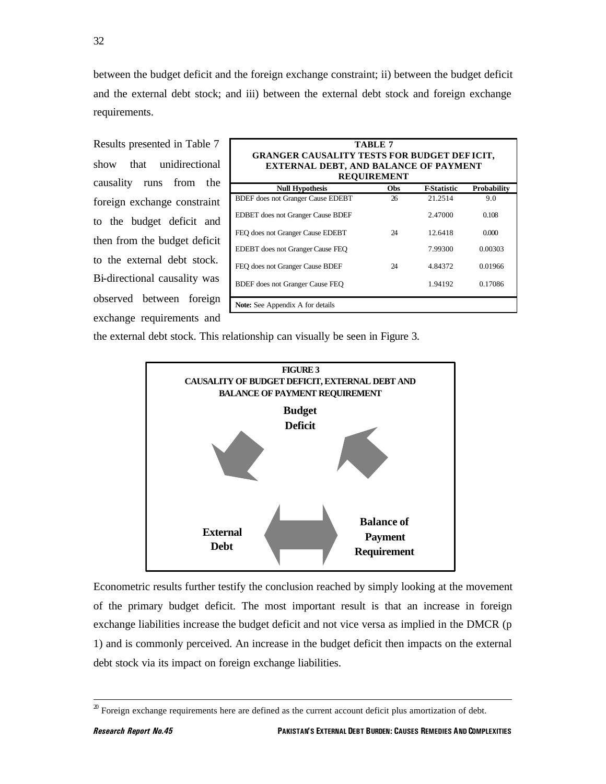32

between the budget deficit and the foreign exchange constraint; ii) between the budget deficit and the external debt stock; and iii) between the external debt stock and foreign exchange requirements.

Results presented in Table 7 show that unidirectional causality runs from the foreign exchange constraint to the budget deficit and then from the budget deficit to the external debt stock. Bi-directional causality was observed between foreign exchange requirements and

| TABLE 7<br><b>GRANGER CAUSALITY TESTS FOR BUDGET DEFICIT,</b><br><b>EXTERNAL DEBT, AND BALANCE OF PAYMENT</b><br><b>REQUIREMENT</b> |     |                    |                    |  |  |  |
|-------------------------------------------------------------------------------------------------------------------------------------|-----|--------------------|--------------------|--|--|--|
| <b>Null Hypothesis</b>                                                                                                              | Obs | <b>F-Statistic</b> | <b>Probability</b> |  |  |  |
| <b>BDEF</b> does not Granger Cause EDEBT                                                                                            | 26  | 21.2514            | 9.0                |  |  |  |
| <b>EDBET</b> does not Granger Cause BDEF                                                                                            |     | 2.47000            | 0.108              |  |  |  |
| FEO does not Granger Cause EDEBT                                                                                                    | 24  | 12.6418            | 0.000              |  |  |  |
| <b>EDEBT</b> does not Granger Cause FEO                                                                                             |     | 7.99300            | 0.00303            |  |  |  |
| FEQ does not Granger Cause BDEF                                                                                                     | 24  | 4.84372            | 0.01966            |  |  |  |
| 0.17086<br>1.94192<br>BDEF does not Granger Cause FEO                                                                               |     |                    |                    |  |  |  |
| <b>Note:</b> See Appendix A for details                                                                                             |     |                    |                    |  |  |  |

the external debt stock. This relationship can visually be seen in Figure 3.



Econometric results further testify the conclusion reached by simply looking at the movement of the primary budget deficit. The most important result is that an increase in foreign exchange liabilities increase the budget deficit and not vice versa as implied in the DMCR (p 1) and is commonly perceived. An increase in the budget deficit then impacts on the external debt stock via its impact on foreign exchange liabilities.

 $20$  Foreign exchange requirements here are defined as the current account deficit plus amortization of debt.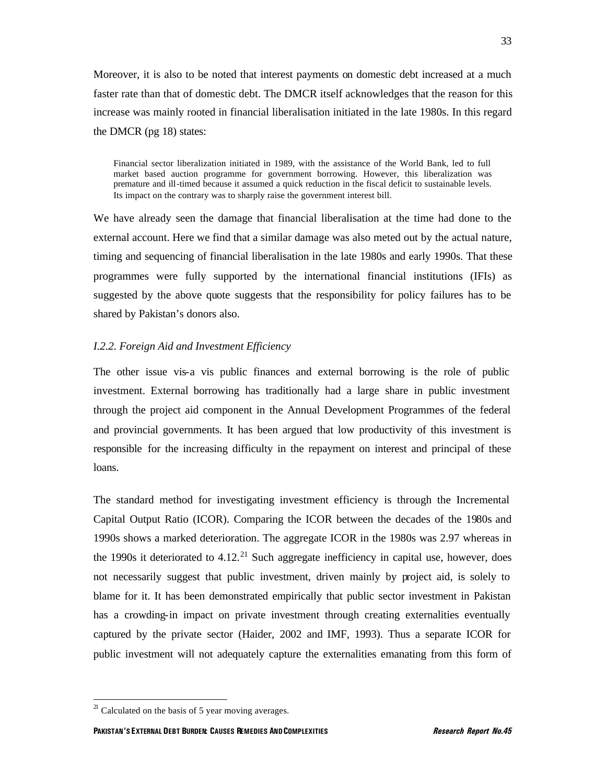Moreover, it is also to be noted that interest payments on domestic debt increased at a much faster rate than that of domestic debt. The DMCR itself acknowledges that the reason for this increase was mainly rooted in financial liberalisation initiated in the late 1980s. In this regard the DMCR (pg 18) states:

Financial sector liberalization initiated in 1989, with the assistance of the World Bank, led to full market based auction programme for government borrowing. However, this liberalization was premature and ill-timed because it assumed a quick reduction in the fiscal deficit to sustainable levels. Its impact on the contrary was to sharply raise the government interest bill.

We have already seen the damage that financial liberalisation at the time had done to the external account. Here we find that a similar damage was also meted out by the actual nature, timing and sequencing of financial liberalisation in the late 1980s and early 1990s. That these programmes were fully supported by the international financial institutions (IFIs) as suggested by the above quote suggests that the responsibility for policy failures has to be shared by Pakistan's donors also.

### *I.2.2. Foreign Aid and Investment Efficiency*

The other issue vis-a vis public finances and external borrowing is the role of public investment. External borrowing has traditionally had a large share in public investment through the project aid component in the Annual Development Programmes of the federal and provincial governments. It has been argued that low productivity of this investment is responsible for the increasing difficulty in the repayment on interest and principal of these loans.

The standard method for investigating investment efficiency is through the Incremental Capital Output Ratio (ICOR). Comparing the ICOR between the decades of the 1980s and 1990s shows a marked deterioration. The aggregate ICOR in the 1980s was 2.97 whereas in the 1990s it deteriorated to  $4.12<sup>21</sup>$  Such aggregate inefficiency in capital use, however, does not necessarily suggest that public investment, driven mainly by project aid, is solely to blame for it. It has been demonstrated empirically that public sector investment in Pakistan has a crowding-in impact on private investment through creating externalities eventually captured by the private sector (Haider, 2002 and IMF, 1993). Thus a separate ICOR for public investment will not adequately capture the externalities emanating from this form of

 $21$  Calculated on the basis of 5 year moving averages.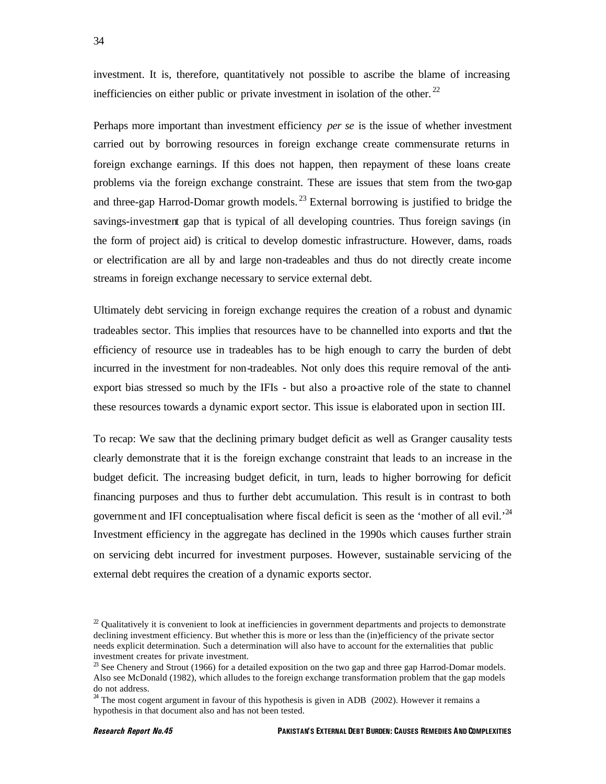investment. It is, therefore, quantitatively not possible to ascribe the blame of increasing inefficiencies on either public or private investment in isolation of the other.<sup>22</sup>

Perhaps more important than investment efficiency *per se* is the issue of whether investment carried out by borrowing resources in foreign exchange create commensurate returns in foreign exchange earnings. If this does not happen, then repayment of these loans create problems via the foreign exchange constraint. These are issues that stem from the two-gap and three-gap Harrod-Domar growth models.<sup>23</sup> External borrowing is justified to bridge the savings-investment gap that is typical of all developing countries. Thus foreign savings (in the form of project aid) is critical to develop domestic infrastructure. However, dams, roads or electrification are all by and large non-tradeables and thus do not directly create income streams in foreign exchange necessary to service external debt.

Ultimately debt servicing in foreign exchange requires the creation of a robust and dynamic tradeables sector. This implies that resources have to be channelled into exports and that the efficiency of resource use in tradeables has to be high enough to carry the burden of debt incurred in the investment for non-tradeables. Not only does this require removal of the antiexport bias stressed so much by the IFIs - but also a pro-active role of the state to channel these resources towards a dynamic export sector. This issue is elaborated upon in section III.

To recap: We saw that the declining primary budget deficit as well as Granger causality tests clearly demonstrate that it is the foreign exchange constraint that leads to an increase in the budget deficit. The increasing budget deficit, in turn, leads to higher borrowing for deficit financing purposes and thus to further debt accumulation. This result is in contrast to both government and IFI conceptualisation where fiscal deficit is seen as the 'mother of all evil.<sup>24</sup> Investment efficiency in the aggregate has declined in the 1990s which causes further strain on servicing debt incurred for investment purposes. However, sustainable servicing of the external debt requires the creation of a dynamic exports sector.

 $2<sup>2</sup>$  Qualitatively it is convenient to look at inefficiencies in government departments and projects to demonstrate declining investment efficiency. But whether this is more or less than the (in)efficiency of the private sector needs explicit determination. Such a determination will also have to account for the externalities that public investment creates for private investment.

 $2<sup>3</sup>$  See Chenery and Strout (1966) for a detailed exposition on the two gap and three gap Harrod-Domar models. Also see McDonald (1982), which alludes to the foreign exchange transformation problem that the gap models do not address.

 $24$  The most cogent argument in favour of this hypothesis is given in ADB (2002). However it remains a hypothesis in that document also and has not been tested.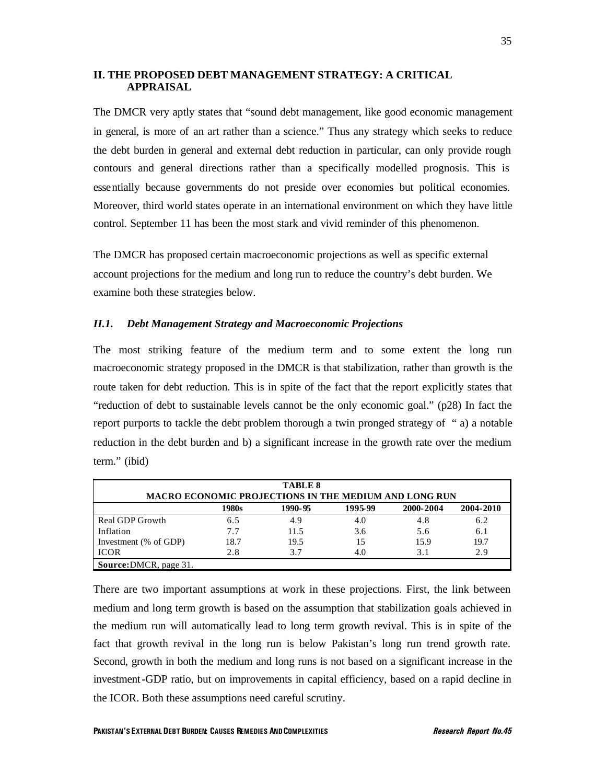### **II. THE PROPOSED DEBT MANAGEMENT STRATEGY: A CRITICAL APPRAISAL**

The DMCR very aptly states that "sound debt management, like good economic management in general, is more of an art rather than a science." Thus any strategy which seeks to reduce the debt burden in general and external debt reduction in particular, can only provide rough contours and general directions rather than a specifically modelled prognosis. This is essentially because governments do not preside over economies but political economies. Moreover, third world states operate in an international environment on which they have little control. September 11 has been the most stark and vivid reminder of this phenomenon.

The DMCR has proposed certain macroeconomic projections as well as specific external account projections for the medium and long run to reduce the country's debt burden. We examine both these strategies below.

### *II.1. Debt Management Strategy and Macroeconomic Projections*

The most striking feature of the medium term and to some extent the long run macroeconomic strategy proposed in the DMCR is that stabilization, rather than growth is the route taken for debt reduction. This is in spite of the fact that the report explicitly states that "reduction of debt to sustainable levels cannot be the only economic goal." (p28) In fact the report purports to tackle the debt problem thorough a twin pronged strategy of " a) a notable reduction in the debt burden and b) a significant increase in the growth rate over the medium term." (ibid)

| <b>TABLE 8</b><br><b>MACRO ECONOMIC PROJECTIONS IN THE MEDIUM AND LONG RUN</b> |       |         |         |           |           |  |
|--------------------------------------------------------------------------------|-------|---------|---------|-----------|-----------|--|
|                                                                                | 1980s | 1990-95 | 1995-99 | 2000-2004 | 2004-2010 |  |
| Real GDP Growth                                                                | 6.5   | 4.9     | 4.0     | 4.8       | 6.2       |  |
| Inflation                                                                      | 7.7   | 11.5    | 3.6     | 5.6       | 6.1       |  |
| Investment (% of GDP)                                                          | 18.7  | 19.5    | 15      | 15.9      | 19.7      |  |
| <b>ICOR</b>                                                                    | 2.8   | 3.7     | 4.0     | 3.1       | 2.9       |  |
| <b>Source: DMCR</b> , page 31.                                                 |       |         |         |           |           |  |

There are two important assumptions at work in these projections. First, the link between medium and long term growth is based on the assumption that stabilization goals achieved in the medium run will automatically lead to long term growth revival. This is in spite of the fact that growth revival in the long run is below Pakistan's long run trend growth rate. Second, growth in both the medium and long runs is not based on a significant increase in the investment-GDP ratio, but on improvements in capital efficiency, based on a rapid decline in the ICOR. Both these assumptions need careful scrutiny.

35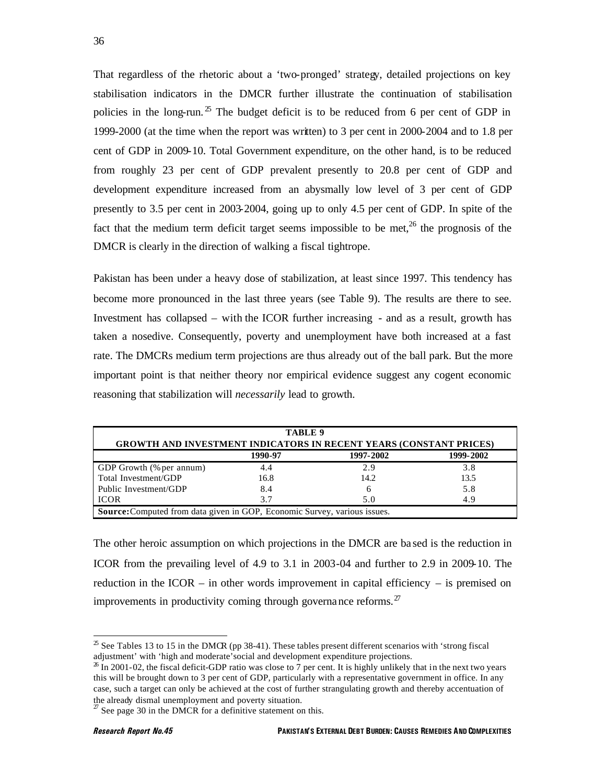That regardless of the rhetoric about a 'two-pronged' strategy, detailed projections on key stabilisation indicators in the DMCR further illustrate the continuation of stabilisation policies in the long-run.<sup>25</sup> The budget deficit is to be reduced from 6 per cent of GDP in 1999-2000 (at the time when the report was written) to 3 per cent in 2000-2004 and to 1.8 per cent of GDP in 2009-10. Total Government expenditure, on the other hand, is to be reduced from roughly 23 per cent of GDP prevalent presently to 20.8 per cent of GDP and development expenditure increased from an abysmally low level of 3 per cent of GDP presently to 3.5 per cent in 2003-2004, going up to only 4.5 per cent of GDP. In spite of the fact that the medium term deficit target seems impossible to be met, $^{26}$  the prognosis of the DMCR is clearly in the direction of walking a fiscal tightrope.

Pakistan has been under a heavy dose of stabilization, at least since 1997. This tendency has become more pronounced in the last three years (see Table 9). The results are there to see. Investment has collapsed – with the ICOR further increasing - and as a result, growth has taken a nosedive. Consequently, poverty and unemployment have both increased at a fast rate. The DMCRs medium term projections are thus already out of the ball park. But the more important point is that neither theory nor empirical evidence suggest any cogent economic reasoning that stabilization will *necessarily* lead to growth.

| TABLE 9                                                                   |         |           |                                                                                  |  |  |  |  |  |
|---------------------------------------------------------------------------|---------|-----------|----------------------------------------------------------------------------------|--|--|--|--|--|
| <b>GROWTH AND INVESTMENT INDICATORS IN RECENT YEARS (CONSTANT PRICES)</b> |         |           |                                                                                  |  |  |  |  |  |
|                                                                           | 1990-97 | 1997-2002 | 1999-2002                                                                        |  |  |  |  |  |
| GDP Growth (% per annum)                                                  | 4.4     | 2.9       | 3.8                                                                              |  |  |  |  |  |
| Total Investment/GDP                                                      | 16.8    | 14.2      | 13.5                                                                             |  |  |  |  |  |
| Public Investment/GDP                                                     | 8.4     | h         | 5.8                                                                              |  |  |  |  |  |
| <b>ICOR</b><br>3.7<br>4.9<br>5.0                                          |         |           |                                                                                  |  |  |  |  |  |
|                                                                           |         |           | <b>Source:</b> Computed from data given in GOP, Economic Survey, various issues. |  |  |  |  |  |

The other heroic assumption on which projections in the DMCR are ba sed is the reduction in ICOR from the prevailing level of 4.9 to 3.1 in 2003-04 and further to 2.9 in 2009-10. The reduction in the ICOR – in other words improvement in capital efficiency – is premised on improvements in productivity coming through governance reforms.<sup>27</sup>

 $25$  See Tables 13 to 15 in the DMCR (pp 38-41). These tables present different scenarios with 'strong fiscal adjustment' with 'high and moderate'social and development expenditure projections.

 $\frac{26}{10}$  In 2001-02, the fiscal deficit-GDP ratio was close to 7 per cent. It is highly unlikely that in the next two years this will be brought down to 3 per cent of GDP, particularly with a representative government in office. In any case, such a target can only be achieved at the cost of further strangulating growth and thereby accentuation of the already dismal unemployment and poverty situation.

 $27$  See page 30 in the DMCR for a definitive statement on this.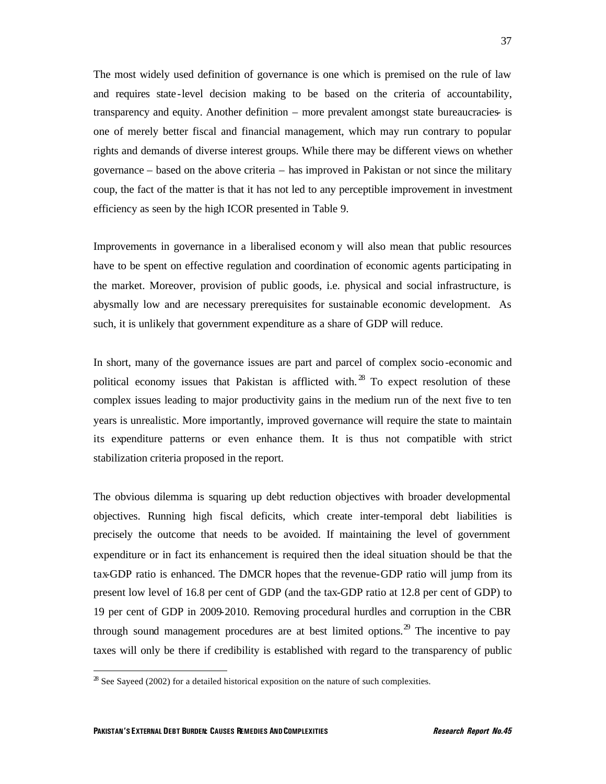The most widely used definition of governance is one which is premised on the rule of law and requires state -level decision making to be based on the criteria of accountability, transparency and equity. Another definition – more prevalent amongst state bureaucracies- is one of merely better fiscal and financial management, which may run contrary to popular rights and demands of diverse interest groups. While there may be different views on whether governance – based on the above criteria – has improved in Pakistan or not since the military coup, the fact of the matter is that it has not led to any perceptible improvement in investment efficiency as seen by the high ICOR presented in Table 9.

Improvements in governance in a liberalised econom y will also mean that public resources have to be spent on effective regulation and coordination of economic agents participating in the market. Moreover, provision of public goods, i.e. physical and social infrastructure, is abysmally low and are necessary prerequisites for sustainable economic development. As such, it is unlikely that government expenditure as a share of GDP will reduce.

In short, many of the governance issues are part and parcel of complex socio-economic and political economy issues that Pakistan is afflicted with.<sup>28</sup> To expect resolution of these complex issues leading to major productivity gains in the medium run of the next five to ten years is unrealistic. More importantly, improved governance will require the state to maintain its expenditure patterns or even enhance them. It is thus not compatible with strict stabilization criteria proposed in the report.

The obvious dilemma is squaring up debt reduction objectives with broader developmental objectives. Running high fiscal deficits, which create inter-temporal debt liabilities is precisely the outcome that needs to be avoided. If maintaining the level of government expenditure or in fact its enhancement is required then the ideal situation should be that the tax-GDP ratio is enhanced. The DMCR hopes that the revenue-GDP ratio will jump from its present low level of 16.8 per cent of GDP (and the tax-GDP ratio at 12.8 per cent of GDP) to 19 per cent of GDP in 2009-2010. Removing procedural hurdles and corruption in the CBR through sound management procedures are at best limited options.<sup>29</sup> The incentive to pay taxes will only be there if credibility is established with regard to the transparency of public

 $28$  See Sayeed (2002) for a detailed historical exposition on the nature of such complexities.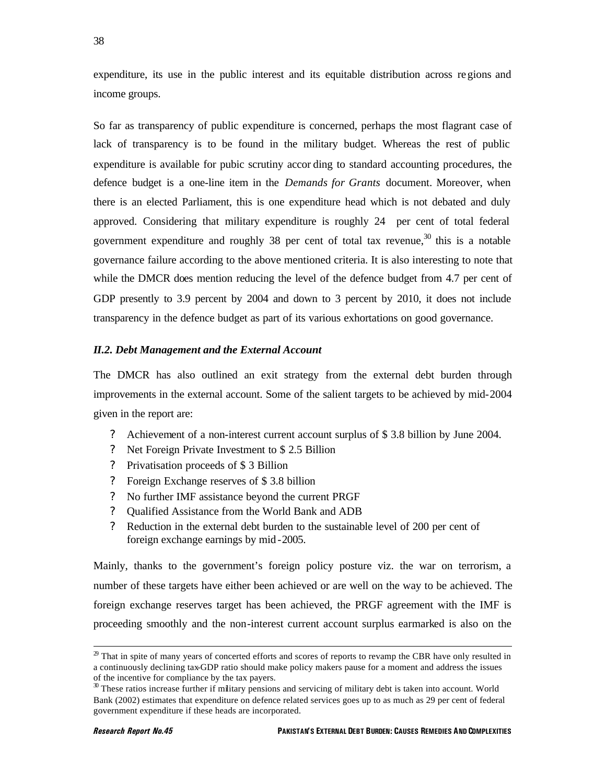38

expenditure, its use in the public interest and its equitable distribution across regions and income groups.

So far as transparency of public expenditure is concerned, perhaps the most flagrant case of lack of transparency is to be found in the military budget. Whereas the rest of public expenditure is available for pubic scrutiny accor ding to standard accounting procedures, the defence budget is a one-line item in the *Demands for Grants* document. Moreover, when there is an elected Parliament, this is one expenditure head which is not debated and duly approved. Considering that military expenditure is roughly 24 per cent of total federal government expenditure and roughly 38 per cent of total tax revenue, $30$  this is a notable governance failure according to the above mentioned criteria. It is also interesting to note that while the DMCR does mention reducing the level of the defence budget from 4.7 per cent of GDP presently to 3.9 percent by 2004 and down to 3 percent by 2010, it does not include transparency in the defence budget as part of its various exhortations on good governance.

### *II.2. Debt Management and the External Account*

The DMCR has also outlined an exit strategy from the external debt burden through improvements in the external account. Some of the salient targets to be achieved by mid-2004 given in the report are:

- ? Achievement of a non-interest current account surplus of \$ 3.8 billion by June 2004.
- ? Net Foreign Private Investment to \$ 2.5 Billion
- ? Privatisation proceeds of \$ 3 Billion
- ? Foreign Exchange reserves of \$ 3.8 billion
- ? No further IMF assistance beyond the current PRGF
- ? Qualified Assistance from the World Bank and ADB
- ? Reduction in the external debt burden to the sustainable level of 200 per cent of foreign exchange earnings by mid -2005.

Mainly, thanks to the government's foreign policy posture viz. the war on terrorism, a number of these targets have either been achieved or are well on the way to be achieved. The foreign exchange reserves target has been achieved, the PRGF agreement with the IMF is proceeding smoothly and the non-interest current account surplus earmarked is also on the

 $2<sup>9</sup>$  That in spite of many years of concerted efforts and scores of reports to revamp the CBR have only resulted in a continuously declining tax-GDP ratio should make policy makers pause for a moment and address the issues of the incentive for compliance by the tax payers.

 $30$  These ratios increase further if military pensions and servicing of military debt is taken into account. World Bank (2002) estimates that expenditure on defence related services goes up to as much as 29 per cent of federal government expenditure if these heads are incorporated.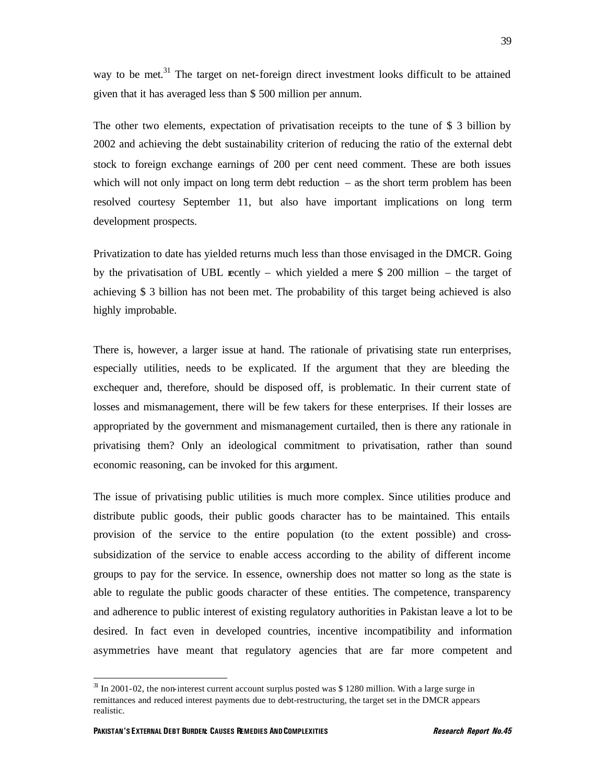way to be met.<sup>31</sup> The target on net-foreign direct investment looks difficult to be attained given that it has averaged less than \$ 500 million per annum.

The other two elements, expectation of privatisation receipts to the tune of \$ 3 billion by 2002 and achieving the debt sustainability criterion of reducing the ratio of the external debt stock to foreign exchange earnings of 200 per cent need comment. These are both issues which will not only impact on long term debt reduction  $-$  as the short term problem has been resolved courtesy September 11, but also have important implications on long term development prospects.

Privatization to date has yielded returns much less than those envisaged in the DMCR. Going by the privatisation of UBL recently – which yielded a mere \$ 200 million – the target of achieving \$ 3 billion has not been met. The probability of this target being achieved is also highly improbable.

There is, however, a larger issue at hand. The rationale of privatising state run enterprises, especially utilities, needs to be explicated. If the argument that they are bleeding the exchequer and, therefore, should be disposed off, is problematic. In their current state of losses and mismanagement, there will be few takers for these enterprises. If their losses are appropriated by the government and mismanagement curtailed, then is there any rationale in privatising them? Only an ideological commitment to privatisation, rather than sound economic reasoning, can be invoked for this argument.

The issue of privatising public utilities is much more complex. Since utilities produce and distribute public goods, their public goods character has to be maintained. This entails provision of the service to the entire population (to the extent possible) and crosssubsidization of the service to enable access according to the ability of different income groups to pay for the service. In essence, ownership does not matter so long as the state is able to regulate the public goods character of these entities. The competence, transparency and adherence to public interest of existing regulatory authorities in Pakistan leave a lot to be desired. In fact even in developed countries, incentive incompatibility and information asymmetries have meant that regulatory agencies that are far more competent and

 $31$  In 2001-02, the non-interest current account surplus posted was \$ 1280 million. With a large surge in remittances and reduced interest payments due to debt-restructuring, the target set in the DMCR appears realistic.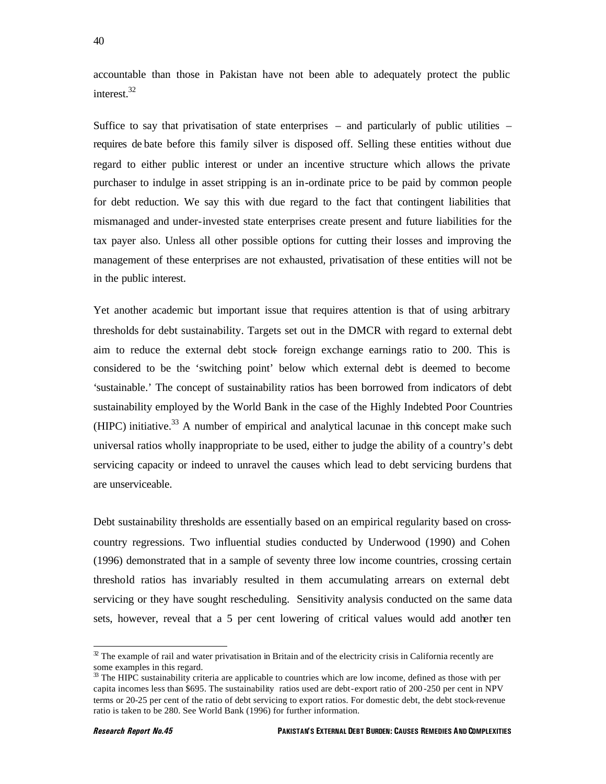accountable than those in Pakistan have not been able to adequately protect the public interest.<sup>32</sup>

Suffice to say that privatisation of state enterprises – and particularly of public utilities – requires de bate before this family silver is disposed off. Selling these entities without due regard to either public interest or under an incentive structure which allows the private purchaser to indulge in asset stripping is an in-ordinate price to be paid by common people for debt reduction. We say this with due regard to the fact that contingent liabilities that mismanaged and under-invested state enterprises create present and future liabilities for the tax payer also. Unless all other possible options for cutting their losses and improving the management of these enterprises are not exhausted, privatisation of these entities will not be in the public interest.

Yet another academic but important issue that requires attention is that of using arbitrary thresholds for debt sustainability. Targets set out in the DMCR with regard to external debt aim to reduce the external debt stock- foreign exchange earnings ratio to 200. This is considered to be the 'switching point' below which external debt is deemed to become 'sustainable.' The concept of sustainability ratios has been borrowed from indicators of debt sustainability employed by the World Bank in the case of the Highly Indebted Poor Countries  $(HIPC)$  initiative.<sup>33</sup> A number of empirical and analytical lacunae in this concept make such universal ratios wholly inappropriate to be used, either to judge the ability of a country's debt servicing capacity or indeed to unravel the causes which lead to debt servicing burdens that are unserviceable.

Debt sustainability thresholds are essentially based on an empirical regularity based on crosscountry regressions. Two influential studies conducted by Underwood (1990) and Cohen (1996) demonstrated that in a sample of seventy three low income countries, crossing certain threshold ratios has invariably resulted in them accumulating arrears on external debt servicing or they have sought rescheduling. Sensitivity analysis conducted on the same data sets, however, reveal that a 5 per cent lowering of critical values would add another ten

 $32$  The example of rail and water privatisation in Britain and of the electricity crisis in California recently are some examples in this regard.

 $33$  The HIPC sustainability criteria are applicable to countries which are low income, defined as those with per capita incomes less than \$695. The sustainability ratios used are debt-export ratio of 200 -250 per cent in NPV terms or 20-25 per cent of the ratio of debt servicing to export ratios. For domestic debt, the debt stock-revenue ratio is taken to be 280. See World Bank (1996) for further information.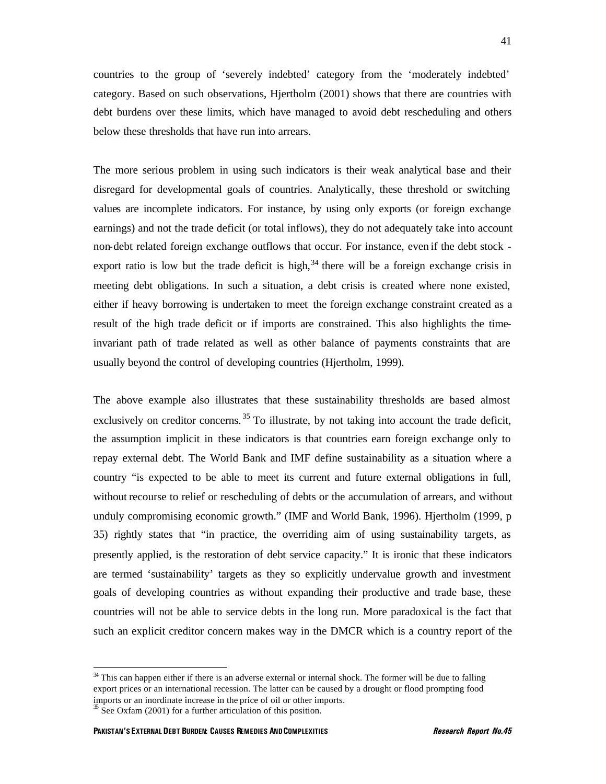countries to the group of 'severely indebted' category from the 'moderately indebted' category. Based on such observations, Hjertholm (2001) shows that there are countries with debt burdens over these limits, which have managed to avoid debt rescheduling and others below these thresholds that have run into arrears.

The more serious problem in using such indicators is their weak analytical base and their disregard for developmental goals of countries. Analytically, these threshold or switching values are incomplete indicators. For instance, by using only exports (or foreign exchange earnings) and not the trade deficit (or total inflows), they do not adequately take into account non-debt related foreign exchange outflows that occur. For instance, even if the debt stock export ratio is low but the trade deficit is high,  $34$  there will be a foreign exchange crisis in meeting debt obligations. In such a situation, a debt crisis is created where none existed, either if heavy borrowing is undertaken to meet the foreign exchange constraint created as a result of the high trade deficit or if imports are constrained. This also highlights the timeinvariant path of trade related as well as other balance of payments constraints that are usually beyond the control of developing countries (Hjertholm, 1999).

The above example also illustrates that these sustainability thresholds are based almost exclusively on creditor concerns.<sup>35</sup> To illustrate, by not taking into account the trade deficit, the assumption implicit in these indicators is that countries earn foreign exchange only to repay external debt. The World Bank and IMF define sustainability as a situation where a country "is expected to be able to meet its current and future external obligations in full, without recourse to relief or rescheduling of debts or the accumulation of arrears, and without unduly compromising economic growth." (IMF and World Bank, 1996). Hjertholm (1999, p 35) rightly states that "in practice, the overriding aim of using sustainability targets, as presently applied, is the restoration of debt service capacity." It is ironic that these indicators are termed 'sustainability' targets as they so explicitly undervalue growth and investment goals of developing countries as without expanding their productive and trade base, these countries will not be able to service debts in the long run. More paradoxical is the fact that such an explicit creditor concern makes way in the DMCR which is a country report of the

<sup>&</sup>lt;sup>34</sup> This can happen either if there is an adverse external or internal shock. The former will be due to falling export prices or an international recession. The latter can be caused by a drought or flood prompting food imports or an inordinate increase in the price of oil or other imports.

 $\frac{35}{5}$  See Oxfam (2001) for a further articulation of this position.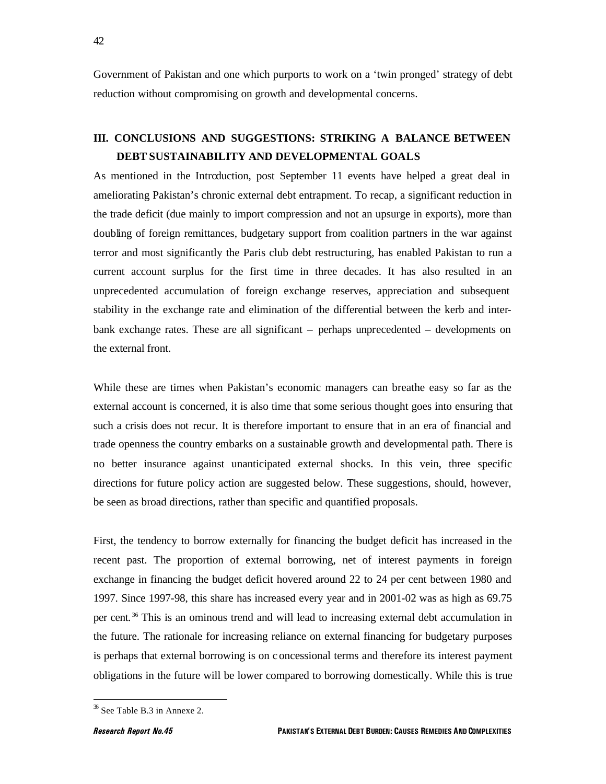Government of Pakistan and one which purports to work on a 'twin pronged' strategy of debt reduction without compromising on growth and developmental concerns.

### **III. CONCLUSIONS AND SUGGESTIONS: STRIKING A BALANCE BETWEEN DEBT SUSTAINABILITY AND DEVELOPMENTAL GOALS**

As mentioned in the Introduction, post September 11 events have helped a great deal in ameliorating Pakistan's chronic external debt entrapment. To recap, a significant reduction in the trade deficit (due mainly to import compression and not an upsurge in exports), more than doubling of foreign remittances, budgetary support from coalition partners in the war against terror and most significantly the Paris club debt restructuring, has enabled Pakistan to run a current account surplus for the first time in three decades. It has also resulted in an unprecedented accumulation of foreign exchange reserves, appreciation and subsequent stability in the exchange rate and elimination of the differential between the kerb and interbank exchange rates. These are all significant – perhaps unprecedented – developments on the external front.

While these are times when Pakistan's economic managers can breathe easy so far as the external account is concerned, it is also time that some serious thought goes into ensuring that such a crisis does not recur. It is therefore important to ensure that in an era of financial and trade openness the country embarks on a sustainable growth and developmental path. There is no better insurance against unanticipated external shocks. In this vein, three specific directions for future policy action are suggested below. These suggestions, should, however, be seen as broad directions, rather than specific and quantified proposals.

First, the tendency to borrow externally for financing the budget deficit has increased in the recent past. The proportion of external borrowing, net of interest payments in foreign exchange in financing the budget deficit hovered around 22 to 24 per cent between 1980 and 1997. Since 1997-98, this share has increased every year and in 2001-02 was as high as 69.75 per cent. <sup>36</sup> This is an ominous trend and will lead to increasing external debt accumulation in the future. The rationale for increasing reliance on external financing for budgetary purposes is perhaps that external borrowing is on c oncessional terms and therefore its interest payment obligations in the future will be lower compared to borrowing domestically. While this is true

 $36$  See Table B.3 in Annexe 2.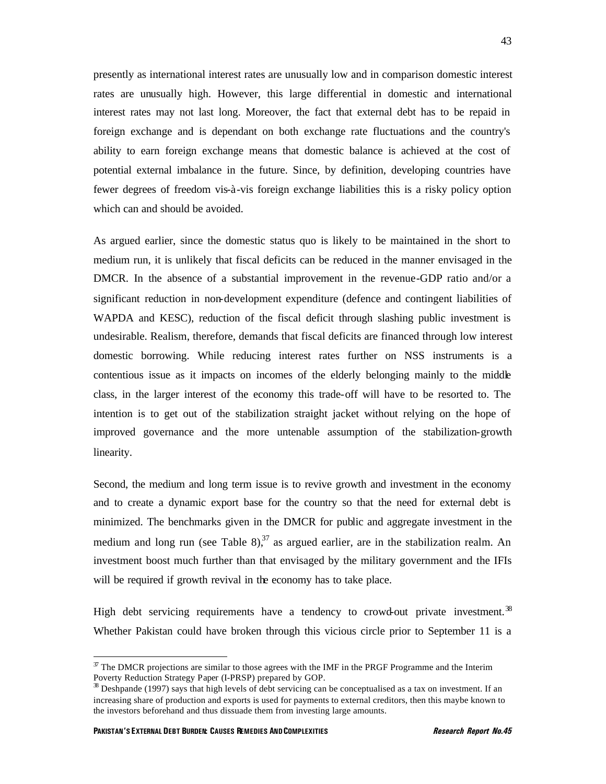presently as international interest rates are unusually low and in comparison domestic interest rates are unusually high. However, this large differential in domestic and international interest rates may not last long. Moreover, the fact that external debt has to be repaid in foreign exchange and is dependant on both exchange rate fluctuations and the country's ability to earn foreign exchange means that domestic balance is achieved at the cost of potential external imbalance in the future. Since, by definition, developing countries have fewer degrees of freedom vis-à-vis foreign exchange liabilities this is a risky policy option which can and should be avoided.

As argued earlier, since the domestic status quo is likely to be maintained in the short to medium run, it is unlikely that fiscal deficits can be reduced in the manner envisaged in the DMCR. In the absence of a substantial improvement in the revenue-GDP ratio and/or a significant reduction in non-development expenditure (defence and contingent liabilities of WAPDA and KESC), reduction of the fiscal deficit through slashing public investment is undesirable. Realism, therefore, demands that fiscal deficits are financed through low interest domestic borrowing. While reducing interest rates further on NSS instruments is a contentious issue as it impacts on incomes of the elderly belonging mainly to the middle class, in the larger interest of the economy this trade-off will have to be resorted to. The intention is to get out of the stabilization straight jacket without relying on the hope of improved governance and the more untenable assumption of the stabilization-growth linearity.

Second, the medium and long term issue is to revive growth and investment in the economy and to create a dynamic export base for the country so that the need for external debt is minimized. The benchmarks given in the DMCR for public and aggregate investment in the medium and long run (see Table  $8$ ).<sup>37</sup> as argued earlier, are in the stabilization realm. An investment boost much further than that envisaged by the military government and the IFIs will be required if growth revival in the economy has to take place.

High debt servicing requirements have a tendency to crowd-out private investment.<sup>38</sup> Whether Pakistan could have broken through this vicious circle prior to September 11 is a

 $37$  The DMCR projections are similar to those agrees with the IMF in the PRGF Programme and the Interim Poverty Reduction Strategy Paper (I-PRSP) prepared by GOP.

 $38$  Deshpande (1997) says that high levels of debt servicing can be conceptualised as a tax on investment. If an increasing share of production and exports is used for payments to external creditors, then this maybe known to the investors beforehand and thus dissuade them from investing large amounts.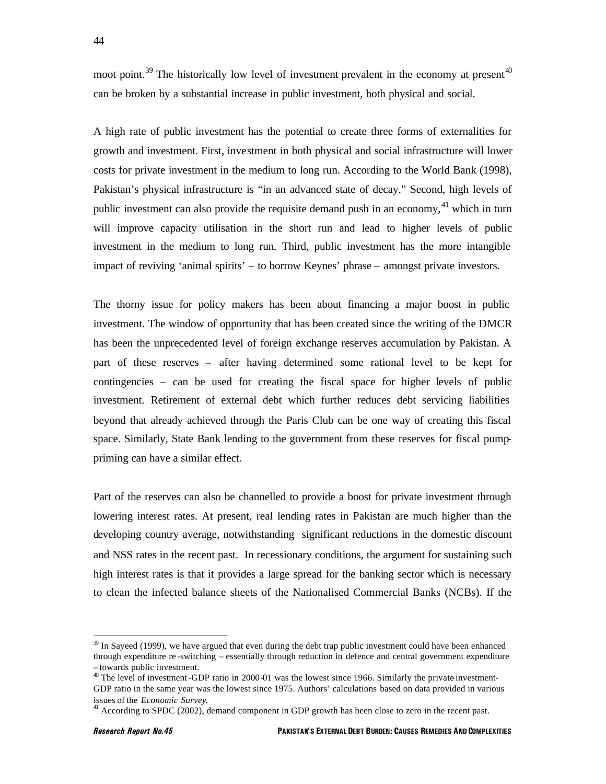moot point.<sup>39</sup> The historically low level of investment prevalent in the economy at present<sup>40</sup> can be broken by a substantial increase in public investment, both physical and social.

A high rate of public investment has the potential to create three forms of externalities for growth and investment. First, investment in both physical and social infrastructure will lower costs for private investment in the medium to long run. According to the World Bank (1998), Pakistan's physical infrastructure is "in an advanced state of decay." Second, high levels of public investment can also provide the requisite demand push in an economy,<sup>41</sup> which in turn will improve capacity utilisation in the short run and lead to higher levels of public investment in the medium to long run. Third, public investment has the more intangible impact of reviving 'animal spirits' – to borrow Keynes' phrase – amongst private investors.

The thorny issue for policy makers has been about financing a major boost in public investment. The window of opportunity that has been created since the writing of the DMCR has been the unprecedented level of foreign exchange reserves accumulation by Pakistan. A part of these reserves – after having determined some rational level to be kept for contingencies – can be used for creating the fiscal space for higher levels of public investment. Retirement of external debt which further reduces debt servicing liabilities beyond that already achieved through the Paris Club can be one way of creating this fiscal space. Similarly, State Bank lending to the government from these reserves for fiscal pumppriming can have a similar effect.

Part of the reserves can also be channelled to provide a boost for private investment through lowering interest rates. At present, real lending rates in Pakistan are much higher than the developing country average, notwithstanding significant reductions in the domestic discount and NSS rates in the recent past. In recessionary conditions, the argument for sustaining such high interest rates is that it provides a large spread for the banking sector which is necessary to clean the infected balance sheets of the Nationalised Commercial Banks (NCBs). If the

 $39$  In Sayeed (1999), we have argued that even during the debt trap public investment could have been enhanced through expenditure re -switching – essentially through reduction in defence and central government expenditure – towards public investment.

<sup>&</sup>lt;sup>40</sup> The level of investment-GDP ratio in 2000-01 was the lowest since 1966. Similarly the private investment-GDP ratio in the same year was the lowest since 1975. Authors' calculations based on data provided in various issues of the *Economic Survey*.

According to SPDC (2002), demand component in GDP growth has been close to zero in the recent past.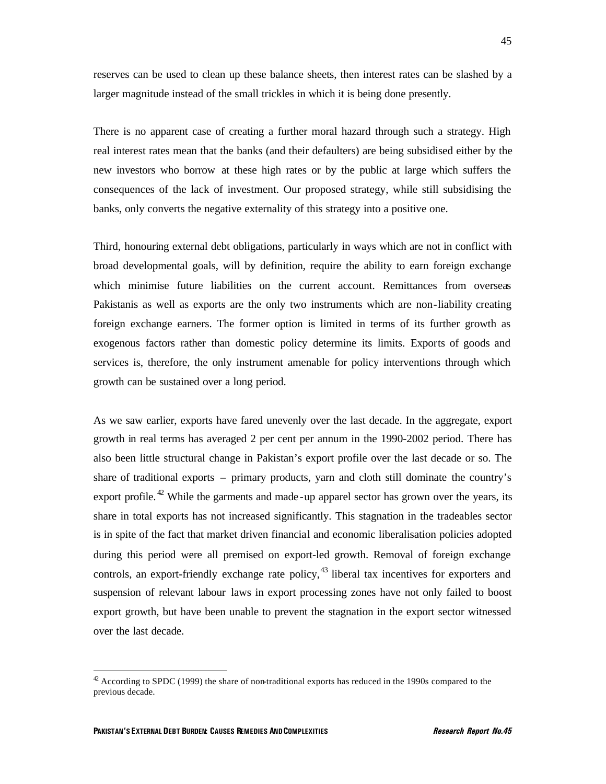reserves can be used to clean up these balance sheets, then interest rates can be slashed by a larger magnitude instead of the small trickles in which it is being done presently.

There is no apparent case of creating a further moral hazard through such a strategy. High real interest rates mean that the banks (and their defaulters) are being subsidised either by the new investors who borrow at these high rates or by the public at large which suffers the consequences of the lack of investment. Our proposed strategy, while still subsidising the banks, only converts the negative externality of this strategy into a positive one.

Third, honouring external debt obligations, particularly in ways which are not in conflict with broad developmental goals, will by definition, require the ability to earn foreign exchange which minimise future liabilities on the current account. Remittances from overseas Pakistanis as well as exports are the only two instruments which are non-liability creating foreign exchange earners. The former option is limited in terms of its further growth as exogenous factors rather than domestic policy determine its limits. Exports of goods and services is, therefore, the only instrument amenable for policy interventions through which growth can be sustained over a long period.

As we saw earlier, exports have fared unevenly over the last decade. In the aggregate, export growth in real terms has averaged 2 per cent per annum in the 1990-2002 period. There has also been little structural change in Pakistan's export profile over the last decade or so. The share of traditional exports – primary products, yarn and cloth still dominate the country's export profile.  $42$  While the garments and made-up apparel sector has grown over the years, its share in total exports has not increased significantly. This stagnation in the tradeables sector is in spite of the fact that market driven financial and economic liberalisation policies adopted during this period were all premised on export-led growth. Removal of foreign exchange controls, an export-friendly exchange rate policy,  $^{43}$  liberal tax incentives for exporters and suspension of relevant labour laws in export processing zones have not only failed to boost export growth, but have been unable to prevent the stagnation in the export sector witnessed over the last decade.

 $42$  According to SPDC (1999) the share of non-traditional exports has reduced in the 1990s compared to the previous decade.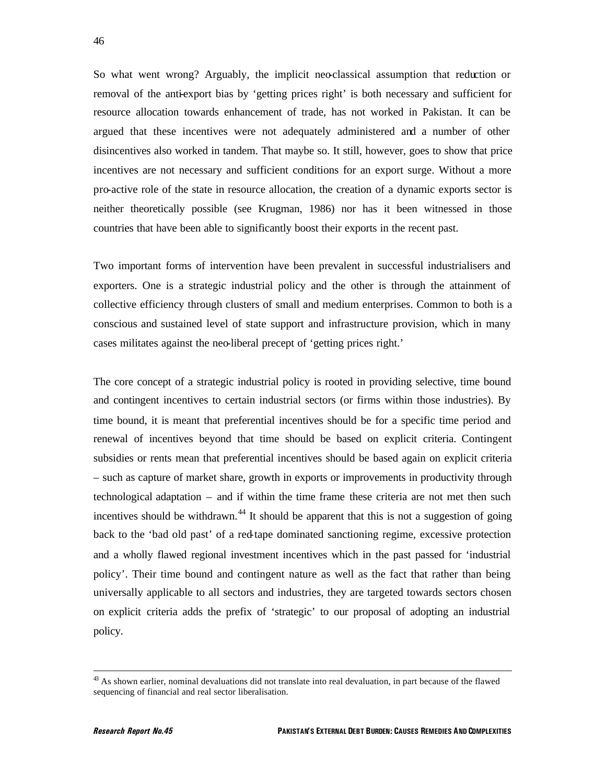So what went wrong? Arguably, the implicit neo-classical assumption that reduction or removal of the anti-export bias by 'getting prices right' is both necessary and sufficient for resource allocation towards enhancement of trade, has not worked in Pakistan. It can be argued that these incentives were not adequately administered and a number of other disincentives also worked in tandem. That maybe so. It still, however, goes to show that price incentives are not necessary and sufficient conditions for an export surge. Without a more pro-active role of the state in resource allocation, the creation of a dynamic exports sector is neither theoretically possible (see Krugman, 1986) nor has it been witnessed in those countries that have been able to significantly boost their exports in the recent past.

Two important forms of intervention have been prevalent in successful industrialisers and exporters. One is a strategic industrial policy and the other is through the attainment of collective efficiency through clusters of small and medium enterprises. Common to both is a conscious and sustained level of state support and infrastructure provision, which in many cases militates against the neo-liberal precept of 'getting prices right.'

The core concept of a strategic industrial policy is rooted in providing selective, time bound and contingent incentives to certain industrial sectors (or firms within those industries). By time bound, it is meant that preferential incentives should be for a specific time period and renewal of incentives beyond that time should be based on explicit criteria. Contingent subsidies or rents mean that preferential incentives should be based again on explicit criteria – such as capture of market share, growth in exports or improvements in productivity through technological adaptation – and if within the time frame these criteria are not met then such incentives should be withdrawn.<sup>44</sup> It should be apparent that this is not a suggestion of going back to the 'bad old past' of a red-tape dominated sanctioning regime, excessive protection and a wholly flawed regional investment incentives which in the past passed for 'industrial policy'. Their time bound and contingent nature as well as the fact that rather than being universally applicable to all sectors and industries, they are targeted towards sectors chosen on explicit criteria adds the prefix of 'strategic' to our proposal of adopting an industrial policy.

 $43$  As shown earlier, nominal devaluations did not translate into real devaluation, in part because of the flawed sequencing of financial and real sector liberalisation.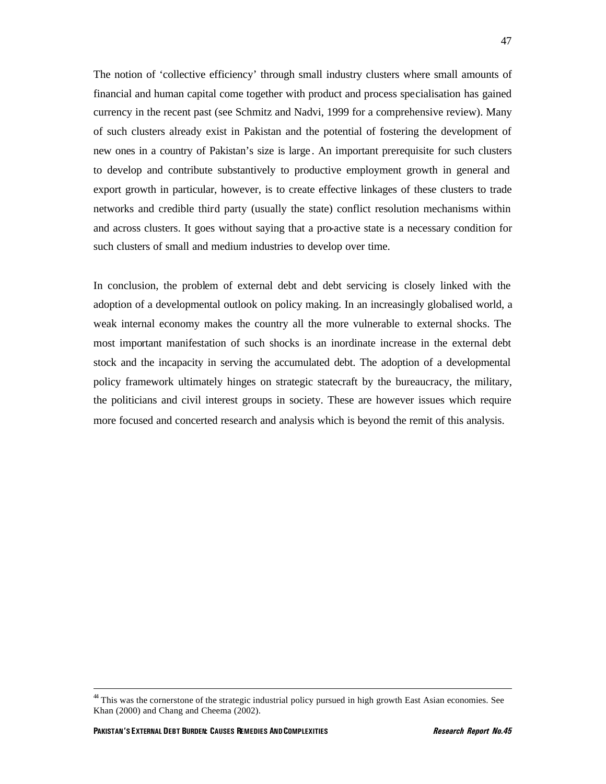The notion of 'collective efficiency' through small industry clusters where small amounts of financial and human capital come together with product and process specialisation has gained currency in the recent past (see Schmitz and Nadvi, 1999 for a comprehensive review). Many of such clusters already exist in Pakistan and the potential of fostering the development of new ones in a country of Pakistan's size is large . An important prerequisite for such clusters to develop and contribute substantively to productive employment growth in general and export growth in particular, however, is to create effective linkages of these clusters to trade networks and credible third party (usually the state) conflict resolution mechanisms within and across clusters. It goes without saying that a pro-active state is a necessary condition for such clusters of small and medium industries to develop over time.

In conclusion, the problem of external debt and debt servicing is closely linked with the adoption of a developmental outlook on policy making. In an increasingly globalised world, a weak internal economy makes the country all the more vulnerable to external shocks. The most important manifestation of such shocks is an inordinate increase in the external debt stock and the incapacity in serving the accumulated debt. The adoption of a developmental policy framework ultimately hinges on strategic statecraft by the bureaucracy, the military, the politicians and civil interest groups in society. These are however issues which require more focused and concerted research and analysis which is beyond the remit of this analysis.

<sup>&</sup>lt;sup>44</sup> This was the cornerstone of the strategic industrial policy pursued in high growth East Asian economies. See Khan (2000) and Chang and Cheema (2002).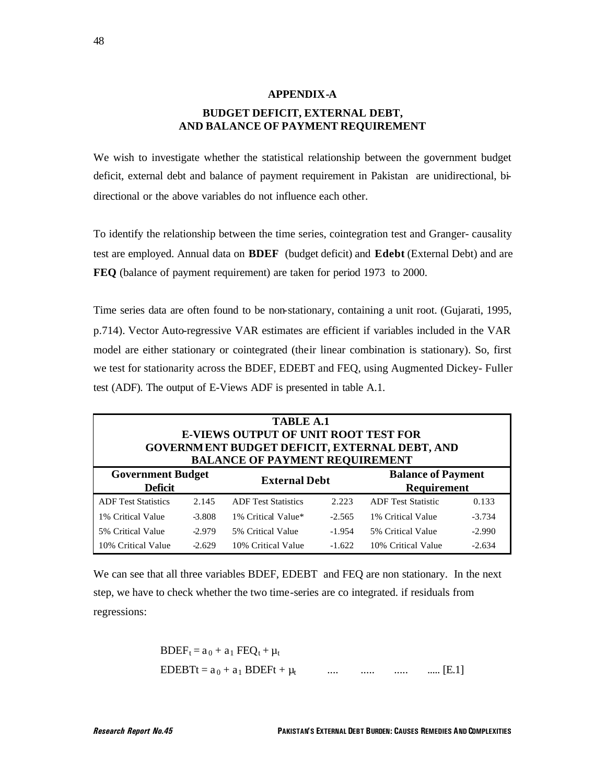### **APPENDIX-A BUDGET DEFICIT, EXTERNAL DEBT, AND BALANCE OF PAYMENT REQUIREMENT**

We wish to investigate whether the statistical relationship between the government budget deficit, external debt and balance of payment requirement in Pakistan are unidirectional, bidirectional or the above variables do not influence each other.

To identify the relationship between the time series, cointegration test and Granger- causality test are employed. Annual data on **BDEF** (budget deficit) and **Edebt** (External Debt) and are **FEQ** (balance of payment requirement) are taken for period 1973 to 2000.

Time series data are often found to be non-stationary, containing a unit root. (Gujarati, 1995, p.714). Vector Auto-regressive VAR estimates are efficient if variables included in the VAR model are either stationary or cointegrated (their linear combination is stationary). So, first we test for stationarity across the BDEF, EDEBT and FEQ, using Augmented Dickey- Fuller test (ADF). The output of E-Views ADF is presented in table A.1.

| <b>TABLE A.1</b><br><b>E-VIEWS OUTPUT OF UNIT ROOT TEST FOR</b><br>GOVERNMENT BUDGET DEFICIT, EXTERNAL DEBT, AND<br><b>BALANCE OF PAYMENT REQUIREMENT</b> |          |                            |                      |                           |                                                 |  |  |
|-----------------------------------------------------------------------------------------------------------------------------------------------------------|----------|----------------------------|----------------------|---------------------------|-------------------------------------------------|--|--|
| <b>Government Budget</b><br><b>Deficit</b>                                                                                                                |          |                            | <b>External Debt</b> |                           | <b>Balance of Payment</b><br><b>Requirement</b> |  |  |
| <b>ADF</b> Test Statistics                                                                                                                                | 2.145    | <b>ADF</b> Test Statistics | 2.223                | <b>ADF</b> Test Statistic | 0.133                                           |  |  |
| 1% Critical Value                                                                                                                                         | $-3.808$ | 1% Critical Value*         | $-2.565$             | 1% Critical Value         | $-3.734$                                        |  |  |
| 5% Critical Value                                                                                                                                         | $-2.979$ | 5% Critical Value          | $-1.954$             | 5% Critical Value         | $-2.990$                                        |  |  |
| 10% Critical Value                                                                                                                                        | $-2.629$ | 10% Critical Value         | $-1.622$             | 10% Critical Value        | $-2.634$                                        |  |  |

We can see that all three variables BDEF, EDEBT and FEQ are non stationary. In the next step, we have to check whether the two time-series are co integrated. if residuals from regressions:

BDEF<sub>t</sub> = 
$$
a_0 + a_1 \text{ FEQ}_t + \mu_t
$$
  
EDEBTt =  $a_0 + a_1 \text{ BDEFt} + \mu_t$  .... .... .... .... [E.1]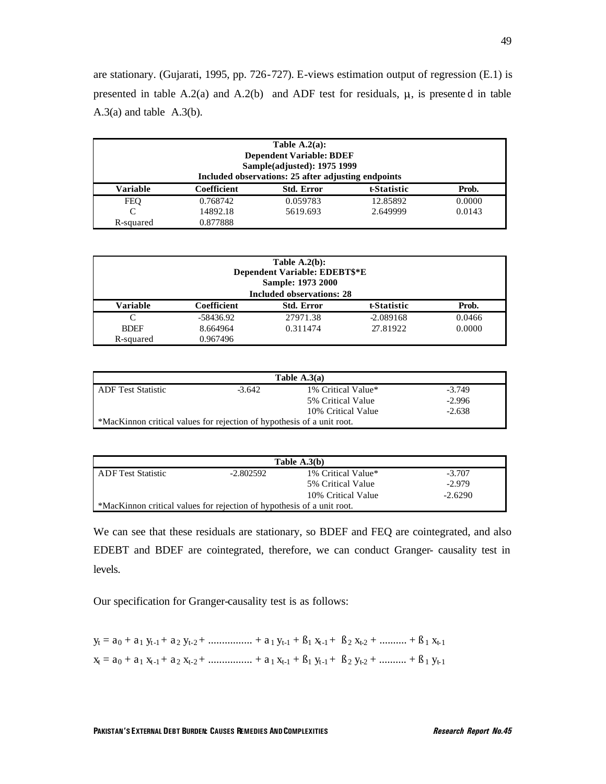are stationary. (Gujarati, 1995, pp. 726-727). E-views estimation output of regression (E.1) is presented in table A.2(a) and A.2(b) and ADF test for residuals,  $\mu$ , is presented in table A.3(a) and table A.3(b).

| Table $A.2(a)$ :<br><b>Dependent Variable: BDEF</b><br>Sample(adjusted): 1975 1999<br>Included observations: 25 after adjusting endpoints |             |                   |             |        |  |  |
|-------------------------------------------------------------------------------------------------------------------------------------------|-------------|-------------------|-------------|--------|--|--|
| <b>Variable</b>                                                                                                                           | Coefficient | <b>Std. Error</b> | t-Statistic | Prob.  |  |  |
| <b>FEO</b>                                                                                                                                | 0.768742    | 0.059783          | 12.85892    | 0.0000 |  |  |
| C                                                                                                                                         | 14892.18    | 5619.693          | 2.649999    | 0.0143 |  |  |
| R-squared                                                                                                                                 | 0.877888    |                   |             |        |  |  |

|             |             | Table $A.2(b)$ :<br>Dependent Variable: EDEBT\$*E<br>Sample: 1973 2000<br><b>Included observations: 28</b> |             |        |
|-------------|-------------|------------------------------------------------------------------------------------------------------------|-------------|--------|
| Variable    | Coefficient | <b>Std. Error</b>                                                                                          | t-Statistic | Prob.  |
| C           | -58436.92   | 27971.38                                                                                                   | $-2.089168$ | 0.0466 |
| <b>BDEF</b> | 8.664964    | 0.311474                                                                                                   | 27.81922    | 0.0000 |
| R-squared   | 0.967496    |                                                                                                            |             |        |

|                                                                        |          | Table $A.3(a)$     |          |
|------------------------------------------------------------------------|----------|--------------------|----------|
| <b>ADF</b> Test Statistic                                              | $-3.642$ | 1% Critical Value* | $-3.749$ |
|                                                                        |          | 5% Critical Value  | $-2.996$ |
|                                                                        |          | 10% Critical Value | $-2.638$ |
| *MacKinnon critical values for rejection of hypothesis of a unit root. |          |                    |          |

|                                                                        |           | Table $A.3(b)$     |           |
|------------------------------------------------------------------------|-----------|--------------------|-----------|
| <b>ADF</b> Test Statistic                                              | -2.802592 | 1% Critical Value* | $-3.707$  |
|                                                                        |           | 5% Critical Value  | $-2.979$  |
|                                                                        |           | 10% Critical Value | $-2.6290$ |
| *MacKinnon critical values for rejection of hypothesis of a unit root. |           |                    |           |

We can see that these residuals are stationary, so BDEF and FEQ are cointegrated, and also EDEBT and BDEF are cointegrated, therefore, we can conduct Granger- causality test in levels.

Our specification for Granger-causality test is as follows:

 $y_t = a_0 + a_1 y_{t-1} + a_2 y_{t-2} + \dots + a_1 y_{t-1} + a_1 x_{t-1} + a_2 x_{t-2} + \dots + a_1 x_{t-1}$  $x_t = a_0 + a_1 x_{t-1} + a_2 x_{t-2} + \dots + a_1 x_{t-1} + a_1 y_{t-1} + a_2 y_{t-2} + \dots + a_1 y_{t-1}$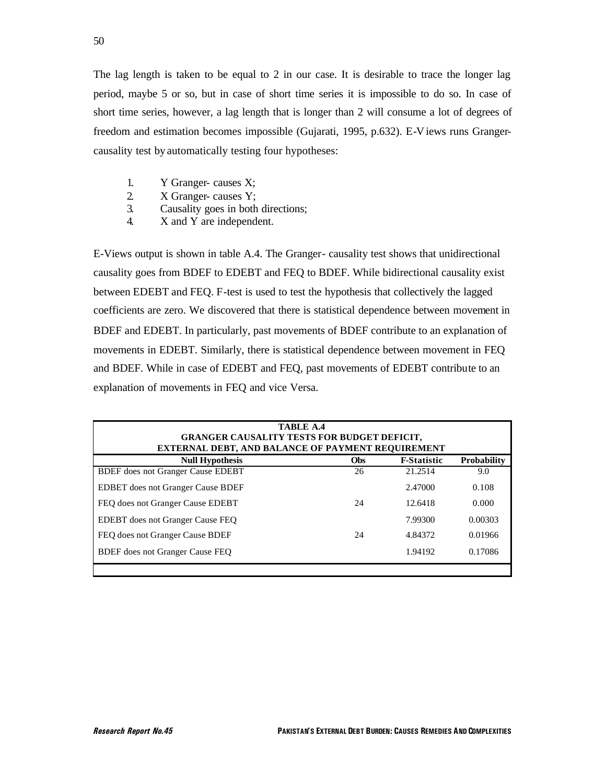The lag length is taken to be equal to 2 in our case. It is desirable to trace the longer lag period, maybe 5 or so, but in case of short time series it is impossible to do so. In case of short time series, however, a lag length that is longer than 2 will consume a lot of degrees of freedom and estimation becomes impossible (Gujarati, 1995, p.632). E-V iews runs Grangercausality test by automatically testing four hypotheses:

- 1. Y Granger- causes X;
- 2. X Granger- causes Y;
- 3. Causality goes in both directions;
- 4. X and Y are independent.

E-Views output is shown in table A.4. The Granger- causality test shows that unidirectional causality goes from BDEF to EDEBT and FEQ to BDEF. While bidirectional causality exist between EDEBT and FEQ. F-test is used to test the hypothesis that collectively the lagged coefficients are zero. We discovered that there is statistical dependence between movement in BDEF and EDEBT. In particularly, past movements of BDEF contribute to an explanation of movements in EDEBT. Similarly, there is statistical dependence between movement in FEQ and BDEF. While in case of EDEBT and FEQ, past movements of EDEBT contribute to an explanation of movements in FEQ and vice Versa.

| <b>TABLE A.4</b><br><b>GRANGER CAUSALITY TESTS FOR BUDGET DEFICIT,</b><br><b>EXTERNAL DEBT, AND BALANCE OF PAYMENT REQUIREMENT</b> |            |                    |                    |
|------------------------------------------------------------------------------------------------------------------------------------|------------|--------------------|--------------------|
| <b>Null Hypothesis</b>                                                                                                             | <b>Obs</b> | <b>F</b> Statistic | <b>Probability</b> |
| <b>BDEF</b> does not Granger Cause EDEBT                                                                                           | 26         | 21.2514            | 9.0                |
| <b>EDBET</b> does not Granger Cause BDEF                                                                                           |            | 2.47000            | 0.108              |
| FEO does not Granger Cause EDEBT                                                                                                   | 24         | 12.6418            | 0.000              |
| <b>EDEBT</b> does not Granger Cause FEO                                                                                            |            | 7.99300            | 0.00303            |
| FEO does not Granger Cause BDEF                                                                                                    | 24         | 4.84372            | 0.01966            |
| <b>BDEF</b> does not Granger Cause FEQ                                                                                             |            | 1.94192            | 0.17086            |
|                                                                                                                                    |            |                    |                    |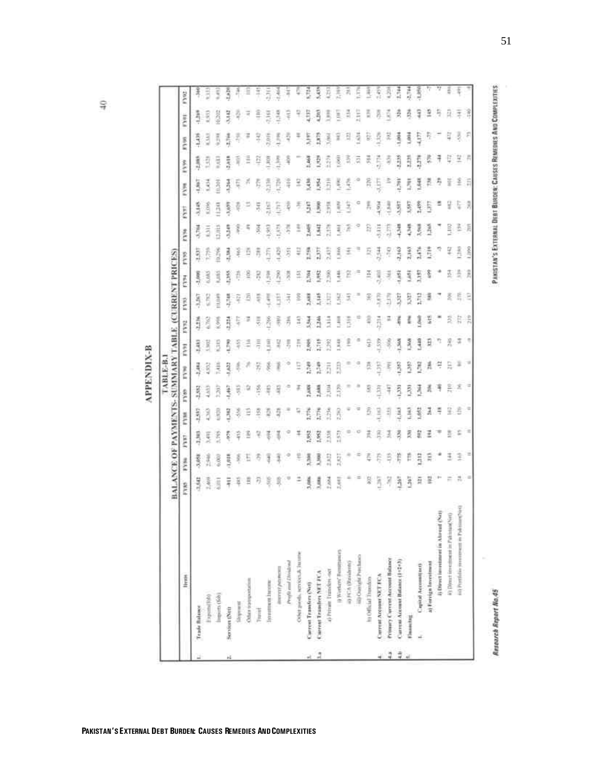| ≃          |
|------------|
|            |
| ü          |
| <br>1<br>١ |
| z          |
|            |
|            |
|            |
|            |

|                                           |                |                  |          |            | BALANCE OF PAYMENTS- SUMMARY TABLE (CURRENT PRICES) |      |      |                |              |            |                 |               |                |       |       |               |               |       |
|-------------------------------------------|----------------|------------------|----------|------------|-----------------------------------------------------|------|------|----------------|--------------|------------|-----------------|---------------|----------------|-------|-------|---------------|---------------|-------|
| livers                                    | FYRS           | PYN <sub>1</sub> | E        | <b>FYM</b> | Film                                                | Ě    | FV91 | P <sub>2</sub> | P.           | ē          | FY <sub>3</sub> | FYN           | FYS!           | FVm   | 1399  | 83/08         | FYEL.         | FYO:  |
| <b>Teach Balance</b>                      | 3,542          | 表さら              | 1,397    | 開          | ij                                                  | Į    | š    | 再刊             | Ş            | 医原         | Ş               | 青っ            | 原              | Į     | i     | 鸟             | 青竹            | 쿠     |
| Experts(100)                              | š              | 弄                | ξ        | 3          | 3                                                   | ij   | B    | š              | 5            | 3          | Ā               | $\frac{1}{2}$ | š              | š     | ŝ     | ä             | ŝ             | Ë     |
| Inquirrs (fids)                           | <b>A</b>       | $rac{30}{20}$    | 2,705    | 机相连        | ĥ                                                   | 長    | õ    | š              | ă            | ij         | 香红              | atina         | ã              | 201   | š     | ā             | 4282          | Ŝ     |
| Services (Net)                            | 듚              | 1,018            | Ş        | 3          | ŝ                                                   | ä    | F.   | ij             | Ę            | ŝ          | B               | å             | ş              | ă     | 喜ぶ    | 青冠            | 昆虫            | 医皮肤   |
| physical                                  | ş              | ğ                | ¥        |            | th                                                  |      |      | 5              | ş            | ē          | š               | š             |                | Ę     | ã     | Ę             | ą             | ž     |
| Other transportation                      | Ē              |                  | E        |            |                                                     |      |      |                |              | 걸          | Ē               | ц             |                |       | Ē     | Ŧ             | 국             |       |
| 7 inches                                  | 刃              |                  |          | g          | š                                                   | 5    | Ę    | Ę              | ş            | Ŗ          |                 | š             | ā              | Ę     | 휴     | Ę             | â             | Ĩ     |
| Toyotamway Incores                        | ă              | Ĩ                | š        |            | ŧ                                                   | É    | l    | Ř              | ţ            | š          | Ş               | 3,982         | 돌              | 言     | E SET | 2.01%         | $\frac{3}{2}$ |       |
| ilearn's popular                          | 荨              | ĵ                |          | Ę          | ą                                                   | Ï    | ų    | 똥              | Ë            | ž,         | 3               | 133           | š              | ê     | 美立    | H,            | 見             | Î,    |
| Profit and Dividen                        | Φ              |                  |          |            |                                                     |      | 5    | 종              | $\bar{\tau}$ | 큻          | Ş               | Ī,            | ş              | 言     | ş     | Ę             | ş             | Į     |
| Other goods, services & Jacons            | ž              | t                | Į        | Ħ          | Ŧ                                                   | H    | 튺    | H              | 흘            | 띂          | ų               | Ī             |                | E     |       |               | ę             | Ę     |
| Current Transfers (Net)                   | 3,086          | <b>MAG</b>       | š        | 美行派        | q                                                   | 亮    | 菱    | 勇              | Ã            | 差点         | 8               | š             | 5              | 医线    | 莲     | š             | 4,137         | Ŕ     |
| CHEFFOR TENNING NET FCA                   | ŝ              | <b>B</b>         | 쥨        | 青烏         | 1,448                                               | 長江   | ã    | $\frac{3}{2}$  | Ã            | Š          | ā               | Ë             | R <sub>2</sub> | 1,954 | 휫     | Ē             | ŝ             | ŝ     |
| 4) Private Trainfess -set                 | Ř              | 53.52            | ā        | ň          | 2,104                                               | ã    | ĥ    | Ē              | ä            | ñ          | ä               | Ē             | ĥ              | Đ     | ñ     | š             | š             | Ä     |
| () Workers' Renationers                   | 3,441          | 2,827            | 252      | ß          | 2.179                                               | E    | 134  | 3              | 3            | š          | š               | ŝ             | ţ              | š     | ŝ     | ž             | ā             | Ř     |
| ii) FCA (Revidents)                       |                |                  |          |            |                                                     |      | £    | 青江             | J,           |            | ž               | ž             | Ë              | ŝ     |       |               | 킄             | z,    |
| iii) Ouright Prechase                     |                |                  | e        |            |                                                     |      | ٠    |                |              |            |                 |               |                |       | द     | ä             | Ë             | Ē     |
| h) Official Transfers                     | š              |                  | ī        | Б          | 9                                                   | 픘    | 9    | ą              | 줒            | Ã          | Ξ               | B             | ŗ,             | â     | 奖     | ÿ             | 핇             | ŧ     |
| Current Arcount NET FCA                   | ä              |                  |          | l          | ã                                                   | ECT: | ŝ    | 青母             | š            | š          | 翡               | š             | 灵气             | 5     | ş     | Ē             | ă             | ŝ     |
| Primery Corrent Account Balance           | ij             | Ą                | 3        | Ę          | Ħ                                                   | ٩    |      |                | 5            | ₹          | Ŗ               | 5             | 3              |       | ğ     | R             | Ň,            | ŝ     |
| Current Account Batance (1-2+3)           | ã              | Ĕ                | 司        | Ξ          | ā                                                   | B    | 菁    |                | 55           | <b>SHT</b> | 3,163           | 男子            | ş              | 1,793 | Ĩ,    | $\frac{3}{2}$ | ŝ             | 王门    |
| Flasher Hot                               | ă              | Ë                | ā        | ŝ          | ä                                                   | ł    | ž    |                | E            | š          | 2,763           | ţ             | ş              | š     | ħ     | š             | ğ             | ţ     |
| Capital Accountines                       | 舞              | ä                | â        | 葛          | 芹                                                   | E    | ą    | g              | ă            | Ë          | Í               | 晃             | 1,459          | 풀     | 有限    | Ş             | ä             | 1,356 |
| a) Forriga Investment                     | 랖              | 듩                | Ξ        | ā          | ă                                                   | Ă    | E    | š              | э            | š          | 青片              | ł             | ĥ              | 킑     | Ę     |               | 우             |       |
| Ij Direct investment in Abruat (Net)      | $+44$          |                  |          |            | ₹                                                   | ę    | 77   |                |              |            |                 |               |                | 寿     | Ŧ     |               | 苻             | v     |
| ii) Direct investment in Fakinsan(Net)    | ÷              | Ŧ                |          | Ë          | Ĩ,                                                  |      | ž    | Ξ              |              | 쥰          | ų               | B             | ÿ              | š     | ę     | Ę             | 員             | š     |
| ni) Portfolio soveresse in Publicard'o'il | 芫              | 3                |          | ŝ          | ž                                                   |      | s    | R              | Ę            | 흨          | â               | 졸             | Ę              | 호     | 茎用    | ą,            | ž             |       |
|                                           | $\blacksquare$ | Ξ                | $\equiv$ | $\equiv$   | $\equiv$                                            | w    |      | ÷,             | а            | Ã          | <b>Links</b>    | 頂             | g              | E     |       | F             | Î             |       |

ş

51

PAKISTAN'S EXTERNAL DEBT BURDER: CAUSES REMEDIES AND COMPLEXITIES

Research Report No.45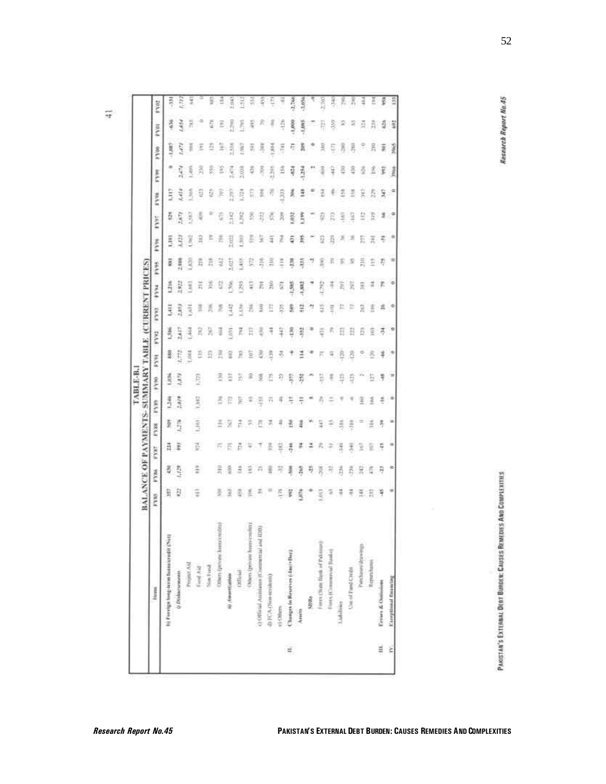|     |                                            | BALANCE OF PAYMENTS- SUMMARY TABLE (CURRENT PRICES) |            |      |               |                          |        |               |                      |      |               |       |                |         |     |          |          |      |         |
|-----|--------------------------------------------|-----------------------------------------------------|------------|------|---------------|--------------------------|--------|---------------|----------------------|------|---------------|-------|----------------|---------|-----|----------|----------|------|---------|
|     | <b>Firms</b>                               | PYNS                                                | <b>FYM</b> | ikka | FYRE          | <b>GAST</b>              | p y no | 16.5.6        | FVV1                 | FY93 | E             | Feld  | <b>PASS</b>    | FYNT.   | FYH | FYH      | š        | FVRI | Fyet    |
|     | lij Foreign host term laam credit (Net)    | 员                                                   | B,         | ā    | š             | 弄豆                       | 1,97%  | ã             | š                    | ŝ    | ă             | 垦     | ē              |         | š   |          | <b>A</b> | 谱    | Ņ       |
|     | (r Divisoruments                           | 찾                                                   | Ą          | 潇    | â             | 壽                        | ą      |               | Ë                    | ij   | 苔目            | 2.938 |                | dite.   | Ï   | Š        | GK)      | š    | Ë       |
|     | Project AA                                 |                                                     |            |      |               |                          |        | ë             | 콧                    | Ē    | E             | ğ     | X              | 3       | 3   | ţ        | ∄        | R    | y       |
|     | Food Aid                                   | Ŧ                                                   | Ξ          | 正    | t, kht        | F, SEZ                   | ê      |               | Å                    |      | ř,            |       | B              | 青       | Ð   | ã        | Ξ        |      |         |
|     | Non Ford                                   |                                                     |            |      |               |                          |        | S             | 妄                    |      |               |       |                | ₽       | ğ   | ã        | Ð        | ē    | ş       |
|     | Others (percent have credite)              | 쵯                                                   | す          | 石石   | 조             | 3                        | 크      | Ē             |                      |      |               |       | ž              | Ğ       | )ć  | £        | k        | ž    | Ξ       |
|     | III Annexualità                            | 楶                                                   | 3          |      | 茨             | 津                        | ä      | ï             | ä                    | Ę    | ğ             | ÿ     | <b>Exit!</b>   | il 12   | ĥ   | ŝ        | ã        | š    | ğ       |
|     | Effected                                   | ē.                                                  | â          | ň    | Ξ             | E                        | ä      | E             | Z                    | š    | R,            | š     | ă              | Ä       | ê   | ŝ        | š        | š    | Ī       |
|     | Others (private humicaples)                | ž                                                   | Ξ          | Ŧ    | $\approx$     | Ŧ                        | g      | Ξ             | E                    | ž    | Η             |       | E <sub>1</sub> | ĕ       | U,  | ğ        | õ,       | ã    | 즸       |
|     | c) Official Authinson (Commercial and EDB) | Ξ,                                                  | 곩          |      | 長             | 海                        | 3      | ₹             |                      | Ī    | ī.            |       | 3              | B       |     | ķ        | Ŗ        |      | ę       |
|     | <b>ФРСА (Хин-койнко)</b>                   |                                                     | 뫂          |      | 芸             | $\overline{\phantom{a}}$ | č      | Ą             | ñ                    | Ë    | 읅             |       | Ξ              | ē,      |     | ã        | 힟        |      | Ę       |
|     | r) Others.                                 | ē                                                   | 77         | g    | Ŧ             | 4                        | Θ      | 3             | ş                    | Ę    | ē             |       | ž              | ă       | 电扫  | š        | ř        |      | ٢       |
| E.  | Changes in Reserves (distributi)           | š                                                   | 葛          | 弄    | ž             | Ę                        | Ę      |               | ij                   | ã    | 4,5%          | ā     | ē              | 昆       | ă   | ij       | Ē        | š    | 1,766   |
|     | Anieth                                     | 湾                                                   | ã          | 곩    | 寻             | $\frac{2}{3}$            | ij     | Ξ             | ல்                   | 렆    | Ę             | Ŗ     | š              | š,      | Ħ   | 弄        | k        | 5,00 | \$      |
|     | 53869                                      |                                                     | IJ         | Ξ    |               | Ħ                        |        |               |                      | 7    |               |       |                |         |     |          |          |      |         |
|     | Frees (State Hank of Pakistan)             | Ę                                                   | 図          | 兵    | ā             | Γ,                       | ä      |               | Ę                    | ă    | Ë             | Ì     | Đ              | g       | 2   |          | ŝ        | Ř    | a<br>Ti |
|     | Forty (Communial Banks)                    | ā                                                   | 굉          | ÷    | ÷             |                          |        | ş             |                      | iut  | Ŧ             | n     | ă              |         |     | ¥        |          | ş    | ž       |
|     | Listolakes                                 | ÷                                                   | ă          | 弄    | Ă             |                          | B      | 횼             | Ë                    | p.   | E             |       |                | š       | Ξ   |          |          |      | y.      |
|     | Use of Fand Credit                         | Ŧ                                                   | ã          | 秀    | $\frac{8}{2}$ |                          | 自      | ŝ             | B                    | p    | 3H            | 5     | 耳              | g       | Ξ   |          | 晑        |      | 昙       |
|     | Performancement                            | 듶                                                   | 믔          | g    | Ξ             | Ē                        |        | 9             | É                    | R    | Ξ             | Ř     | E              | ġ       | ×   |          |          | ä    | ₹       |
|     | <b>Report</b> ment                         | ă                                                   | ã          | š    | H             | 킾                        | Ë      | ξ             | ğ                    | Ĕ    | 温             | Ě     |                | Ě       | 翕   | Ĕ        | Ã        | 乕    | ž       |
| in. | Erosos & Ontisions                         | Э                                                   | Ð          | ے    | 汚             | ŧ                        | ₹      | 芋             | 芳                    | 昇    | ïΡ            | 荐     | Ŧ              | 享       | 닺   | Ĩ        | 芸        | ã    | ğ       |
| ir. | Exceptional financing                      | ÷                                                   | ÷          | ٠    | ٠             | L≊                       | ÷      | $\Rightarrow$ | $\ddot{\phantom{a}}$ | ×    | $\Rightarrow$ | ≉     | $\overline{a}$ | $\cdot$ | Š   | <b>R</b> | 曩        | 漫    | 135     |

PAKSTAN'S EXTERNAL DERT BURGEIC CAUSES REMEDIES AND COMPLEXITIES

**Research Report No.45** 

 $\vec{r}$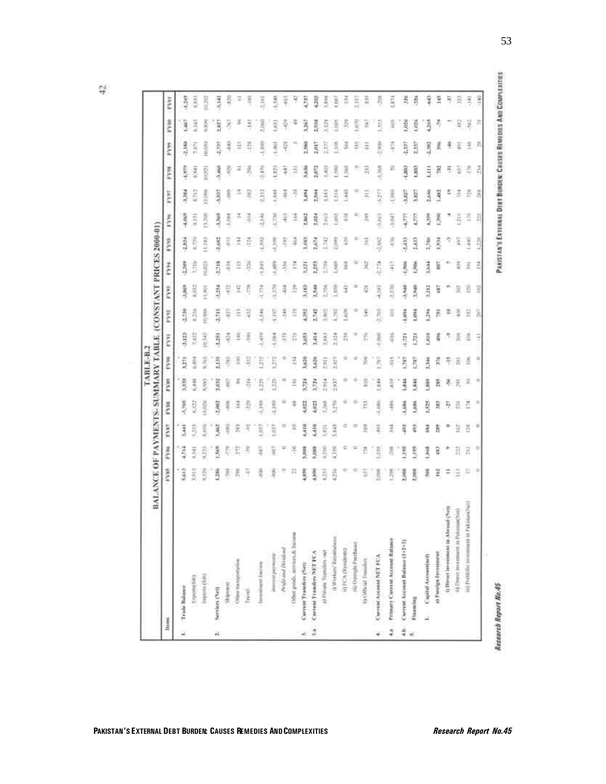ģ.

| <b>Renus</b>  |                                            | RYM.          | FYM.         | FYRT  | FYRR   | Ř              | ž     | <b>EXIST</b> | E             | FVV1        | Ē            | p     | FYM.        | FYNT.         | Frys         | ren           | in pa      | EARL     |
|---------------|--------------------------------------------|---------------|--------------|-------|--------|----------------|-------|--------------|---------------|-------------|--------------|-------|-------------|---------------|--------------|---------------|------------|----------|
|               | Trials Balance                             | \$3613        | 4,714        | 3,441 | 男习     | 男              | ij    | 耳马           | 勇             | Ŝ,          | 高            |       | 4.069       |               |              |               |            |          |
|               |                                            |               |              |       |        |                |       |              |               |             |              | ij    |             | Ř             | $-1.979$     | 2,189         | ą          | $-1.2m9$ |
|               | Expires (dd)                               | ŝ             | 3            | ŧ     | ŝ      | Į              | 尭     | H            | 425           | š           | ť            | ê     | 9,132       | 6713          | ž            | ij            | 크          | 葛边       |
|               | (mayorita childs)                          | š             | š            | š     | igal   | $\frac{1}{2}$  | ë     | 10,945       | <b>HISPRI</b> | <b>RAST</b> | <b>HURTS</b> | 3     | 86.0        | 12,1995       | <b>Richt</b> | 10,010        | š          | ă        |
|               | Services (Net)                             | EZRA          | ŝ            | Į     | SA62   | 2,632          | ă     | 3,251        | 美行            | 基本          | 1.714        | ij    | 鼻弓          | 5,937         | 星            | 1,777         | <b>SEE</b> | 3,142    |
|               | insulate                                   | ê             | Ę            | ij    | š      | ş              | g     | õ            | ā             | ç           | ă            | Ę     | ŝ           | ξ             | ş            | ş             | 8          | Ę        |
|               | Other transportation                       | ž,            | E            | 둤     | 궆      | $\frac{d}{dt}$ | ä     | š            | Ξ             | ä           |              | Ì     |             |               | ×            | Ě             | ë          | Ξ        |
|               | Fravell.                                   | 芹             | B            | R     | ŝ      | ă              | g     | f            | 경             | ē           | Ę            | 尋     | 3           | 끜             | 壽            | Ę             | ž          | ą        |
|               | <b>Services</b> licens                     | ą             | ş            | ŝ     | ŝ      | Ř              | Ĥ     | 灵宝           | 弄             | Ē           | ŝ            | Ę     | 盖顶          | E             | 長谷           | ĥ             | <b>SOR</b> | H        |
|               | interest poyment                           | ŝ             | g            | ED.   | 41,199 | 莉              | Ę     | ĕ            | <b>GST</b>    | <b>ROOM</b> | 1,489        | 4,598 | Ř           | š             | ŝ            | ž             | š          | š        |
|               | Profil and Dividian                        | $\Rightarrow$ |              | o     |        | ۰              |       | Ę            | Ã             | 青川          | Ą            | Ę     | H           | 4             | ă            | 芹             | ł          | ī        |
|               | Other groots sereined & Decesie            | п             | ŧ            | ٣     | τ      | š              | 3     | ŗ,           | ē             | ŝ           | č            | š     | 3           |               | š            |               | Ξ          | Ŧ        |
|               | Corrent Tramfire (NcO)                     | 4,890         | 昊            | 4,410 | š      | 蒜              | 5,620 | 愛            | ž             | 3,180       | Ē            | 星     | East        | 長             | 5,036        | 2,580         | ŝ          | B        |
| $\frac{1}{2}$ | Carrent Tranders NET FCA                   | Ş             | 통            | ŝ     | g      | 3,724          | 1,620 | Į            | 2,742         | 1,548       | â            | Š     | 135.1       | 長             | Ş            | 2,017         | 2,978      | SOL      |
|               | a) Pologic Transfers -per                  | Ř             | 39           | ŝ     | 3      | 2.914          | 罰     | ŝ            | ă             | 53%         | ŝ            | E     | š           | ŝ             | Š            | B             | Ē          | 5        |
|               | 0 Workers' Reintmeners                     | š             | š            | 3     | Ê      | 2,937          | 2.927 | 2.324        | ñ             | š,          | ł            | 599   | 3           | $\frac{3}{2}$ | 目            | <b>Miller</b> | ŝ          | ä        |
|               | ii) FCA (Resultato)                        |               | ٥            |       |        | ۰              |       | 弄            | ŝ             | 3           | I            |       | ũ           | ã             | 3            | 3             | 贡          | š        |
|               | mo Overopis Percharan                      |               | ρ            | ۰     | ٠      | ۰              | a     |              |               |             |              |       |             |               |              | 쥜             | Ę          | R        |
|               | to Official Transfers                      | ä             | Ē            | B     | F      | š              |       |              | ž             |             | 3            | R     | 弄           | ×             | 끆            | ä             | ž          | š        |
|               | Carrent Account NET FCA                    | Š             | <b>Right</b> | ij    | iight. | i              | E     | ğ            | 2.703         | 同形          | e litera     | š     | 43.613      | Ę             | 青马           | š             | š          | 菁        |
| ą             | Primary Current Account Ratures            | ă             | ş            | 군     | ŧ      | Ę              | ē     | 丟            | Ē             | Ē           | Ę            | é     | š           | 1,000         | z            | Ę             | ş          | ı        |
| 4             | C'orrent Arrount Balance (1+2+3)           | 2,000         | i            | Ę     | 4      | 美国             | B     | 1311         | 1,4714        | 導きの         | 6,966        | 5433  | Ę           | 3,827         | B            | ā             | 弖          | 尋        |
|               | Financing                                  | 2,000         | š            | ī     | 884    | 茸              | E     | E            | š             | 1,542       | 36           | ŝ     | 5           | 1.M27         | ŝ            | Ę             | ŝ          | ğ        |
|               | 1. Capital Assumption                      | 氛             | 1368         | ä     | i es   | š              | 1,146 | 粪            | 弄             | Altr:       | 3,534        | 1,798 | B           | 2,646         | E            | z.xii         | å          | 긯        |
|               | a) Foreign Investment                      | ¥             | ş            | ã     | R      | ă              | ă     | š            | ä             | ä           | 블            | 黃     | <b>Sec.</b> | ä             | Ħ            | 讲             | š          | Ħ        |
|               | 6) Direct investment in Abroad (Net)       | Ξ             |              | ٠     | 芬      | ₹              |       |              |               |             |              | Ŧ     |             |               | Ŗ            | ŧ             |            | Ę        |
|               | ii) Direct investment in Nakiriak/NeO      | 9             | f.           | 3     | B      | $\overline{p}$ | Э     |              |               |             | î            | š     | 岗           | ڃ             | ä            | ī,            | ц          | 훳        |
|               | iii) Portfilio inverzierin in Pakistan-Net | 益             | Ä            | ă     | ë      | 宝              | ź     | 3            | 22            | ō           | ž            | Ī     | 킬           | Ē             | č            | ł             | з          | Ξ        |
|               |                                            | ÷,            | 崇            | $=$   | ÷      | Φ              | ψ     | ŧ            | ä             | 2           | ä            | ă     | 쾶           | ă             | ă            | Ť,            | z          | š        |

53

Research Report No.45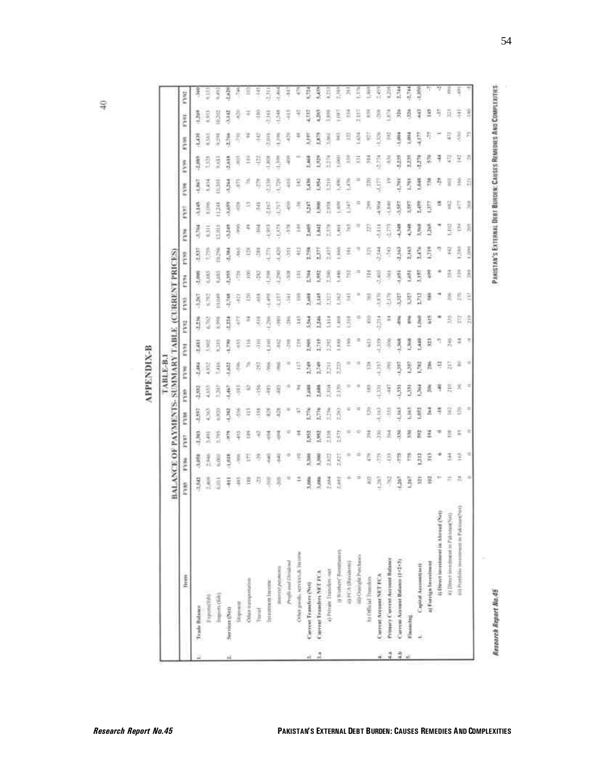æ

|                                          | BALANCE OF PAYMENTS- SUMMARY TABLE (CURRENT PRICES) |               |          |          |          |       |      |               |                 |      |       |      |                |       |                     |                |            |             |
|------------------------------------------|-----------------------------------------------------|---------------|----------|----------|----------|-------|------|---------------|-----------------|------|-------|------|----------------|-------|---------------------|----------------|------------|-------------|
| liveres                                  | PYRS <sup>1</sup>                                   | FYN           | Ę        | ryse     | Fyles    | Ě     | FV91 | rest          | FY <sub>3</sub> | Ě    | EVE   | FYN6 | FYST           | FVm   | 1399                | 8700           | Fyet       | FYOU.       |
|                                          | 3,52                                                | 菱弓            | 居方       | 開        | ij       | 易     | š    | 弄型            | 简介              | 医马尔  | ŋ     | 荒っ   | 豊房             | Į     | ŧ                   | 喜              | 毒性         | ž           |
|                                          | Š                                                   | 美             | š        | 3        | З        | 4,932 | B    | š             | 5               | 3    | Ř     | ä    | š              | 3     | Ē                   | 3              | ŝ          | ã           |
| linguits (Sob)                           | 這                                                   | 6,003         | Ē        | 电压制      | ĥ        | 蔓     | 5    | š             | <b>FRIDAY</b>   | š    | 美红    | ŧ    | ã              | ā     | š                   | Ã              | ă          | ξ           |
| Services (Net)                           | 둒                                                   | 1,018         | Ę        | 5        | ą        | 343   | F.   | ij            | ł               | 2353 | B     | å    | Ş              | Ą     | 言言                  | å              | 昆虫         | š           |
| mandate;                                 | ë                                                   | į             | Ę        | 募        | ū        |       |      | ų             |                 | ē    | 芽     | š    |                | Ę     | Ñ                   | Ę              | 락          |             |
| Other transportation                     | B                                                   | E             | 죔        |          |          |       |      | Ξ             |                 |      |       | ц    |                | ñ     |                     | Ŧ              | Ξ          |             |
| Thursday.                                | 罚                                                   | 8             | ą        | ŝ        | 36       | 묽     | 픊    |               |                 | Ř    | 75    | š    | ă              | Ę     | 휴                   | 몿              | ê          | I           |
| <b>Sycretrower Sycretric</b>             | ģ                                                   | 3             | ₹        | ē        | ş        | ğ     | Ē    | $\frac{1}{2}$ | ş               | ŝ    | ā     | š    | ă              | 第四    | ECROPE <sub>1</sub> | 2,918          | ă          | ă           |
| ilearn's payment                         | 荨                                                   | ĩ             | ĭ        | 즼        | 母        | ł     | 목    | 푸             | Ë               | ð    | 3     | 3    | š              | ê     | 喜                   | H <sub>1</sub> | 昆虫         | $rac{1}{2}$ |
| Profit and Dividing                      | Ψ                                                   | ÷             |          |          |          |       | 5    | 종             | ₹               | 중    | Ş     | Ę    | $\overline{z}$ | 육     | 죽                   | 芍              | ş          | Į           |
| Other goods, services & Jacone           | ž                                                   | ţ             | ă        | 득        | ä        |       | ħ    | Ħ             | š               | 띂    | ų     | ī    |                | Ξ     |                     |                | ę          |             |
| Current Transfers (Net)                  | 3,986                                               | <b>MGA</b>    | 1,952    | Ř        | 厦        | 亮     | 혽    | ž             | 亮               | 差点   | 1     | ž    | ä              | 莲生    | i                   | 52             | Ę          | Ě           |
| Current Transfers NET FCA                | ţ                                                   | 3             | 횘        | Ğ        | ₹        | 意识    | ã    | ă             | 芸               | š    | ä     | Ë    | B.             | Š     | 影                   | Ē              | Ę          | ŝ           |
| 4) Private Transfers race                | Ř                                                   | 2,822         | 1,558    | ă        | 2,104    | ā     | ñ    | ŧ             | B               | ñ    | ä     | ã    | ħ              | ā     | ā                   | $\frac{1}{2}$  | š          | ë           |
| () Worker/ Remittances                   | <b>SAN</b>                                          | 2,827         | 55       | ß        | 2.179    | EIL   | 3    | 3             | q               | ţ    | š     | š    | ŧ              | š     | ŝ                   | ¥              | ē          | ã           |
| ii) HTA (Masshrott)                      |                                                     | ٠             | p        |          |          |       | l    | 青江            | R               |      |       | Ř    | š              | ž     | ň                   | B              | 员          | z,          |
| iii) Ouright Prachaso                    |                                                     | $\Rightarrow$ | o        | Ξ        |          |       |      |               |                 |      |       |      |                |       | ā                   | ä              | <b>ESP</b> | Ξ           |
| h) Odlicial Transfers                    | ş                                                   | ē             | ž        | ŝ        | 9        |       | 9    | ą             | Ã               | Ė,   |       | B    | ŗ,             | â     | 戻                   | 호              | 픏          | ł           |
| Current Arcount NET/ECA                  | ä                                                   | ξ             | ĝ        | GHE      | ä        | B     | ŝ    | ň             | Ę               | ŝ    | 青岛    | š    | 灵气             | 5     | ŧ                   | ē              |            | Ř           |
| <b>Primery Current Account Balance</b>   | ą                                                   | Ę             | 3        | ij       | Ŧ        | 록     | 8    |               | ã               | ₹    | ă     | 5    | 3              |       | ğ                   | R              | ğ          | ŝ           |
| Current Account Batance (1-2+3)          | ã                                                   | ř             | 再用       | Liki     | ā        | g     | 薄    |               | 5               | \$   | 3,163 | 男子   | ij             | 1,791 | 罰                   | 喜              | ŝ          | 1.744       |
| Electrochild                             | ă                                                   | Ë             | 霞        | ŝ        | ä        | 髯     | š    |               | Ę               | Ŝ    | Ã     | š    | ş              | š     | ā                   | š              | ğ          | 青           |
| Capital Accountines                      | 舞                                                   | 512           | ã        | 葛        | 月        | ă     | ą    | Ę             | ă               | Ë    | ã     | ł    | 贵              | š     | Ę                   | ş              | ş          | 4,386       |
| 4) Forriga Investment                    |                                                     | 琵             | Ξ        | ă        | 灵        | Ă     | Ð    | š             | j               | š    | ŝ     | ł    | 5              |       | Ę                   | Ŗ              | 2          |             |
| lj Direct investment in Alavaut (Na)     | 분."                                                 |               | ∓        | Ĕ        | ₹        | ņ     | 77   |               |                 |      |       |      |                | Ą     | Ŧ                   |                | 芍          |             |
| ii) Direct investment in Palmian(Net)    | ÷                                                   | Ξ             | 3        | g        | 흞        | H     | ž    | Ξ             | 옾               | 플    | ų     | Ę    | 9              | š     | ę                   | Ę              | 量          | š           |
| in) Portfolio yourcess in Publishers'(e) | 品                                                   | ž             |          | ŝ        | ž        | I     | Ξ    | ħ             | Ę               | 흨    | š     | 졸    | Ę              | 옾     | ä                   | ş              | ł          | Ę           |
|                                          | - 10                                                | $\equiv$      | $\equiv$ | $\equiv$ | $\equiv$ | ×     | ٦    | Ř             | 8               | Ã    | Lines | 湏    | R              | 洱     | A                   | F              | Î          |             |

ş

PAKISTAN'S EXTERNAL DEBT BURDER: CAUSES REMEDIES AND COMPLEXITIES

Research Report No.45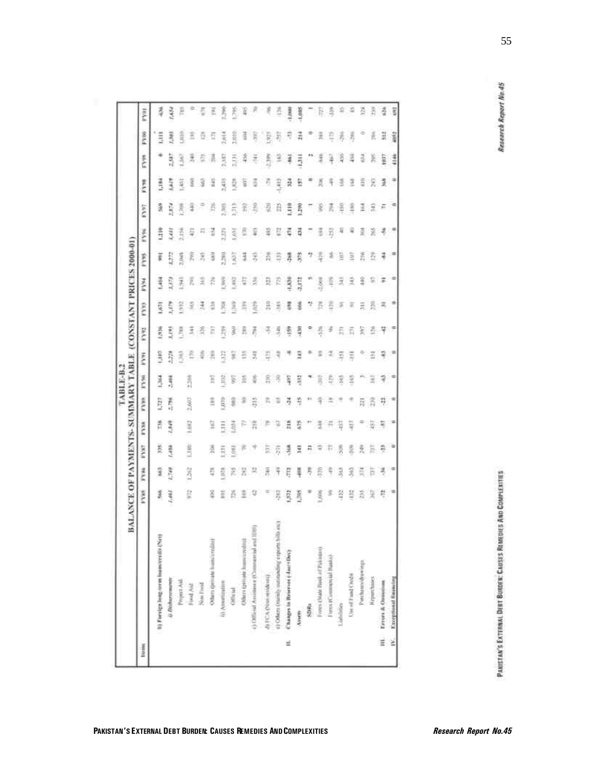|        | BALANCE OF PAYMENTS- SUMMARY TABLE              |     |            |               |                |          |                 |                |             |       |         |               |        |                |      |            |       |             |
|--------|-------------------------------------------------|-----|------------|---------------|----------------|----------|-----------------|----------------|-------------|-------|---------|---------------|--------|----------------|------|------------|-------|-------------|
| little |                                                 | FYH | FY86       | FYN?          | <b>FY3R</b>    | Ē        | FY <sub>5</sub> | <b>FOR</b>     | <b>Lost</b> | EGA   | First a | <b>FYW</b>    | p y su | FYPT           | Even | FYW        | FY00  | <b>FVOL</b> |
|        | h) Forcer Jong-term Incontratile (Net)          | 3   | 蘆          | g             | 弄              | 墓        | š               | cat"           | 長           | 1,671 | 1,464   | š             | Ě      | 蛮              | 目    |            | E.    | 寻           |
|        | <b>G.Dishorscausers</b>                         | š   | <b>ART</b> | <b>BBP/</b>   | 1,549          | 荒江       | 薏               | ã              | š           | Ŝ     |         | B             | ŝ      | ŝ              | š    | 1974       | š     | š           |
|        | Propert Atd                                     |     |            |               |                |          |                 | ŝ              | g           | š     | 莴       | š             | Ĕ      | ē              | ï    | š          | ą     | ĕ           |
|        | Fixed Aid                                       | 芸   | 32         | 1380          | 1,602          | 2,662    | ň               |                | 式           | ý     |         | F.            | 뮻      | 3              |      | ž,         | E     |             |
|        | Now final                                       |     |            |               |                |          |                 |                |             | Ë     | з       |               |        |                |      |            | ō     | 5           |
|        | Others spenase humorized in                     | š   | Ę          | 2             | 물              |          | Ë               |                |             | ă     |         | ŝ             | 2      | š              | ă    | 讲          |       | Ξ           |
|        | (i) Americation                                 | š   | ŝ          | ā             | Ä              | Ę        | ã               | š              | 爵           | Ř     | ł       | 言語            | Ē      | 瓮              | 蒜    | 3357       | į     | 爵           |
|        | Official                                        | Ř   |            | ğ             | ä              |          | 돛               |                | ā           | ã     | ğ       | ğ             | ş      | R              | ğ    | Ē          | ã     | ŝ           |
|        | Others (provide loans a redite)                 | 조   | Ξ          |               |                |          | 죠               |                |             |       |         | 3             |        | 옻              | g    | 喜          | š     |             |
|        | 43 Official Assistance (Commercial and 1019)    | ų   |            |               | $\frac{1}{11}$ |          |                 | 5              | ñ           | 장     | Ē       | F,            | š      | 3              |      |            | ä     | 第产          |
|        | di FCA (Nan retidenti)                          |     | ž          |               |                |          | â               |                |             | Å     | 怠       | ភី            | ž      | 졒              |      | ã          | 驻     | ę           |
|        | 43 Others (manuly outstanding exports bills ex) | ş   |            | 房             |                |          |                 |                | 쿸           | Ě     | Ē       | B             |        | A              | Ę    |            | 菊     |             |
| Ë      | Charges in Reserves (-IncreDec)                 | ŝ   | Ę          | 荨             |                | ă        | Ş               |                | 岛           | Ξ     | 3.330   | ã             | Ξ      | 1,110          | ā    | Î          | R     | 3           |
|        | Avven                                           | š   | Į          | Ξ             | 苔              |          | ä               | Ξ              | ą           |       | 翡翠      | ã             | Б      | 1.TWO          | Ë    | ā          | 큮     | 1,085       |
|        | SDRa                                            |     |            | ñ             |                |          |                 |                |             |       |         | 7             |        | 5              |      |            |       |             |
|        | Form (State Bask of Pakingo)                    | 55  |            |               |                |          | R               |                | Ř           |       | 38      | ş             | ë      | ĝ              |      | 葦          | 돚     | 직용          |
|        | Force (Commercial Naska)                        |     |            |               |                |          |                 |                |             |       |         |               | R      | 丟              |      | ł          |       | ŝ           |
|        | Liabilities                                     | ă   | 3          | \$            | B              |          | ž               | Ξ              | £           |       |         | в             |        | ŝ              |      | 寻          | 弄     | S)          |
|        | Use of Fand Credit                              |     | X          |               | 导              |          | š               | 툪              | 57          | Ŧ     |         | B             |        | š              | 9    |            | Ģ     | 10          |
|        | Penhamidiawings                                 | ā   |            |               |                | Þ,       |                 |                | ž           |       |         | ň             | Ξ      | ž              | ŝ    | 弓          |       | ă           |
|        | <b>Reportance</b>                               | 도   | th         | Б             | 5              |          | ä               | Ξ              | έ           | ă     | s       | δ             | 옾      | 웊              | 둧    | ğ          | Ă     | h           |
| iii.   | Errers & Ontsylves                              | R   | 3          | ą             | ą              | Ŗ        |                 | ч              | 7           | z     | Ξ       | 구             |        | я              | 奕    | <b>FRA</b> | 412   | á           |
|        | IV. Exceptional finishing                       | ٠   | ۰          | $\frac{1}{2}$ | ×              | $\equiv$ | $\equiv$        | $\blacksquare$ | $\equiv$    | ٠     |         | $\Rightarrow$ |        | $\mathfrak{S}$ | ۳    |            | abid. | ŝ           |

PANISTAN'S EXTERNAL DEBT BURGER: CAUSES REMEDIES AND COMPLEXITIES

Research Report No.45

55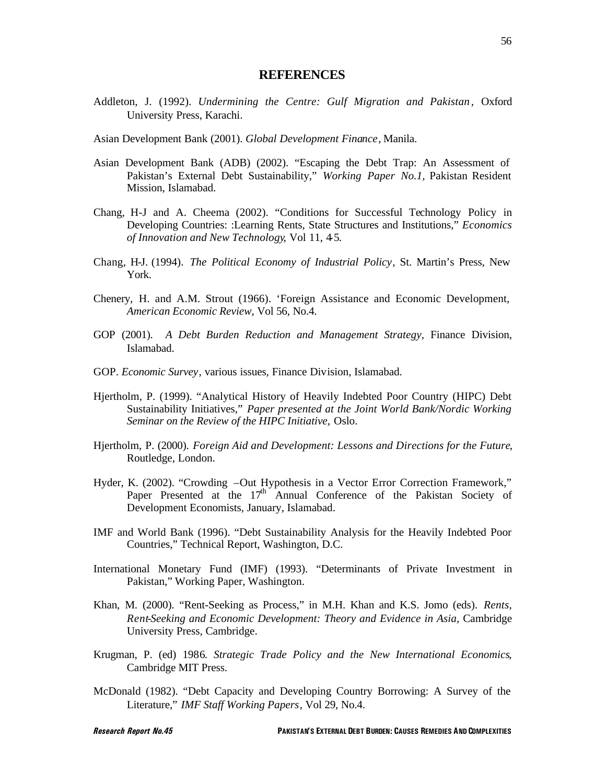### **REFERENCES**

- Addleton, J. (1992). *Undermining the Centre: Gulf Migration and Pakistan* , Oxford University Press, Karachi.
- Asian Development Bank (2001). *Global Development Finance*, Manila.
- Asian Development Bank (ADB) (2002). "Escaping the Debt Trap: An Assessment of Pakistan's External Debt Sustainability," *Working Paper No.1,* Pakistan Resident Mission, Islamabad.
- Chang, H-J and A. Cheema (2002). "Conditions for Successful Technology Policy in Developing Countries: :Learning Rents, State Structures and Institutions," *Economics of Innovation and New Technology*, Vol 11, 4-5.
- Chang, H-J. (1994). *The Political Economy of Industrial Policy*, St. Martin's Press, New York.
- Chenery, H. and A.M. Strout (1966). 'Foreign Assistance and Economic Development, *American Economic Review*, Vol 56, No.4.
- GOP (2001). *A Debt Burden Reduction and Management Strategy*, Finance Division, Islamabad.
- GOP. *Economic Survey*, various issues, Finance Division, Islamabad.
- Hjertholm, P. (1999). "Analytical History of Heavily Indebted Poor Country (HIPC) Debt Sustainability Initiatives," *Paper presented at the Joint World Bank/Nordic Working Seminar on the Review of the HIPC Initiative,* Oslo.
- Hjertholm, P. (2000). *Foreign Aid and Development: Lessons and Directions for the Future*, Routledge, London.
- Hyder, K. (2002). "Crowding –Out Hypothesis in a Vector Error Correction Framework," Paper Presented at the 17<sup>th</sup> Annual Conference of the Pakistan Society of Development Economists, January, Islamabad.
- IMF and World Bank (1996). "Debt Sustainability Analysis for the Heavily Indebted Poor Countries," Technical Report, Washington, D.C.
- International Monetary Fund (IMF) (1993). "Determinants of Private Investment in Pakistan," Working Paper, Washington.
- Khan, M. (2000). "Rent-Seeking as Process," in M.H. Khan and K.S. Jomo (eds). *Rents, Rent-Seeking and Economic Development: Theory and Evidence in Asia,* Cambridge University Press, Cambridge.
- Krugman, P. (ed) 1986. *Strategic Trade Policy and the New International Economics*, Cambridge MIT Press.
- McDonald (1982). "Debt Capacity and Developing Country Borrowing: A Survey of the Literature," *IMF Staff Working Papers*, Vol 29, No.4.